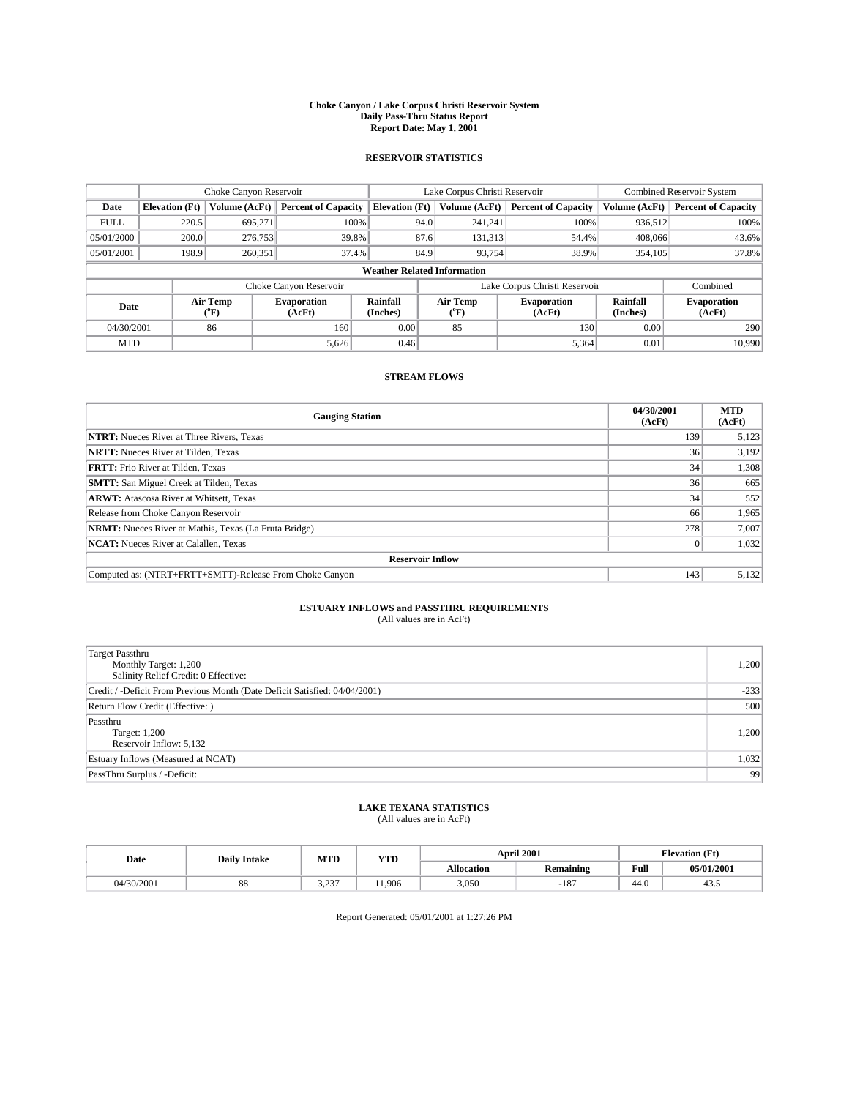#### **Choke Canyon / Lake Corpus Christi Reservoir System Daily Pass-Thru Status Report Report Date: May 1, 2001**

### **RESERVOIR STATISTICS**

|                                    | Choke Canyon Reservoir |                  |                              |                       | Lake Corpus Christi Reservoir |                  |                               |                      | <b>Combined Reservoir System</b> |  |
|------------------------------------|------------------------|------------------|------------------------------|-----------------------|-------------------------------|------------------|-------------------------------|----------------------|----------------------------------|--|
| Date                               | <b>Elevation</b> (Ft)  | Volume (AcFt)    | <b>Percent of Capacity</b>   | <b>Elevation</b> (Ft) |                               | Volume (AcFt)    | <b>Percent of Capacity</b>    | Volume (AcFt)        | <b>Percent of Capacity</b>       |  |
| <b>FULL</b>                        | 220.5                  | 695,271          | 100%                         |                       | 94.0                          | 241,241          | 100%                          | 936,512              | 100%                             |  |
| 05/01/2000                         | 200.0                  | 276,753          | 39.8%                        |                       | 87.6                          | 131,313          | 54.4%                         | 408,066              | 43.6%                            |  |
| 05/01/2001                         | 198.9                  | 260,351          | 37.4%                        |                       | 84.9                          | 93.754           | 38.9%                         | 354,105              | 37.8%                            |  |
| <b>Weather Related Information</b> |                        |                  |                              |                       |                               |                  |                               |                      |                                  |  |
|                                    |                        |                  | Choke Canyon Reservoir       |                       |                               |                  | Lake Corpus Christi Reservoir |                      | Combined                         |  |
| Date                               |                        | Air Temp<br>(°F) | <b>Evaporation</b><br>(AcFt) | Rainfall<br>(Inches)  |                               | Air Temp<br>("F) | <b>Evaporation</b><br>(AcFt)  | Rainfall<br>(Inches) | <b>Evaporation</b><br>(AcFt)     |  |
| 04/30/2001                         |                        | 86               | 160                          | 0.00                  |                               | 85               | 130                           | 0.00                 | 290                              |  |
| <b>MTD</b>                         |                        |                  | 5,626                        | 0.46                  |                               |                  | 5,364                         | 0.01                 | 10.990                           |  |

## **STREAM FLOWS**

| <b>Gauging Station</b>                                       | 04/30/2001<br>(AcFt) | <b>MTD</b><br>(AcFt) |  |  |  |  |
|--------------------------------------------------------------|----------------------|----------------------|--|--|--|--|
| <b>NTRT:</b> Nueces River at Three Rivers, Texas             | 139                  | 5,123                |  |  |  |  |
| <b>NRTT:</b> Nueces River at Tilden, Texas                   | 36                   | 3,192                |  |  |  |  |
| <b>FRTT:</b> Frio River at Tilden, Texas                     | 34                   | 1,308                |  |  |  |  |
| <b>SMTT:</b> San Miguel Creek at Tilden, Texas               | 36 <sup>1</sup>      | 665                  |  |  |  |  |
| <b>ARWT:</b> Atascosa River at Whitsett, Texas               | 34                   | 552                  |  |  |  |  |
| Release from Choke Canyon Reservoir                          | 66                   | 1,965                |  |  |  |  |
| <b>NRMT:</b> Nueces River at Mathis, Texas (La Fruta Bridge) | 278                  | 7,007                |  |  |  |  |
| <b>NCAT:</b> Nueces River at Calallen, Texas                 |                      | 1,032                |  |  |  |  |
| <b>Reservoir Inflow</b>                                      |                      |                      |  |  |  |  |
| Computed as: (NTRT+FRTT+SMTT)-Release From Choke Canyon      | 143                  | 5,132                |  |  |  |  |

## **ESTUARY INFLOWS and PASSTHRU REQUIREMENTS**<br>(All values are in AcFt)

| Target Passthru<br>Monthly Target: 1,200<br>Salinity Relief Credit: 0 Effective: | 1,200  |
|----------------------------------------------------------------------------------|--------|
| Credit / -Deficit From Previous Month (Date Deficit Satisfied: 04/04/2001)       | $-233$ |
| Return Flow Credit (Effective: )                                                 | 500    |
| Passthru<br>Target: 1,200<br>Reservoir Inflow: 5,132                             | 1,200  |
| Estuary Inflows (Measured at NCAT)                                               | 1,032  |
| PassThru Surplus / -Deficit:                                                     | -99    |

# **LAKE TEXANA STATISTICS** (All values are in AcFt)

| Date       | <b>Daily Intake</b> | MTD          | YTD   |                   | <b>April 2001</b>                        | <b>Elevation</b> (Ft) |            |
|------------|---------------------|--------------|-------|-------------------|------------------------------------------|-----------------------|------------|
|            |                     |              |       | <b>Allocation</b> | $\ddot{\phantom{a}}$<br><b>Remaining</b> | Full                  | 05/01/2001 |
| 04/30/2001 | 88                  | 2.22<br>ر __ | 1.906 | 3,050             | $^{\circ}$<br>۰10.                       | $\sim$<br>44.V        | 45.5       |

Report Generated: 05/01/2001 at 1:27:26 PM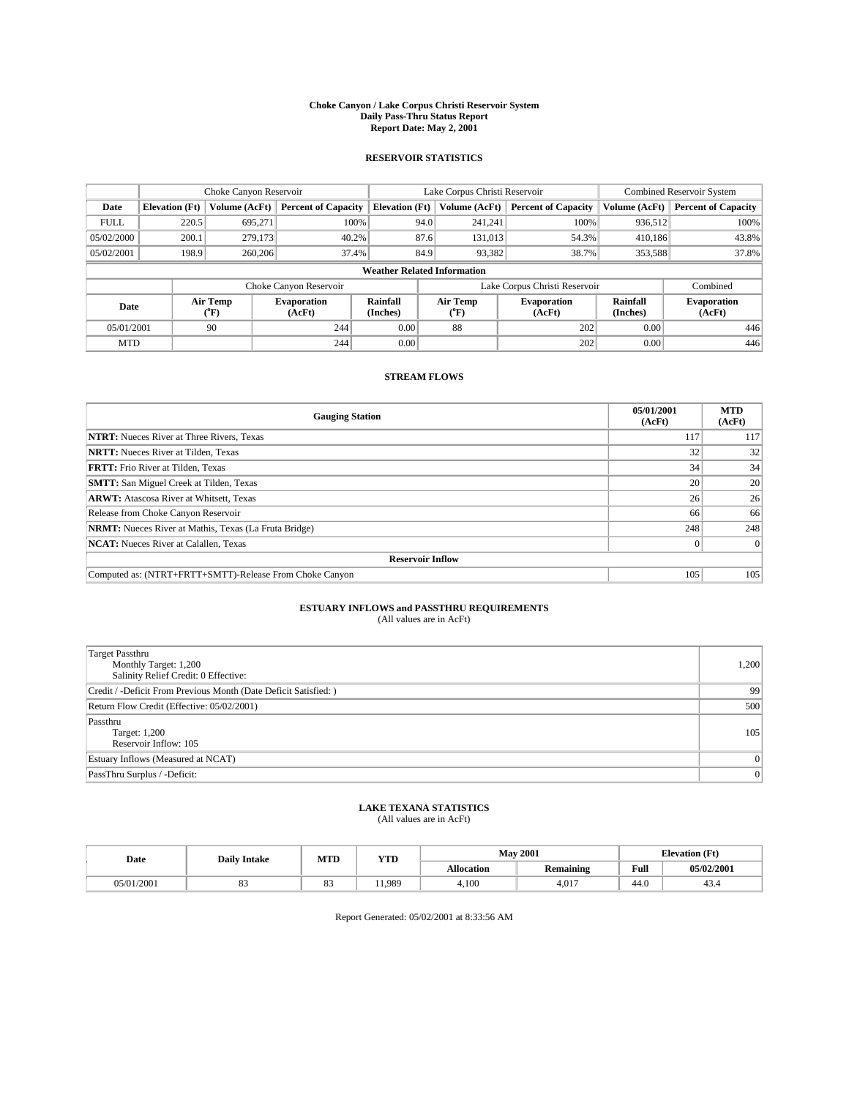#### **Choke Canyon / Lake Corpus Christi Reservoir System Daily Pass-Thru Status Report Report Date: May 2, 2001**

### **RESERVOIR STATISTICS**

|                                    | Choke Canyon Reservoir |                  |                              |                       | Lake Corpus Christi Reservoir | <b>Combined Reservoir System</b> |                      |                              |
|------------------------------------|------------------------|------------------|------------------------------|-----------------------|-------------------------------|----------------------------------|----------------------|------------------------------|
| Date                               | <b>Elevation</b> (Ft)  | Volume (AcFt)    | <b>Percent of Capacity</b>   | <b>Elevation</b> (Ft) | Volume (AcFt)                 | <b>Percent of Capacity</b>       | Volume (AcFt)        | <b>Percent of Capacity</b>   |
| <b>FULL</b>                        | 220.5                  | 695,271          | 100%                         |                       | 94.0<br>241,241               | 100%                             | 936,512              | 100%                         |
| 05/02/2000                         | 200.1                  | 279,173          | 40.2%                        |                       | 87.6<br>131,013               | 54.3%                            | 410.186              | 43.8%                        |
| 05/02/2001                         | 198.9                  | 260,206          | 37.4%                        |                       | 84.9<br>93,382                | 38.7%                            | 353,588              | 37.8%                        |
| <b>Weather Related Information</b> |                        |                  |                              |                       |                               |                                  |                      |                              |
|                                    |                        |                  | Choke Canyon Reservoir       |                       |                               | Lake Corpus Christi Reservoir    |                      | Combined                     |
| Date                               |                        | Air Temp<br>(°F) | <b>Evaporation</b><br>(AcFt) | Rainfall<br>(Inches)  | Air Temp<br>(°F)              | <b>Evaporation</b><br>(AcFt)     | Rainfall<br>(Inches) | <b>Evaporation</b><br>(AcFt) |
| 05/01/2001                         |                        | 90               | 244                          | 0.00                  | 88                            | 202                              | 0.00                 | 446                          |
| <b>MTD</b>                         |                        |                  | 244                          | 0.00                  |                               | 202                              | 0.00                 | 446                          |

## **STREAM FLOWS**

| <b>Gauging Station</b>                                       | 05/01/2001<br>(AcFt) | <b>MTD</b><br>(AcFt) |  |  |  |  |
|--------------------------------------------------------------|----------------------|----------------------|--|--|--|--|
| <b>NTRT:</b> Nueces River at Three Rivers, Texas             | 117                  | 117                  |  |  |  |  |
| <b>NRTT:</b> Nueces River at Tilden, Texas                   | 32                   | 32                   |  |  |  |  |
| <b>FRTT:</b> Frio River at Tilden, Texas                     | 34                   | 34                   |  |  |  |  |
| <b>SMTT:</b> San Miguel Creek at Tilden, Texas               | 20                   | 20 <sub>1</sub>      |  |  |  |  |
| <b>ARWT:</b> Atascosa River at Whitsett, Texas               | 26                   | 26                   |  |  |  |  |
| Release from Choke Canyon Reservoir                          | 66                   | 66                   |  |  |  |  |
| <b>NRMT:</b> Nueces River at Mathis, Texas (La Fruta Bridge) | 248                  | 248                  |  |  |  |  |
| <b>NCAT:</b> Nueces River at Calallen, Texas                 |                      |                      |  |  |  |  |
| <b>Reservoir Inflow</b>                                      |                      |                      |  |  |  |  |
| Computed as: (NTRT+FRTT+SMTT)-Release From Choke Canyon      | 105                  | 105                  |  |  |  |  |

## **ESTUARY INFLOWS and PASSTHRU REQUIREMENTS**<br>(All values are in AcFt)

| <b>Target Passthru</b><br>Monthly Target: 1,200<br>Salinity Relief Credit: 0 Effective: | 1,200    |
|-----------------------------------------------------------------------------------------|----------|
| Credit / -Deficit From Previous Month (Date Deficit Satisfied: )                        | 99       |
| Return Flow Credit (Effective: 05/02/2001)                                              | 500      |
| Passthru<br>Target: 1,200<br>Reservoir Inflow: 105                                      | 105      |
| Estuary Inflows (Measured at NCAT)                                                      | $\Omega$ |
| PassThru Surplus / -Deficit:                                                            | 0        |

# **LAKE TEXANA STATISTICS** (All values are in AcFt)

| Date       | <b>Daily Intake</b> | MTD            | <b>VTT</b><br>1 I D | <b>May 2001</b>   |                  | (Ft<br><b>TAL</b><br>tlevation |              |
|------------|---------------------|----------------|---------------------|-------------------|------------------|--------------------------------|--------------|
|            |                     |                |                     | <b>Allocation</b> | <b>Remaining</b> | Full                           | 05/02/2001   |
| 05/01/2001 | ບມ                  | $\Omega$<br>o. | 1.989               | 4,100             | 4.017            | 44.0                           | 4.11<br>49.4 |

Report Generated: 05/02/2001 at 8:33:56 AM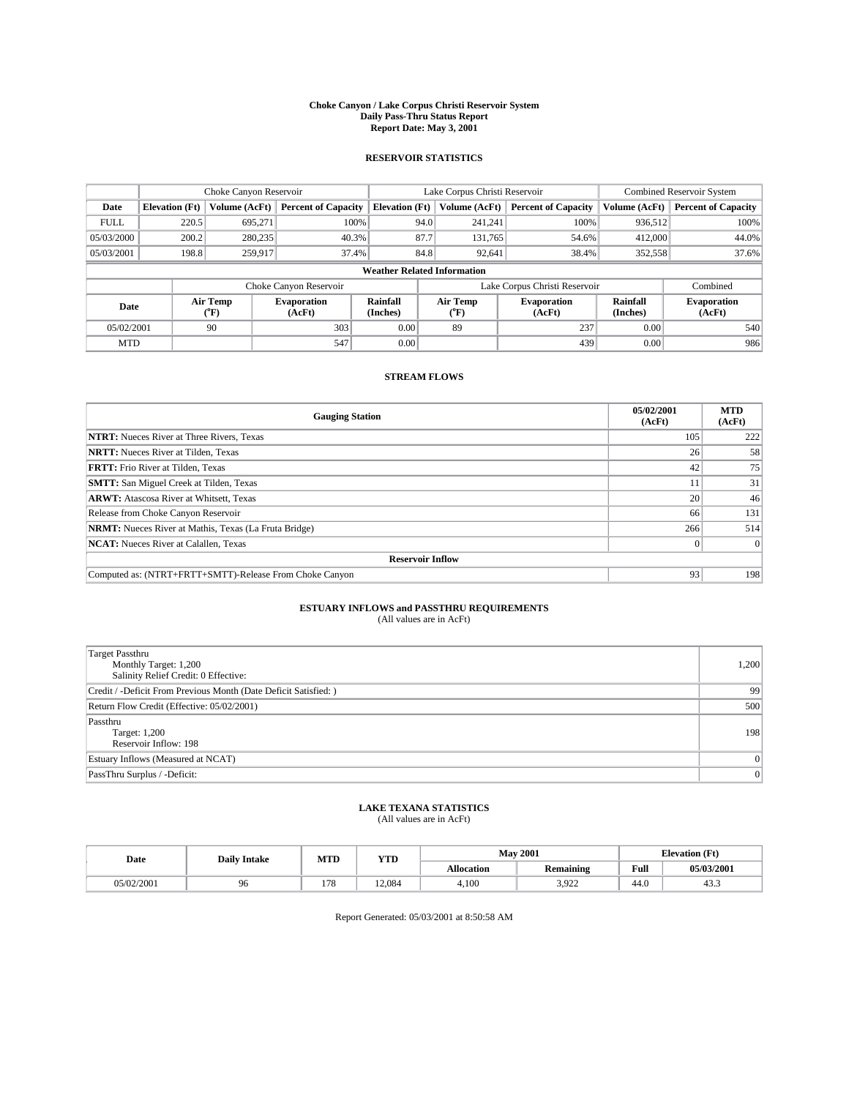#### **Choke Canyon / Lake Corpus Christi Reservoir System Daily Pass-Thru Status Report Report Date: May 3, 2001**

### **RESERVOIR STATISTICS**

|                                    | Choke Canyon Reservoir |                             |                              |                             | Lake Corpus Christi Reservoir | <b>Combined Reservoir System</b> |                      |                              |
|------------------------------------|------------------------|-----------------------------|------------------------------|-----------------------------|-------------------------------|----------------------------------|----------------------|------------------------------|
| Date                               | <b>Elevation</b> (Ft)  | Volume (AcFt)               | <b>Percent of Capacity</b>   | <b>Elevation</b> (Ft)       | Volume (AcFt)                 | <b>Percent of Capacity</b>       | Volume (AcFt)        | <b>Percent of Capacity</b>   |
| <b>FULL</b>                        | 220.5                  | 695,271                     | 100%                         | 94.0                        | 241,241                       | 100%                             | 936.512              | 100%                         |
| 05/03/2000                         | 200.2                  | 280,235                     | $40.3\%$                     | 87.7                        | 131,765                       | 54.6%                            | 412,000              | 44.0%                        |
| 05/03/2001                         | 198.8                  | 259.917                     | 37.4%                        | 84.8                        | 92,641                        | 38.4%                            | 352,558              | 37.6%                        |
| <b>Weather Related Information</b> |                        |                             |                              |                             |                               |                                  |                      |                              |
|                                    |                        |                             | Choke Canyon Reservoir       |                             |                               | Lake Corpus Christi Reservoir    |                      | Combined                     |
| Date                               |                        | Air Temp<br>${}^{\circ}$ F) | <b>Evaporation</b><br>(AcFt) | <b>Rainfall</b><br>(Inches) | Air Temp<br>("F)              | <b>Evaporation</b><br>(AcFt)     | Rainfall<br>(Inches) | <b>Evaporation</b><br>(AcFt) |
| 05/02/2001                         |                        | 90                          | 303                          | 0.00                        | 89                            | 237                              | 0.00                 | 540                          |
| <b>MTD</b>                         |                        |                             | 547                          | 0.00                        |                               | 439                              | 0.00                 | 986                          |

## **STREAM FLOWS**

| <b>Gauging Station</b>                                       | 05/02/2001<br>(AcFt) | <b>MTD</b><br>(AcFt) |  |  |  |  |
|--------------------------------------------------------------|----------------------|----------------------|--|--|--|--|
| <b>NTRT:</b> Nueces River at Three Rivers, Texas             | 105                  | 222                  |  |  |  |  |
| <b>NRTT:</b> Nueces River at Tilden, Texas                   | 26                   | 58                   |  |  |  |  |
| <b>FRTT:</b> Frio River at Tilden, Texas                     | 42                   | 75                   |  |  |  |  |
| <b>SMTT:</b> San Miguel Creek at Tilden, Texas               | 11                   | 31                   |  |  |  |  |
| <b>ARWT:</b> Atascosa River at Whitsett, Texas               | 20                   | 46                   |  |  |  |  |
| Release from Choke Canyon Reservoir                          | 66                   | 131                  |  |  |  |  |
| <b>NRMT:</b> Nueces River at Mathis, Texas (La Fruta Bridge) | 266                  | 514                  |  |  |  |  |
| <b>NCAT:</b> Nueces River at Calallen, Texas                 |                      |                      |  |  |  |  |
| <b>Reservoir Inflow</b>                                      |                      |                      |  |  |  |  |
| Computed as: (NTRT+FRTT+SMTT)-Release From Choke Canyon      | 93                   | 198                  |  |  |  |  |

## **ESTUARY INFLOWS and PASSTHRU REQUIREMENTS**

(All values are in AcFt)

| <b>Target Passthru</b><br>Monthly Target: 1,200<br>Salinity Relief Credit: 0 Effective: | 1,200 |
|-----------------------------------------------------------------------------------------|-------|
| Credit / -Deficit From Previous Month (Date Deficit Satisfied: )                        | 99    |
| Return Flow Credit (Effective: 05/02/2001)                                              | 500   |
| Passthru<br>Target: 1,200<br>Reservoir Inflow: 198                                      | 198   |
| Estuary Inflows (Measured at NCAT)                                                      |       |
| PassThru Surplus / -Deficit:                                                            | 0     |

# **LAKE TEXANA STATISTICS** (All values are in AcFt)

| Date       | <b>Daily Intake</b> | MTD                             | <b>VTT</b><br>1 I D | <b>May 2001</b>   |                       | (Ft<br><b>TAL</b><br><b>Alevation</b> |                |
|------------|---------------------|---------------------------------|---------------------|-------------------|-----------------------|---------------------------------------|----------------|
|            |                     |                                 |                     | <b>Allocation</b> | <b>Remaining</b>      | Full                                  | 05/03/2001     |
| 05/02/2001 | 96                  | $\overline{\phantom{a}}$<br>1/0 | 12.084              | 4,100             | 3.022<br><i>J.JLL</i> | 44.0                                  | $\sim$<br>د.45 |

Report Generated: 05/03/2001 at 8:50:58 AM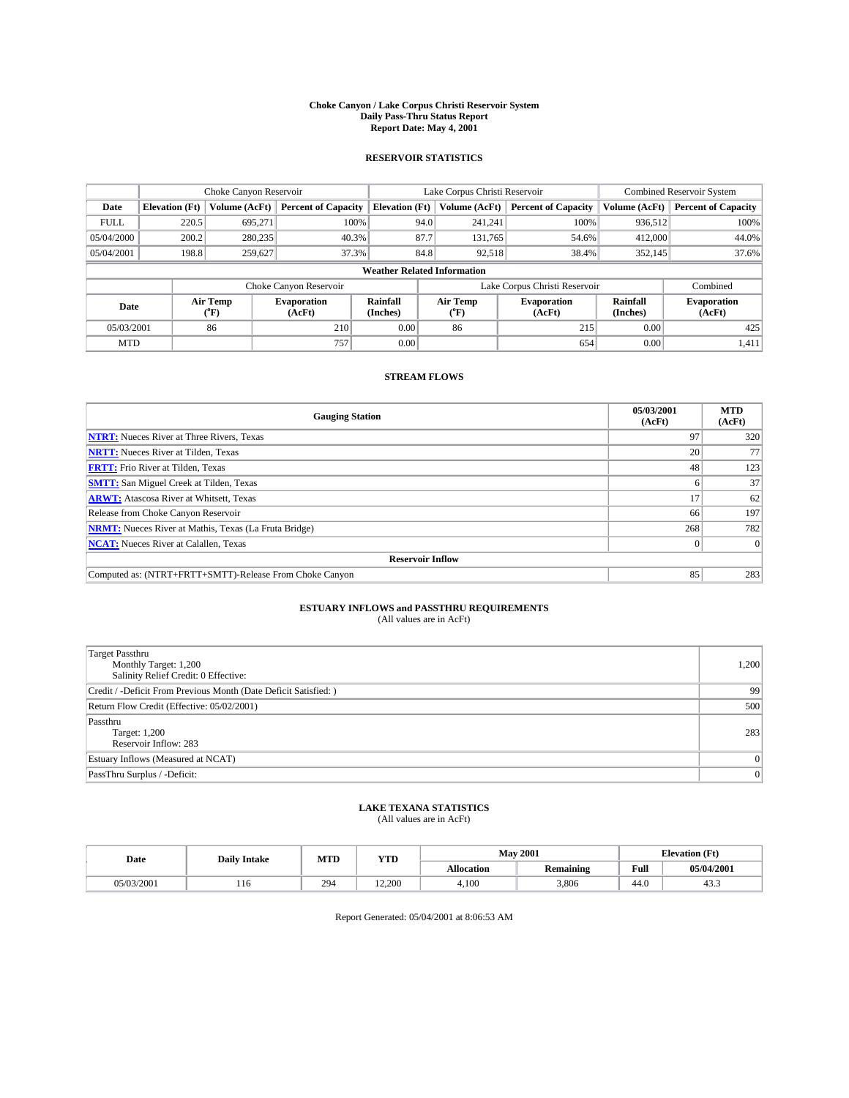#### **Choke Canyon / Lake Corpus Christi Reservoir System Daily Pass-Thru Status Report Report Date: May 4, 2001**

### **RESERVOIR STATISTICS**

|                                    |                                                                     | Choke Canyon Reservoir |                              |                       | Lake Corpus Christi Reservoir | <b>Combined Reservoir System</b> |                      |                              |  |
|------------------------------------|---------------------------------------------------------------------|------------------------|------------------------------|-----------------------|-------------------------------|----------------------------------|----------------------|------------------------------|--|
| Date                               | <b>Elevation</b> (Ft)                                               | <b>Volume (AcFt)</b>   | <b>Percent of Capacity</b>   | <b>Elevation</b> (Ft) | Volume (AcFt)                 | <b>Percent of Capacity</b>       | Volume (AcFt)        | <b>Percent of Capacity</b>   |  |
| <b>FULL</b>                        | 220.5                                                               | 695,271                | 100%                         | 94.0                  | 241,241                       | 100%                             | 936.512              | 100%                         |  |
| 05/04/2000                         | 200.2                                                               | 280,235                | 40.3%                        | 87.7                  | 131,765                       | 54.6%                            | 412,000              | 44.0%                        |  |
| 05/04/2001                         | 198.8                                                               | 259,627                | 37.3%                        | 84.8                  | 92,518                        | 38.4%                            | 352,145              | 37.6%                        |  |
| <b>Weather Related Information</b> |                                                                     |                        |                              |                       |                               |                                  |                      |                              |  |
|                                    | Lake Corpus Christi Reservoir<br>Choke Canyon Reservoir<br>Combined |                        |                              |                       |                               |                                  |                      |                              |  |
| Date                               |                                                                     | Air Temp<br>(°F)       | <b>Evaporation</b><br>(AcFt) | Rainfall<br>(Inches)  | Air Temp<br>("F)              | <b>Evaporation</b><br>(AcFt)     | Rainfall<br>(Inches) | <b>Evaporation</b><br>(AcFt) |  |
| 05/03/2001                         |                                                                     | 86                     | 210                          | 0.00                  | 86                            | 215                              | 0.00                 | 425                          |  |
| <b>MTD</b>                         |                                                                     |                        | 757                          | 0.00                  |                               | 654                              | 0.00                 | 1,411                        |  |

## **STREAM FLOWS**

| <b>Gauging Station</b>                                       | 05/03/2001<br>(AcFt) | <b>MTD</b><br>(AcFt) |  |  |  |  |
|--------------------------------------------------------------|----------------------|----------------------|--|--|--|--|
| <b>NTRT:</b> Nueces River at Three Rivers, Texas             | 97                   | 320                  |  |  |  |  |
| <b>NRTT:</b> Nueces River at Tilden, Texas                   | 20 <sub>1</sub>      | 77                   |  |  |  |  |
| <b>FRTT:</b> Frio River at Tilden, Texas                     | 48                   | 123                  |  |  |  |  |
| <b>SMTT:</b> San Miguel Creek at Tilden, Texas               |                      | 37                   |  |  |  |  |
| <b>ARWT:</b> Atascosa River at Whitsett, Texas               | 17                   | 62                   |  |  |  |  |
| Release from Choke Canyon Reservoir                          | 66                   | 197                  |  |  |  |  |
| <b>NRMT:</b> Nueces River at Mathis, Texas (La Fruta Bridge) | 268                  | 782                  |  |  |  |  |
| <b>NCAT:</b> Nueces River at Calallen, Texas                 |                      |                      |  |  |  |  |
| <b>Reservoir Inflow</b>                                      |                      |                      |  |  |  |  |
| Computed as: (NTRT+FRTT+SMTT)-Release From Choke Canyon      | 85                   | 283                  |  |  |  |  |

## **ESTUARY INFLOWS and PASSTHRU REQUIREMENTS**<br>(All values are in AcFt)

| <b>Target Passthru</b><br>Monthly Target: 1,200<br>Salinity Relief Credit: 0 Effective: | 1,200          |
|-----------------------------------------------------------------------------------------|----------------|
| Credit / -Deficit From Previous Month (Date Deficit Satisfied: )                        | 99             |
| Return Flow Credit (Effective: 05/02/2001)                                              | 500            |
| Passthru<br>Target: 1,200<br>Reservoir Inflow: 283                                      | 283            |
| Estuary Inflows (Measured at NCAT)                                                      | $\overline{0}$ |
| PassThru Surplus / -Deficit:                                                            | 0              |

# **LAKE TEXANA STATISTICS** (All values are in AcFt)

| Date       | <b>Daily Intake</b> | MTD | <b>VTT</b><br>1 I.D | <b>May 2001</b>   |                  | (Ft<br><b>TAL</b><br>tlevation |                |
|------------|---------------------|-----|---------------------|-------------------|------------------|--------------------------------|----------------|
|            |                     |     |                     | <b>Allocation</b> | <b>Remaining</b> | Full                           | 05/04/2001     |
| 05/03/2001 | 110                 | 294 | 12.200              | 4,100             | 3,806            | 44.0                           | $\sim$<br>د.45 |

Report Generated: 05/04/2001 at 8:06:53 AM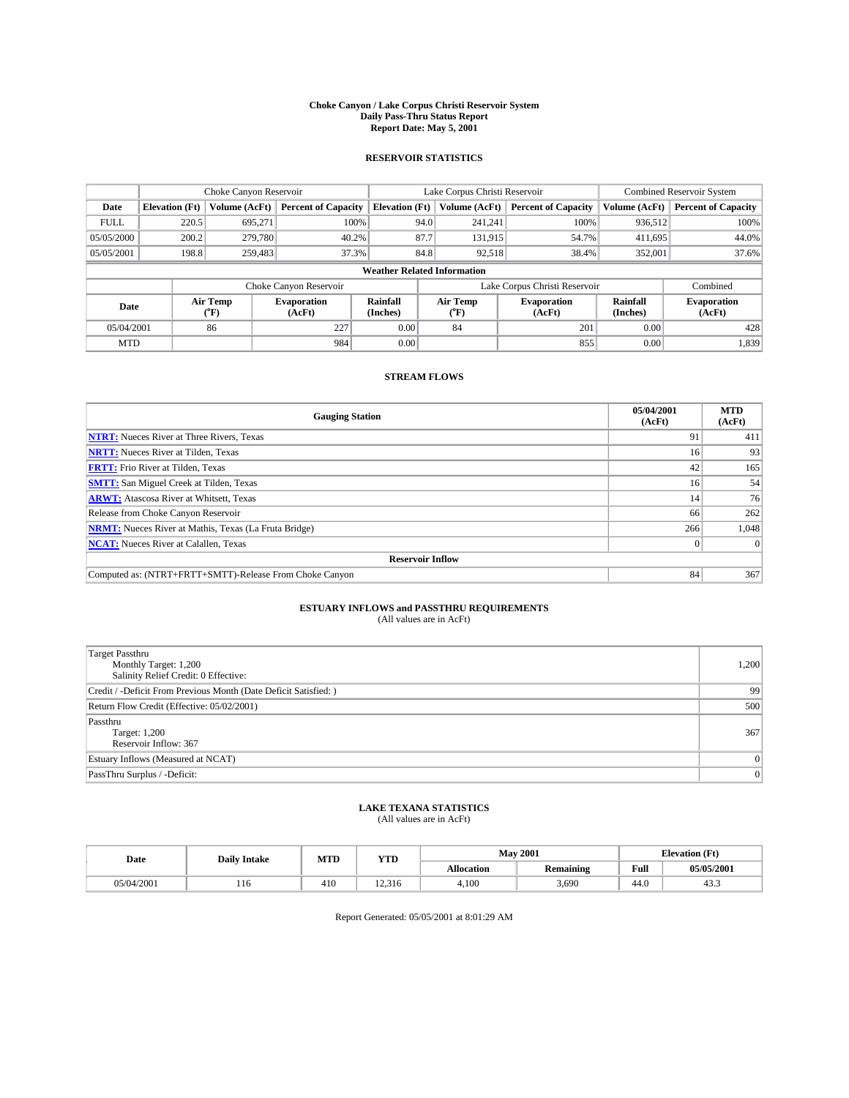#### **Choke Canyon / Lake Corpus Christi Reservoir System Daily Pass-Thru Status Report Report Date: May 5, 2001**

### **RESERVOIR STATISTICS**

|                                    | Choke Canyon Reservoir |                             |                              |                             | Lake Corpus Christi Reservoir | <b>Combined Reservoir System</b> |                      |                              |
|------------------------------------|------------------------|-----------------------------|------------------------------|-----------------------------|-------------------------------|----------------------------------|----------------------|------------------------------|
| Date                               | <b>Elevation</b> (Ft)  | Volume (AcFt)               | <b>Percent of Capacity</b>   | <b>Elevation</b> (Ft)       | Volume (AcFt)                 | <b>Percent of Capacity</b>       | Volume (AcFt)        | <b>Percent of Capacity</b>   |
| <b>FULL</b>                        | 220.5                  | 695,271                     | 100%                         | 94.0                        | 241,241                       | 100%                             | 936,512              | 100%                         |
| 05/05/2000                         | 200.2                  | 279,780                     | 40.2%                        | 87.7                        | 131,915                       | 54.7%                            | 411,695              | 44.0%                        |
| 05/05/2001                         | 198.8                  | 259,483                     | 37.3%                        | 84.8                        | 92,518                        | 38.4%                            | 352,001              | 37.6%                        |
| <b>Weather Related Information</b> |                        |                             |                              |                             |                               |                                  |                      |                              |
|                                    |                        |                             | Choke Canyon Reservoir       |                             |                               | Lake Corpus Christi Reservoir    |                      | Combined                     |
| Date                               |                        | Air Temp<br>${}^{\circ}$ F) | <b>Evaporation</b><br>(AcFt) | <b>Rainfall</b><br>(Inches) | Air Temp<br>("F)              | <b>Evaporation</b><br>(AcFt)     | Rainfall<br>(Inches) | <b>Evaporation</b><br>(AcFt) |
| 05/04/2001                         |                        | 86                          | 227                          | 0.00                        | 84                            | 201                              | 0.00                 | 428                          |
| <b>MTD</b>                         |                        |                             | 984                          | 0.00                        |                               | 855                              | 0.00                 | 1,839                        |

## **STREAM FLOWS**

| <b>Gauging Station</b>                                       | 05/04/2001<br>(AcFt) | <b>MTD</b><br>(AcFt) |  |  |  |  |  |
|--------------------------------------------------------------|----------------------|----------------------|--|--|--|--|--|
| <b>NTRT:</b> Nueces River at Three Rivers, Texas             | 91                   | 411                  |  |  |  |  |  |
| <b>NRTT:</b> Nueces River at Tilden, Texas                   | 16                   | 93                   |  |  |  |  |  |
| <b>FRTT:</b> Frio River at Tilden, Texas                     | 42                   | 165                  |  |  |  |  |  |
| <b>SMTT:</b> San Miguel Creek at Tilden, Texas               | 16                   | 54                   |  |  |  |  |  |
| <b>ARWT:</b> Atascosa River at Whitsett, Texas               | 14                   | 76                   |  |  |  |  |  |
| Release from Choke Canyon Reservoir                          | 66                   | 262                  |  |  |  |  |  |
| <b>NRMT:</b> Nueces River at Mathis, Texas (La Fruta Bridge) | 266                  | 1,048                |  |  |  |  |  |
| <b>NCAT:</b> Nueces River at Calallen, Texas                 |                      |                      |  |  |  |  |  |
| <b>Reservoir Inflow</b>                                      |                      |                      |  |  |  |  |  |
| Computed as: (NTRT+FRTT+SMTT)-Release From Choke Canyon      | 84                   | 367                  |  |  |  |  |  |

## **ESTUARY INFLOWS and PASSTHRU REQUIREMENTS**<br>(All values are in AcFt)

| <b>Target Passthru</b><br>Monthly Target: 1,200<br>Salinity Relief Credit: 0 Effective: | 1,200          |
|-----------------------------------------------------------------------------------------|----------------|
| Credit / -Deficit From Previous Month (Date Deficit Satisfied: )                        | 99             |
| Return Flow Credit (Effective: 05/02/2001)                                              | 500            |
| Passthru<br>Target: 1,200<br>Reservoir Inflow: 367                                      | 367            |
| Estuary Inflows (Measured at NCAT)                                                      | $\overline{0}$ |
| PassThru Surplus / -Deficit:                                                            | 0              |

# **LAKE TEXANA STATISTICS** (All values are in AcFt)

| Date       | <b>Daily Intake</b> | MTD | <b>VTT</b><br>1 I.D |                   | <b>May 2001</b>  | Œť<br>Elevation. |                |
|------------|---------------------|-----|---------------------|-------------------|------------------|------------------|----------------|
|            |                     |     |                     | <b>Allocation</b> | <b>Remaining</b> | Full             | 05/05/2001     |
| 05/04/2001 | 110                 | 410 | 12.21c<br>12.316    | 4,100             | 3.690            | 44.0             | $\sim$<br>د.45 |

Report Generated: 05/05/2001 at 8:01:29 AM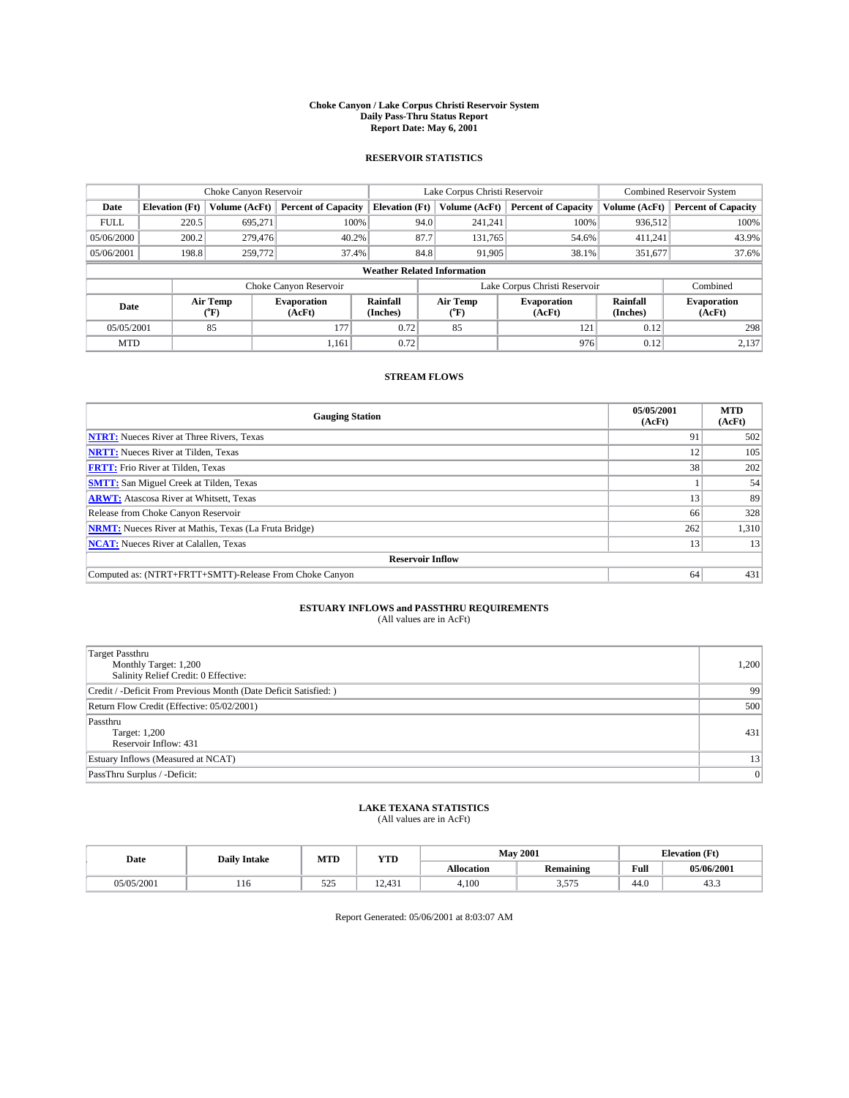#### **Choke Canyon / Lake Corpus Christi Reservoir System Daily Pass-Thru Status Report Report Date: May 6, 2001**

### **RESERVOIR STATISTICS**

|                                    | Choke Canyon Reservoir |                  |                              |                       | Lake Corpus Christi Reservoir | <b>Combined Reservoir System</b> |                      |                              |
|------------------------------------|------------------------|------------------|------------------------------|-----------------------|-------------------------------|----------------------------------|----------------------|------------------------------|
| Date                               | <b>Elevation</b> (Ft)  | Volume (AcFt)    | <b>Percent of Capacity</b>   | <b>Elevation</b> (Ft) | Volume (AcFt)                 | <b>Percent of Capacity</b>       | Volume (AcFt)        | <b>Percent of Capacity</b>   |
| <b>FULL</b>                        | 220.5                  | 695,271          | 100%                         | 94.0                  | 241,241                       | 100%                             | 936,512              | 100%                         |
| 05/06/2000                         | 200.2                  | 279,476          | 40.2%                        | 87.7                  | 131,765                       | 54.6%                            | 411,241              | 43.9%                        |
| 05/06/2001                         | 198.8                  | 259,772          | 37.4%                        | 84.8                  | 91,905                        | 38.1%                            | 351,677              | 37.6%                        |
| <b>Weather Related Information</b> |                        |                  |                              |                       |                               |                                  |                      |                              |
|                                    |                        |                  | Choke Canyon Reservoir       |                       |                               | Lake Corpus Christi Reservoir    |                      | Combined                     |
| Date                               |                        | Air Temp<br>(°F) | <b>Evaporation</b><br>(AcFt) | Rainfall<br>(Inches)  | Air Temp<br>("F)              | <b>Evaporation</b><br>(AcFt)     | Rainfall<br>(Inches) | <b>Evaporation</b><br>(AcFt) |
| 05/05/2001                         |                        | 85               | 177                          | 0.72                  | 85                            | 121                              | 0.12                 | 298                          |
| <b>MTD</b>                         |                        |                  | 1.161                        | 0.72                  |                               | 976                              | 0.12                 | 2,137                        |

## **STREAM FLOWS**

| <b>Gauging Station</b>                                       | 05/05/2001<br>(AcFt) | <b>MTD</b><br>(AcFt) |  |  |  |  |  |
|--------------------------------------------------------------|----------------------|----------------------|--|--|--|--|--|
| <b>NTRT:</b> Nueces River at Three Rivers, Texas             | 91                   | 502                  |  |  |  |  |  |
| <b>NRTT:</b> Nueces River at Tilden, Texas                   | 12                   | 105                  |  |  |  |  |  |
| <b>FRTT:</b> Frio River at Tilden, Texas                     | 38                   | 202                  |  |  |  |  |  |
| <b>SMTT:</b> San Miguel Creek at Tilden, Texas               |                      | 54                   |  |  |  |  |  |
| <b>ARWT:</b> Atascosa River at Whitsett, Texas               | 13                   | 89                   |  |  |  |  |  |
| Release from Choke Canyon Reservoir                          | 66                   | 328                  |  |  |  |  |  |
| <b>NRMT:</b> Nueces River at Mathis, Texas (La Fruta Bridge) | 262                  | 1,310                |  |  |  |  |  |
| <b>NCAT:</b> Nueces River at Calallen, Texas                 | 13                   | 13                   |  |  |  |  |  |
| <b>Reservoir Inflow</b>                                      |                      |                      |  |  |  |  |  |
| Computed as: (NTRT+FRTT+SMTT)-Release From Choke Canyon      | 64                   | 431                  |  |  |  |  |  |

## **ESTUARY INFLOWS and PASSTHRU REQUIREMENTS**<br>(All values are in AcFt)

| <b>Target Passthru</b><br>Monthly Target: 1,200<br>Salinity Relief Credit: 0 Effective: | 1,200 |
|-----------------------------------------------------------------------------------------|-------|
| Credit / -Deficit From Previous Month (Date Deficit Satisfied: )                        | 99    |
| Return Flow Credit (Effective: 05/02/2001)                                              | 500   |
| Passthru<br>Target: 1,200<br>Reservoir Inflow: 431                                      | 431   |
| Estuary Inflows (Measured at NCAT)                                                      | 13    |
| PassThru Surplus / -Deficit:                                                            | 0     |

# **LAKE TEXANA STATISTICS** (All values are in AcFt)

| Date       | <b>Daily Intake</b> | MTD                          | <b>WITH</b><br>1 I.D          | <b>May 2001</b>   |                    | (Ft<br><b>TAL</b><br>tlevation |                |
|------------|---------------------|------------------------------|-------------------------------|-------------------|--------------------|--------------------------------|----------------|
|            |                     |                              |                               | <b>Allocation</b> | <b>Remaining</b>   | Full                           | 05/06/2001     |
| 05/05/2001 | 110                 | $\sim$ $\sim$ $\sim$<br>رے ر | 40 <sup>2</sup><br>⊿ -<br>. . | 4,100             | $- - -$<br>ر ر ر.ر | 44.0                           | $\sim$<br>د.45 |

Report Generated: 05/06/2001 at 8:03:07 AM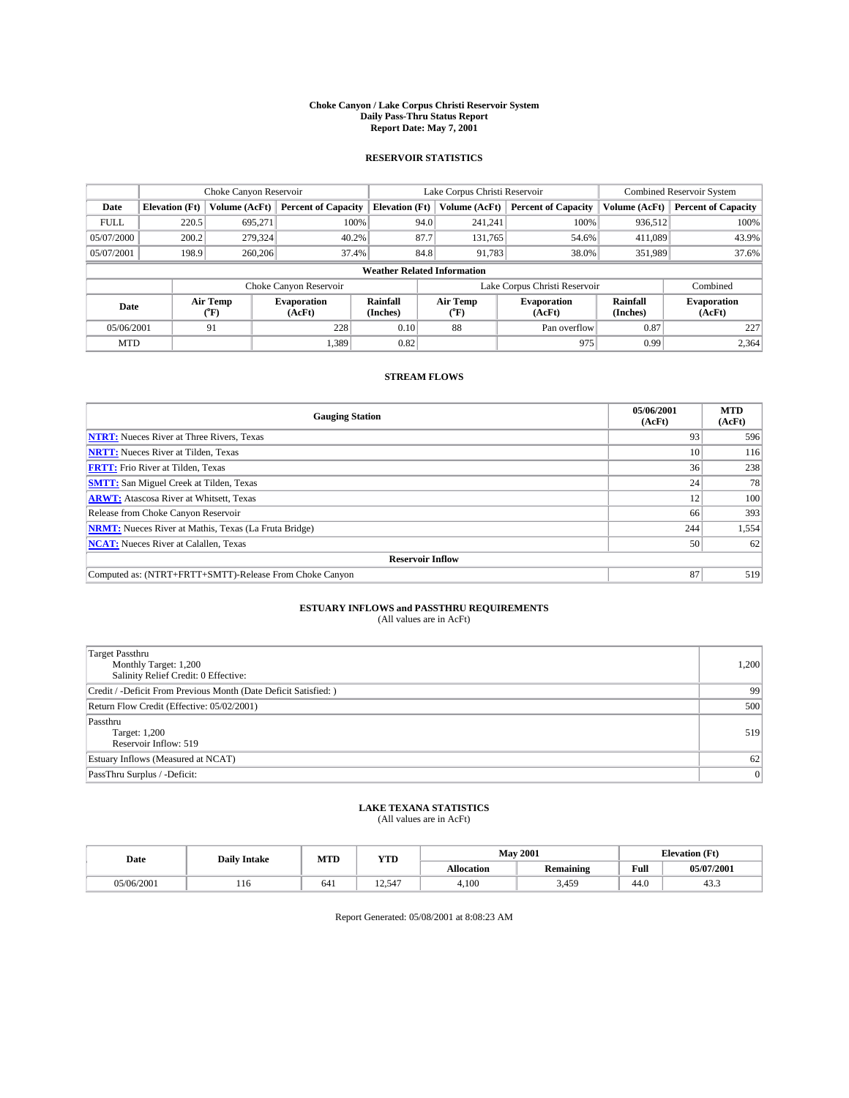#### **Choke Canyon / Lake Corpus Christi Reservoir System Daily Pass-Thru Status Report Report Date: May 7, 2001**

### **RESERVOIR STATISTICS**

|                                    |                       | Choke Canyon Reservoir   |                              |                       | Lake Corpus Christi Reservoir            | <b>Combined Reservoir System</b> |                      |                              |
|------------------------------------|-----------------------|--------------------------|------------------------------|-----------------------|------------------------------------------|----------------------------------|----------------------|------------------------------|
| Date                               | <b>Elevation</b> (Ft) | Volume (AcFt)            | <b>Percent of Capacity</b>   | <b>Elevation</b> (Ft) | Volume (AcFt)                            | <b>Percent of Capacity</b>       | Volume (AcFt)        | <b>Percent of Capacity</b>   |
| <b>FULL</b>                        | 220.5                 | 695,271                  | 100%                         | 94.0                  | 241,241                                  | 100%                             | 936,512              | 100%                         |
| 05/07/2000                         | 200.2                 | 279,324                  | 40.2%                        | 87.7                  | 131,765                                  | 54.6%                            | 411,089              | 43.9%                        |
| 05/07/2001                         | 198.9                 | 260,206                  | 37.4%                        | 84.8                  | 91,783                                   | 38.0%                            | 351,989              | 37.6%                        |
| <b>Weather Related Information</b> |                       |                          |                              |                       |                                          |                                  |                      |                              |
|                                    |                       |                          | Choke Canyon Reservoir       |                       |                                          | Lake Corpus Christi Reservoir    |                      | Combined                     |
| Date                               |                       | Air Temp<br>$\rm ^{o}F)$ | <b>Evaporation</b><br>(AcFt) | Rainfall<br>(Inches)  | Air Temp<br>$^{\prime\prime}\mathrm{F})$ | <b>Evaporation</b><br>(AcFt)     | Rainfall<br>(Inches) | <b>Evaporation</b><br>(AcFt) |
| 05/06/2001                         |                       | 91                       | 228                          | 0.10                  | 88                                       | Pan overflow                     | 0.87                 | 227                          |
| <b>MTD</b>                         |                       |                          | 1,389                        | 0.82                  |                                          | 975                              | 0.99                 | 2,364                        |

## **STREAM FLOWS**

| <b>Gauging Station</b>                                       | 05/06/2001<br>(AcFt) | <b>MTD</b><br>(AcFt) |  |  |  |  |
|--------------------------------------------------------------|----------------------|----------------------|--|--|--|--|
| <b>NTRT:</b> Nueces River at Three Rivers, Texas             | 93                   | 596                  |  |  |  |  |
| <b>NRTT:</b> Nueces River at Tilden, Texas                   | 10 <sup>1</sup>      | 116                  |  |  |  |  |
| <b>FRTT:</b> Frio River at Tilden, Texas                     | 36 <sup>1</sup>      | 238                  |  |  |  |  |
| <b>SMTT:</b> San Miguel Creek at Tilden, Texas               | 24                   | 78                   |  |  |  |  |
| <b>ARWT:</b> Atascosa River at Whitsett, Texas               | 12                   | 100                  |  |  |  |  |
| Release from Choke Canyon Reservoir                          | 66                   | 393                  |  |  |  |  |
| <b>NRMT:</b> Nueces River at Mathis, Texas (La Fruta Bridge) | 244                  | 1,554                |  |  |  |  |
| <b>NCAT:</b> Nueces River at Calallen, Texas                 | 50                   | 62                   |  |  |  |  |
| <b>Reservoir Inflow</b>                                      |                      |                      |  |  |  |  |
| Computed as: (NTRT+FRTT+SMTT)-Release From Choke Canyon      | 87                   | 519                  |  |  |  |  |

## **ESTUARY INFLOWS and PASSTHRU REQUIREMENTS**<br>(All values are in AcFt)

| <b>Target Passthru</b><br>Monthly Target: 1,200<br>Salinity Relief Credit: 0 Effective: | 1,200 |
|-----------------------------------------------------------------------------------------|-------|
| Credit / -Deficit From Previous Month (Date Deficit Satisfied: )                        | 99    |
| Return Flow Credit (Effective: 05/02/2001)                                              | 500   |
| Passthru<br>Target: 1,200<br>Reservoir Inflow: 519                                      | 519   |
| Estuary Inflows (Measured at NCAT)                                                      | 62    |
| PassThru Surplus / -Deficit:                                                            | 0     |

# **LAKE TEXANA STATISTICS** (All values are in AcFt)

| Date       | <b>Daily Intake</b> | MTD | <b>VTT</b><br>1 I D | <b>May 2001</b>   |                  | Œť<br>Elevation. |                |
|------------|---------------------|-----|---------------------|-------------------|------------------|------------------|----------------|
|            |                     |     |                     | <b>Allocation</b> | <b>Remaining</b> | Full             | 05/07/2001     |
| 05/06/2001 | 110                 | 641 | $-1$                | 4,100             | 3,459            | 44.0             | $\sim$<br>د.45 |

Report Generated: 05/08/2001 at 8:08:23 AM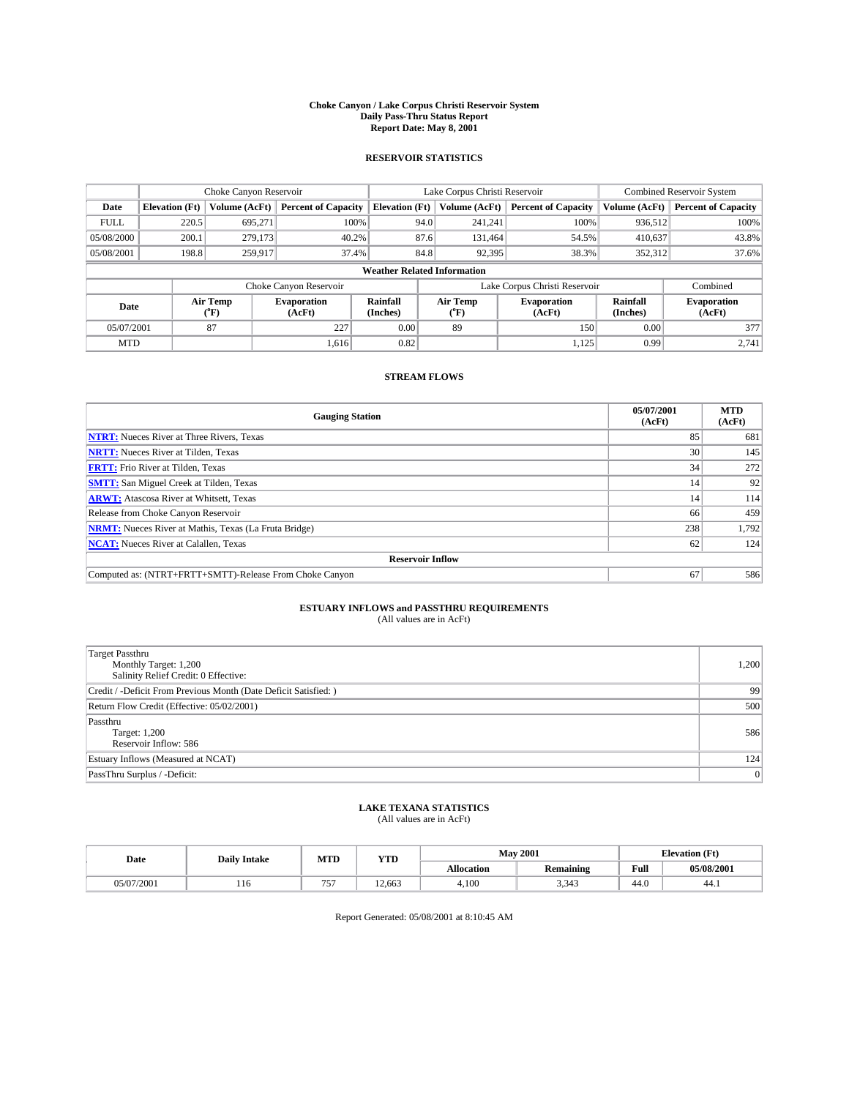#### **Choke Canyon / Lake Corpus Christi Reservoir System Daily Pass-Thru Status Report Report Date: May 8, 2001**

### **RESERVOIR STATISTICS**

|                                    |                       | Choke Canyon Reservoir |                              |                       | Lake Corpus Christi Reservoir | <b>Combined Reservoir System</b> |                      |                              |
|------------------------------------|-----------------------|------------------------|------------------------------|-----------------------|-------------------------------|----------------------------------|----------------------|------------------------------|
| Date                               | <b>Elevation</b> (Ft) | Volume (AcFt)          | <b>Percent of Capacity</b>   | <b>Elevation</b> (Ft) | Volume (AcFt)                 | <b>Percent of Capacity</b>       | Volume (AcFt)        | <b>Percent of Capacity</b>   |
| <b>FULL</b>                        | 220.5                 | 695,271                | 100%                         | 94.0                  | 241,241                       | 100%                             | 936,512              | 100%                         |
| 05/08/2000                         | 200.1                 | 279,173                | 40.2%                        | 87.6                  | 131,464                       | 54.5%                            | 410,637              | 43.8%                        |
| 05/08/2001                         | 198.8                 | 259,917                | 37.4%                        | 84.8                  | 92,395                        | 38.3%                            | 352,312              | 37.6%                        |
| <b>Weather Related Information</b> |                       |                        |                              |                       |                               |                                  |                      |                              |
|                                    |                       |                        | Choke Canyon Reservoir       |                       |                               | Lake Corpus Christi Reservoir    |                      | Combined                     |
| Date                               |                       | Air Temp<br>(°F)       | <b>Evaporation</b><br>(AcFt) | Rainfall<br>(Inches)  | Air Temp<br>("F)              | <b>Evaporation</b><br>(AcFt)     | Rainfall<br>(Inches) | <b>Evaporation</b><br>(AcFt) |
| 05/07/2001                         |                       | 87                     | 227                          | 0.00                  | 89                            | 150                              | 0.00                 | 377                          |
| <b>MTD</b>                         |                       |                        | 1.616                        | 0.82                  |                               | 1,125                            | 0.99                 | 2.741                        |

## **STREAM FLOWS**

| <b>Gauging Station</b>                                       | 05/07/2001<br>(AcFt) | <b>MTD</b><br>(AcFt) |  |  |  |  |
|--------------------------------------------------------------|----------------------|----------------------|--|--|--|--|
| <b>NTRT:</b> Nueces River at Three Rivers, Texas             | 85                   | 681                  |  |  |  |  |
| <b>NRTT:</b> Nueces River at Tilden, Texas                   | 30                   | 145                  |  |  |  |  |
| <b>FRTT:</b> Frio River at Tilden, Texas                     | 34                   | 272                  |  |  |  |  |
| <b>SMTT:</b> San Miguel Creek at Tilden, Texas               | 14                   | 92 <sub>1</sub>      |  |  |  |  |
| <b>ARWT:</b> Atascosa River at Whitsett, Texas               | 14                   | 114                  |  |  |  |  |
| Release from Choke Canyon Reservoir                          | 66                   | 459                  |  |  |  |  |
| <b>NRMT:</b> Nueces River at Mathis, Texas (La Fruta Bridge) | 238                  | 1.792                |  |  |  |  |
| <b>NCAT:</b> Nueces River at Calallen, Texas                 | 62                   | 124                  |  |  |  |  |
| <b>Reservoir Inflow</b>                                      |                      |                      |  |  |  |  |
| Computed as: (NTRT+FRTT+SMTT)-Release From Choke Canyon      | 67                   | 586                  |  |  |  |  |

## **ESTUARY INFLOWS and PASSTHRU REQUIREMENTS**<br>(All values are in AcFt)

| <b>Target Passthru</b><br>Monthly Target: 1,200<br>Salinity Relief Credit: 0 Effective: | 1,200 |
|-----------------------------------------------------------------------------------------|-------|
| Credit / -Deficit From Previous Month (Date Deficit Satisfied: )                        | 99    |
| Return Flow Credit (Effective: 05/02/2001)                                              | 500   |
| Passthru<br>Target: 1,200<br>Reservoir Inflow: 586                                      | 586   |
| Estuary Inflows (Measured at NCAT)                                                      | 124   |
| PassThru Surplus / -Deficit:                                                            | 0     |

# **LAKE TEXANA STATISTICS** (All values are in AcFt)

| Date       | <b>Daily Intake</b> | MTD            | <b>WITH</b><br>1 I.D |                   | <b>May 2001</b>  | (Ft<br>--<br>tlevation |            |
|------------|---------------------|----------------|----------------------|-------------------|------------------|------------------------|------------|
|            |                     |                |                      | <b>Allocation</b> | <b>Remaining</b> | Full                   | 05/08/2001 |
| 05/07/2001 | 110                 | $- - -$<br>. J | <sup>2</sup> .663    | 4,100             | 3,343            | 44.0                   | 44.1       |

Report Generated: 05/08/2001 at 8:10:45 AM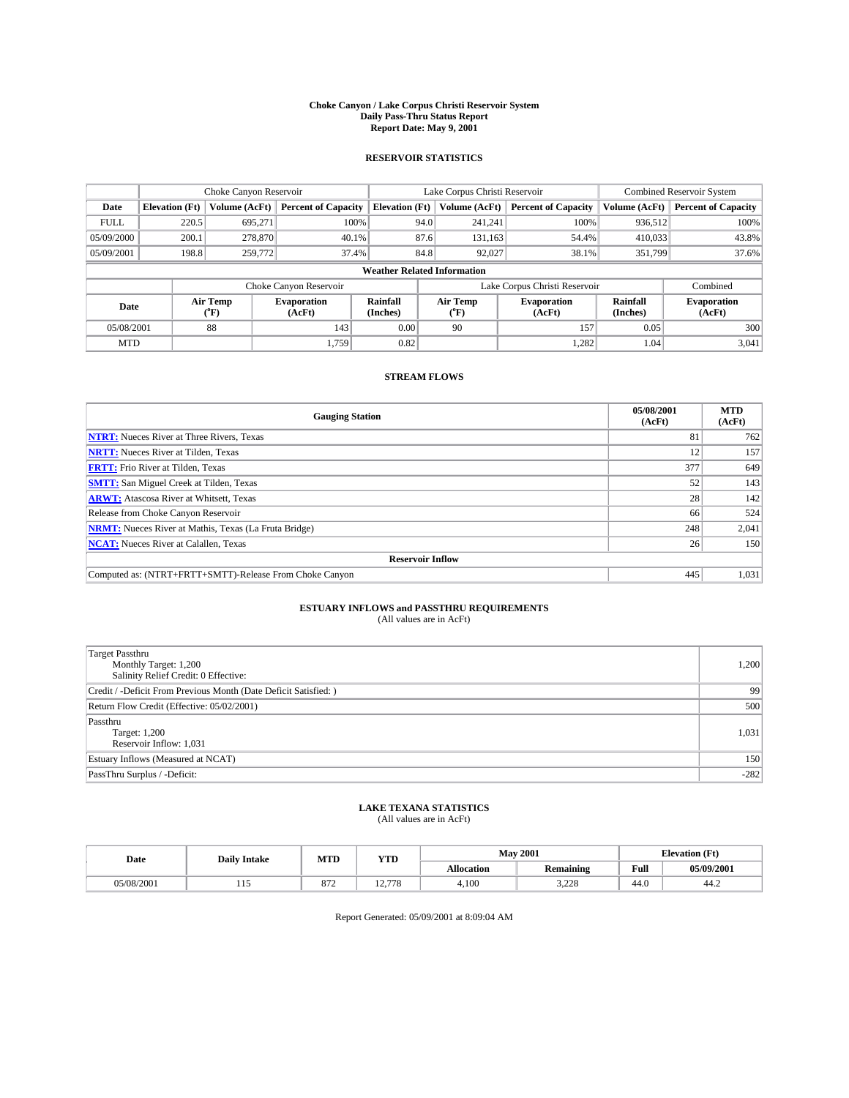#### **Choke Canyon / Lake Corpus Christi Reservoir System Daily Pass-Thru Status Report Report Date: May 9, 2001**

### **RESERVOIR STATISTICS**

|                                    |                       | Choke Canyon Reservoir |                              |                       | Lake Corpus Christi Reservoir | <b>Combined Reservoir System</b> |                      |                              |
|------------------------------------|-----------------------|------------------------|------------------------------|-----------------------|-------------------------------|----------------------------------|----------------------|------------------------------|
| Date                               | <b>Elevation</b> (Ft) | Volume (AcFt)          | <b>Percent of Capacity</b>   | <b>Elevation</b> (Ft) | Volume (AcFt)                 | <b>Percent of Capacity</b>       | Volume (AcFt)        | <b>Percent of Capacity</b>   |
| <b>FULL</b>                        | 220.5                 | 695,271                | 100%                         | 94.0                  | 241,241                       | 100%                             | 936,512              | 100%                         |
| 05/09/2000                         | 200.1                 | 278,870                | 40.1%                        | 87.6                  | 131,163                       | 54.4%                            | 410,033              | 43.8%                        |
| 05/09/2001                         | 198.8                 | 259,772                | 37.4%                        | 84.8                  | 92,027                        | 38.1%                            | 351.799              | 37.6%                        |
| <b>Weather Related Information</b> |                       |                        |                              |                       |                               |                                  |                      |                              |
|                                    |                       |                        | Choke Canyon Reservoir       |                       |                               | Lake Corpus Christi Reservoir    |                      | Combined                     |
| Date                               |                       | Air Temp<br>(°F)       | <b>Evaporation</b><br>(AcFt) | Rainfall<br>(Inches)  | Air Temp<br>("F)              | <b>Evaporation</b><br>(AcFt)     | Rainfall<br>(Inches) | <b>Evaporation</b><br>(AcFt) |
| 05/08/2001                         |                       | 88                     | 143                          | 0.00                  | 90                            | 157                              | 0.05                 | 300                          |
| <b>MTD</b>                         |                       |                        | 1.759                        | 0.82                  |                               | 1,282                            | 1.04                 | 3,041                        |

## **STREAM FLOWS**

| <b>Gauging Station</b>                                       | 05/08/2001<br>(AcFt) | <b>MTD</b><br>(AcFt) |  |  |  |  |  |
|--------------------------------------------------------------|----------------------|----------------------|--|--|--|--|--|
| <b>NTRT:</b> Nueces River at Three Rivers, Texas             | 81                   | 762                  |  |  |  |  |  |
| <b>NRTT:</b> Nueces River at Tilden, Texas                   | 12                   | 157                  |  |  |  |  |  |
| <b>FRTT:</b> Frio River at Tilden, Texas                     | 377                  | 649                  |  |  |  |  |  |
| <b>SMTT:</b> San Miguel Creek at Tilden, Texas               | 52                   | 143                  |  |  |  |  |  |
| <b>ARWT:</b> Atascosa River at Whitsett, Texas               | 28                   | 142                  |  |  |  |  |  |
| Release from Choke Canyon Reservoir                          | 66                   | 524                  |  |  |  |  |  |
| <b>NRMT:</b> Nueces River at Mathis, Texas (La Fruta Bridge) | 248                  | 2,041                |  |  |  |  |  |
| <b>NCAT:</b> Nueces River at Calallen, Texas                 | 26                   | 150                  |  |  |  |  |  |
| <b>Reservoir Inflow</b>                                      |                      |                      |  |  |  |  |  |
| Computed as: (NTRT+FRTT+SMTT)-Release From Choke Canyon      | 445                  | 1,031                |  |  |  |  |  |

## **ESTUARY INFLOWS and PASSTHRU REQUIREMENTS**<br>(All values are in AcFt)

| <b>Target Passthru</b><br>Monthly Target: 1,200<br>Salinity Relief Credit: 0 Effective: | 1,200  |
|-----------------------------------------------------------------------------------------|--------|
| Credit / -Deficit From Previous Month (Date Deficit Satisfied: )                        | 99     |
| Return Flow Credit (Effective: 05/02/2001)                                              | 500    |
| Passthru<br>Target: 1,200<br>Reservoir Inflow: 1,031                                    | 1,031  |
| Estuary Inflows (Measured at NCAT)                                                      | 150    |
| PassThru Surplus / -Deficit:                                                            | $-282$ |

# **LAKE TEXANA STATISTICS** (All values are in AcFt)

| Date       | <b>Daily Intake</b> | MTD             | <b>WITH</b><br>1 I.D         | <b>May 2001</b>   |                  | (Ft<br>--<br>tlevation |            |
|------------|---------------------|-----------------|------------------------------|-------------------|------------------|------------------------|------------|
|            |                     |                 |                              | <b>Allocation</b> | <b>Remaining</b> | Full                   | 05/09/2001 |
| 05/08/2001 | .                   | $\Omega$<br>O/L | 1270<br>78<br>$\overline{1}$ | 4,100             | 2,000<br>0ء∠د    | 44.0                   | 44.∠       |

Report Generated: 05/09/2001 at 8:09:04 AM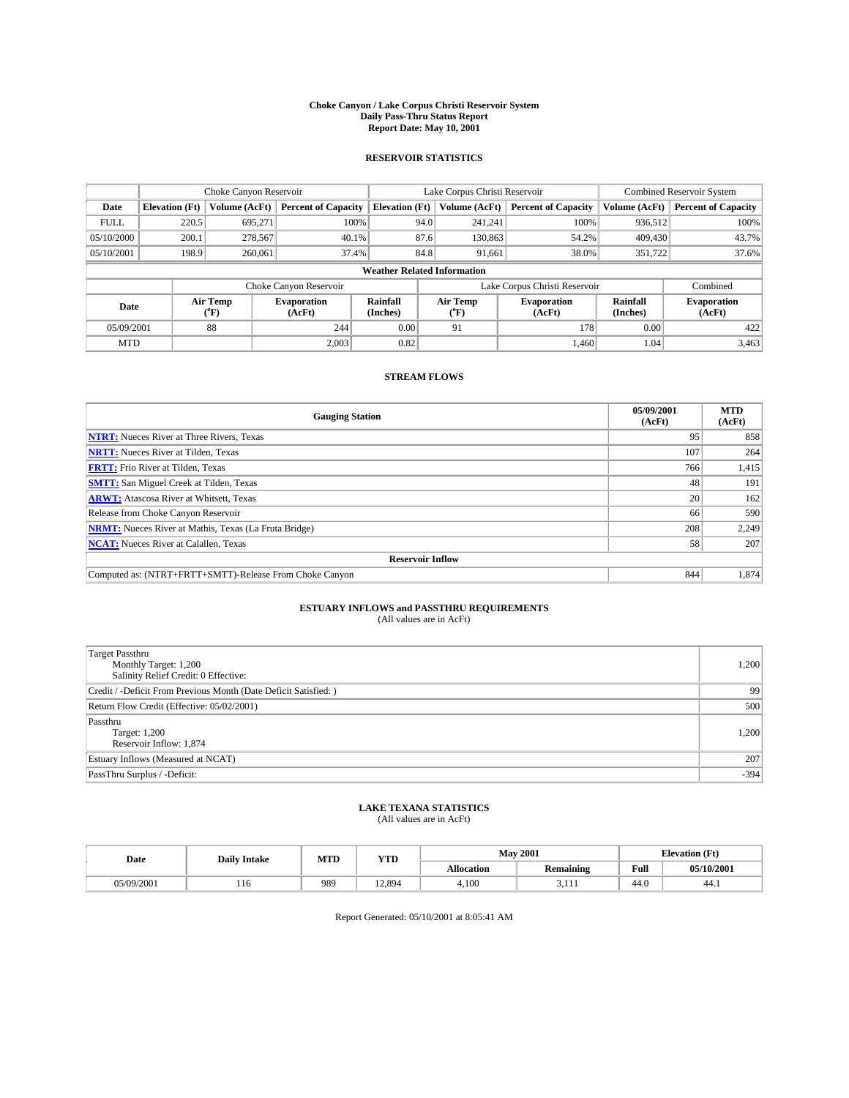#### **Choke Canyon / Lake Corpus Christi Reservoir System Daily Pass-Thru Status Report Report Date: May 10, 2001**

### **RESERVOIR STATISTICS**

|                                    | Choke Canyon Reservoir |                  |                              |                       | Lake Corpus Christi Reservoir |               |                               |                      | <b>Combined Reservoir System</b> |  |
|------------------------------------|------------------------|------------------|------------------------------|-----------------------|-------------------------------|---------------|-------------------------------|----------------------|----------------------------------|--|
| Date                               | <b>Elevation</b> (Ft)  | Volume (AcFt)    | <b>Percent of Capacity</b>   | <b>Elevation</b> (Ft) |                               | Volume (AcFt) | <b>Percent of Capacity</b>    | Volume (AcFt)        | <b>Percent of Capacity</b>       |  |
| <b>FULL</b>                        | 220.5                  | 695,271          | 100%                         |                       | 94.0                          | 241,241       | 100%                          | 936.512              | 100%                             |  |
| 05/10/2000                         | 200.1                  | 278,567          | $40.1\%$                     |                       | 87.6                          | 130,863       | 54.2%                         | 409,430              | 43.7%                            |  |
| 05/10/2001                         | 198.9                  | 260,061          | 37.4%                        |                       | 84.8                          | 91,661        | 38.0%                         | 351,722              | 37.6%                            |  |
| <b>Weather Related Information</b> |                        |                  |                              |                       |                               |               |                               |                      |                                  |  |
|                                    |                        |                  | Choke Canyon Reservoir       |                       |                               |               | Lake Corpus Christi Reservoir |                      | Combined                         |  |
| Date                               |                        | Air Temp<br>(°F) | <b>Evaporation</b><br>(AcFt) | Rainfall<br>(Inches)  | Air Temp<br>("F)              |               | <b>Evaporation</b><br>(AcFt)  | Rainfall<br>(Inches) | <b>Evaporation</b><br>(AcFt)     |  |
| 05/09/2001                         |                        | 88               | 244                          | 0.00                  | 91                            |               | 178                           | 0.00                 | 422                              |  |
| <b>MTD</b>                         |                        |                  | 2.003                        | 0.82                  |                               |               | 1.460                         | 1.04                 | 3,463                            |  |

## **STREAM FLOWS**

| <b>Gauging Station</b>                                       | 05/09/2001<br>(AcFt) | <b>MTD</b><br>(AcFt) |  |  |  |  |
|--------------------------------------------------------------|----------------------|----------------------|--|--|--|--|
| <b>NTRT:</b> Nueces River at Three Rivers, Texas             | 95                   | 858                  |  |  |  |  |
| <b>NRTT:</b> Nueces River at Tilden, Texas                   | 107                  | 264                  |  |  |  |  |
| <b>FRTT:</b> Frio River at Tilden, Texas                     | 766                  | 1,415                |  |  |  |  |
| <b>SMTT:</b> San Miguel Creek at Tilden, Texas               | 48                   | 191                  |  |  |  |  |
| <b>ARWT:</b> Atascosa River at Whitsett, Texas               | <b>20</b>            | 162                  |  |  |  |  |
| Release from Choke Canyon Reservoir                          | 66                   | 590                  |  |  |  |  |
| <b>NRMT:</b> Nueces River at Mathis, Texas (La Fruta Bridge) | 208                  | 2,249                |  |  |  |  |
| <b>NCAT:</b> Nueces River at Calallen, Texas                 | 58                   | 207                  |  |  |  |  |
| <b>Reservoir Inflow</b>                                      |                      |                      |  |  |  |  |
| Computed as: (NTRT+FRTT+SMTT)-Release From Choke Canyon      | 844                  | 1.874                |  |  |  |  |

## **ESTUARY INFLOWS and PASSTHRU REQUIREMENTS**<br>(All values are in AcFt)

| <b>Target Passthru</b><br>Monthly Target: 1,200<br>Salinity Relief Credit: 0 Effective: | 1,200  |
|-----------------------------------------------------------------------------------------|--------|
| Credit / -Deficit From Previous Month (Date Deficit Satisfied: )                        | 99     |
| Return Flow Credit (Effective: 05/02/2001)                                              | 500    |
| Passthru<br>Target: 1,200<br>Reservoir Inflow: 1,874                                    | 1,200  |
| Estuary Inflows (Measured at NCAT)                                                      | 207    |
| PassThru Surplus / -Deficit:                                                            | $-394$ |

# **LAKE TEXANA STATISTICS** (All values are in AcFt)

| Date       | <b>Daily Intake</b> | MTD | <b>VTT</b><br>1 I.D |                   | <b>May 2001</b>  | Œť<br><b>TAL</b><br>Elevation |            |
|------------|---------------------|-----|---------------------|-------------------|------------------|-------------------------------|------------|
|            |                     |     |                     | <b>Allocation</b> | <b>Remaining</b> | Full                          | 05/10/2001 |
| 05/09/2001 | 110                 | 989 | 12.894              | 4,100             | .                | 44.0                          | 44.1       |

Report Generated: 05/10/2001 at 8:05:41 AM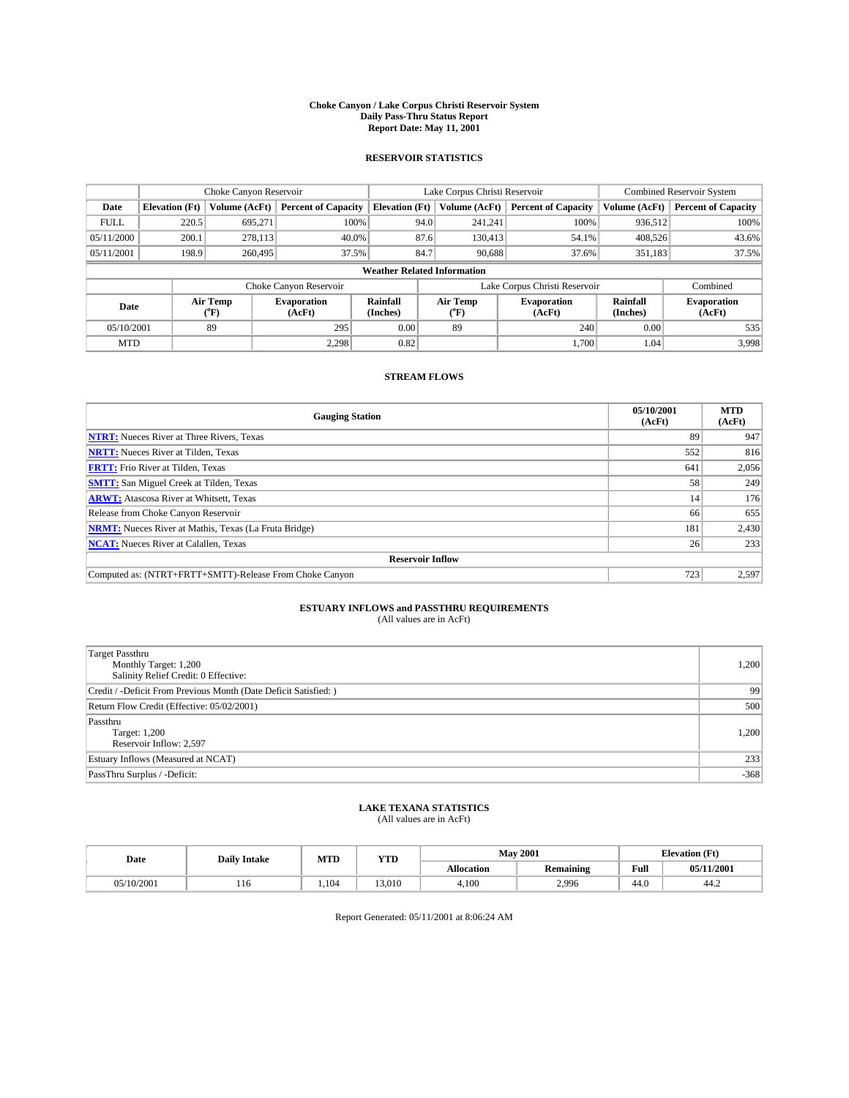#### **Choke Canyon / Lake Corpus Christi Reservoir System Daily Pass-Thru Status Report Report Date: May 11, 2001**

### **RESERVOIR STATISTICS**

|                                    | Choke Canyon Reservoir |                  |                              |                       | Lake Corpus Christi Reservoir | <b>Combined Reservoir System</b> |                      |                              |
|------------------------------------|------------------------|------------------|------------------------------|-----------------------|-------------------------------|----------------------------------|----------------------|------------------------------|
| Date                               | <b>Elevation</b> (Ft)  | Volume (AcFt)    | <b>Percent of Capacity</b>   | <b>Elevation</b> (Ft) | Volume (AcFt)                 | <b>Percent of Capacity</b>       | Volume (AcFt)        | <b>Percent of Capacity</b>   |
| <b>FULL</b>                        | 220.5                  | 695,271          | 100%                         |                       | 94.0<br>241,241               | 100%                             | 936,512              | 100%                         |
| 05/11/2000                         | 200.1                  | 278,113          | 40.0%                        |                       | 87.6<br>130,413               | 54.1%                            | 408,526              | 43.6%                        |
| 05/11/2001                         | 198.9                  | 260,495          | 37.5%                        | 84.7                  | 90.688                        | 37.6%                            | 351,183              | 37.5%                        |
| <b>Weather Related Information</b> |                        |                  |                              |                       |                               |                                  |                      |                              |
|                                    |                        |                  | Choke Canyon Reservoir       |                       |                               | Lake Corpus Christi Reservoir    |                      | Combined                     |
| Date                               |                        | Air Temp<br>(°F) | <b>Evaporation</b><br>(AcFt) | Rainfall<br>(Inches)  | Air Temp<br>("F)              | <b>Evaporation</b><br>(AcFt)     | Rainfall<br>(Inches) | <b>Evaporation</b><br>(AcFt) |
| 05/10/2001                         |                        | 89               | 295                          | 0.00                  | 89                            | 240                              | 0.00                 | 535                          |
| <b>MTD</b>                         |                        |                  | 2.298                        | 0.82                  |                               | 1.700                            | 1.04                 | 3,998                        |

## **STREAM FLOWS**

| <b>Gauging Station</b>                                       | 05/10/2001<br>(AcFt) | <b>MTD</b><br>(AcFt) |  |  |  |  |
|--------------------------------------------------------------|----------------------|----------------------|--|--|--|--|
| <b>NTRT:</b> Nueces River at Three Rivers, Texas             | 89                   | 947                  |  |  |  |  |
| <b>NRTT:</b> Nueces River at Tilden, Texas                   | 552                  | 816                  |  |  |  |  |
| <b>FRTT:</b> Frio River at Tilden, Texas                     | 641                  | 2,056                |  |  |  |  |
| <b>SMTT:</b> San Miguel Creek at Tilden, Texas               | 58                   | 249                  |  |  |  |  |
| <b>ARWT:</b> Atascosa River at Whitsett, Texas               | 14                   | 176                  |  |  |  |  |
| Release from Choke Canyon Reservoir                          | 66                   | 655                  |  |  |  |  |
| <b>NRMT:</b> Nueces River at Mathis, Texas (La Fruta Bridge) | 181                  | 2,430                |  |  |  |  |
| <b>NCAT:</b> Nueces River at Calallen, Texas                 | 26                   | 233                  |  |  |  |  |
| <b>Reservoir Inflow</b>                                      |                      |                      |  |  |  |  |
| Computed as: (NTRT+FRTT+SMTT)-Release From Choke Canyon      | 723                  | 2,597                |  |  |  |  |

## **ESTUARY INFLOWS and PASSTHRU REQUIREMENTS**<br>(All values are in AcFt)

| Target Passthru<br>Monthly Target: 1,200<br>Salinity Relief Credit: 0 Effective: | 1,200  |
|----------------------------------------------------------------------------------|--------|
| Credit / -Deficit From Previous Month (Date Deficit Satisfied: )                 | 99     |
| Return Flow Credit (Effective: 05/02/2001)                                       | 500    |
| Passthru<br>Target: 1,200<br>Reservoir Inflow: 2,597                             | 1,200  |
| Estuary Inflows (Measured at NCAT)                                               | 233    |
| PassThru Surplus / -Deficit:                                                     | $-368$ |

# **LAKE TEXANA STATISTICS** (All values are in AcFt)

| Date       | <b>Daily Intake</b> | MTD  | <b>YTD</b> |                   | <b>May 2001</b>  | <b>Elevation</b> (Ft) |            |
|------------|---------------------|------|------------|-------------------|------------------|-----------------------|------------|
|            |                     |      |            | <b>Allocation</b> | <b>Remaining</b> | Full                  | 05/11/2001 |
| 05/10/2001 | 110                 | .104 | 13.010     | 4,100             | 2,996            | 44.0                  | 44.∠       |

Report Generated: 05/11/2001 at 8:06:24 AM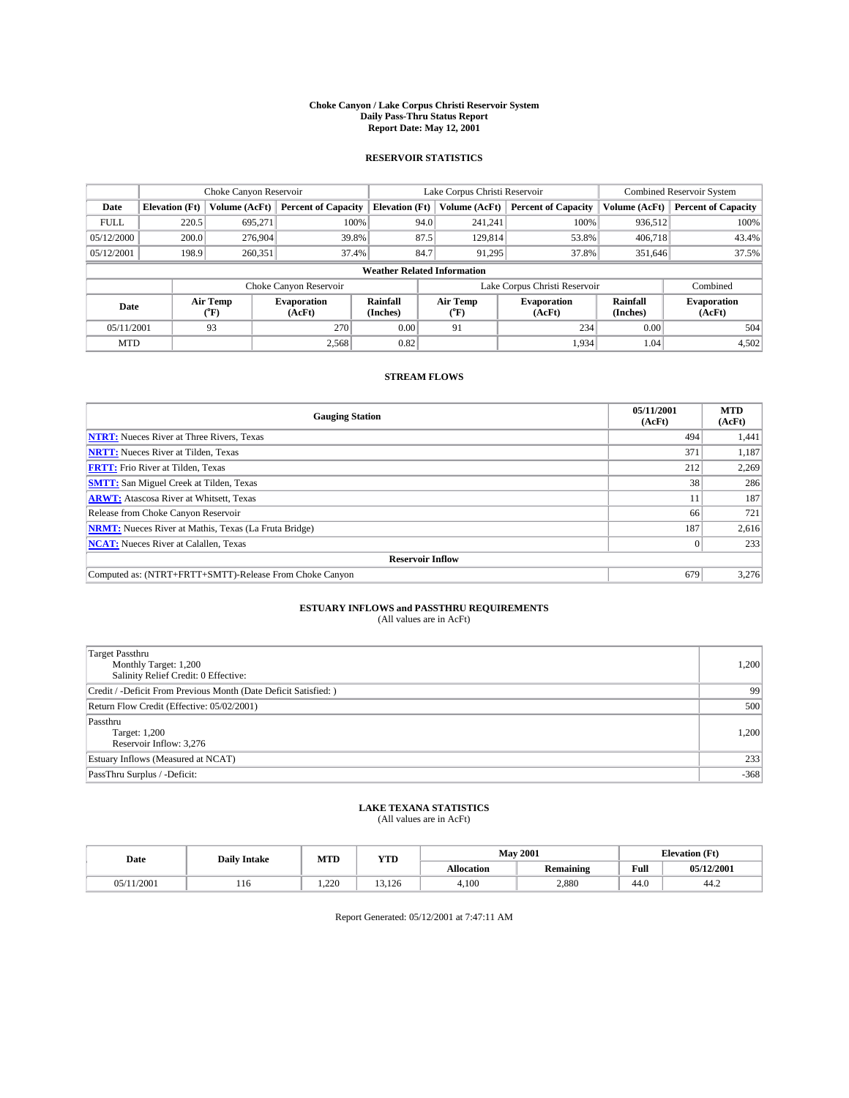#### **Choke Canyon / Lake Corpus Christi Reservoir System Daily Pass-Thru Status Report Report Date: May 12, 2001**

### **RESERVOIR STATISTICS**

|                                    | Choke Canyon Reservoir |                  |                              |                       | Lake Corpus Christi Reservoir | <b>Combined Reservoir System</b> |                      |                              |
|------------------------------------|------------------------|------------------|------------------------------|-----------------------|-------------------------------|----------------------------------|----------------------|------------------------------|
| Date                               | <b>Elevation</b> (Ft)  | Volume (AcFt)    | <b>Percent of Capacity</b>   | <b>Elevation</b> (Ft) | Volume (AcFt)                 | <b>Percent of Capacity</b>       | Volume (AcFt)        | <b>Percent of Capacity</b>   |
| <b>FULL</b>                        | 220.5                  | 695,271          | 100%                         | 94.0                  | 241,241                       | 100%                             | 936,512              | 100%                         |
| 05/12/2000                         | 200.0                  | 276,904          | 39.8%                        | 87.5                  | 129,814                       | 53.8%                            | 406,718              | 43.4%                        |
| 05/12/2001                         | 198.9                  | 260,351          | 37.4%                        | 84.7                  | 91.295                        | 37.8%                            | 351,646              | 37.5%                        |
| <b>Weather Related Information</b> |                        |                  |                              |                       |                               |                                  |                      |                              |
|                                    |                        |                  | Choke Canyon Reservoir       |                       |                               | Lake Corpus Christi Reservoir    |                      | Combined                     |
| Date                               |                        | Air Temp<br>(°F) | <b>Evaporation</b><br>(AcFt) | Rainfall<br>(Inches)  | Air Temp<br>("F)              | <b>Evaporation</b><br>(AcFt)     | Rainfall<br>(Inches) | <b>Evaporation</b><br>(AcFt) |
| 05/11/2001                         |                        | 93               | 270                          | 0.00                  | 91                            | 234                              | 0.00                 | 504                          |
| <b>MTD</b>                         |                        |                  | 2.568                        | 0.82                  |                               | 1.934                            | 1.04                 | 4,502                        |

## **STREAM FLOWS**

| <b>Gauging Station</b>                                       | 05/11/2001<br>(AcFt) | <b>MTD</b><br>(AcFt) |  |  |  |  |
|--------------------------------------------------------------|----------------------|----------------------|--|--|--|--|
| <b>NTRT:</b> Nueces River at Three Rivers, Texas             | 494                  | 1,441                |  |  |  |  |
| <b>NRTT:</b> Nueces River at Tilden, Texas                   | 371                  | 1,187                |  |  |  |  |
| <b>FRTT:</b> Frio River at Tilden, Texas                     | 212                  | 2,269                |  |  |  |  |
| <b>SMTT:</b> San Miguel Creek at Tilden, Texas               | 38                   | 286                  |  |  |  |  |
| <b>ARWT:</b> Atascosa River at Whitsett, Texas               | 11                   | 187                  |  |  |  |  |
| Release from Choke Canyon Reservoir                          | 66                   | 721                  |  |  |  |  |
| <b>NRMT:</b> Nueces River at Mathis, Texas (La Fruta Bridge) | 187                  | 2,616                |  |  |  |  |
| <b>NCAT:</b> Nueces River at Calallen, Texas                 |                      | 233                  |  |  |  |  |
| <b>Reservoir Inflow</b>                                      |                      |                      |  |  |  |  |
| Computed as: (NTRT+FRTT+SMTT)-Release From Choke Canyon      | 679                  | 3.276                |  |  |  |  |

## **ESTUARY INFLOWS and PASSTHRU REQUIREMENTS**<br>(All values are in AcFt)

| <b>Target Passthru</b><br>Monthly Target: 1,200<br>Salinity Relief Credit: 0 Effective: | 1,200  |
|-----------------------------------------------------------------------------------------|--------|
| Credit / -Deficit From Previous Month (Date Deficit Satisfied: )                        | 99     |
| Return Flow Credit (Effective: 05/02/2001)                                              | 500    |
| Passthru<br><b>Target: 1,200</b><br>Reservoir Inflow: 3,276                             | 1,200  |
| Estuary Inflows (Measured at NCAT)                                                      | 233    |
| PassThru Surplus / -Deficit:                                                            | $-368$ |

# **LAKE TEXANA STATISTICS** (All values are in AcFt)

| Date         | <b>Daily Intake</b> | MTD   | <b>VTT</b><br>1 I D | <b>May 2001</b>   |                  | <b>Elevation</b> (Ft) |            |
|--------------|---------------------|-------|---------------------|-------------------|------------------|-----------------------|------------|
|              |                     |       |                     | <b>Allocation</b> | <b>Remaining</b> | Full                  | 05/12/2001 |
| /2001<br>05. | 110                 | 1.220 | 3.126               | 4,100             | 2,880            | 44.0                  | 44.∠       |

Report Generated: 05/12/2001 at 7:47:11 AM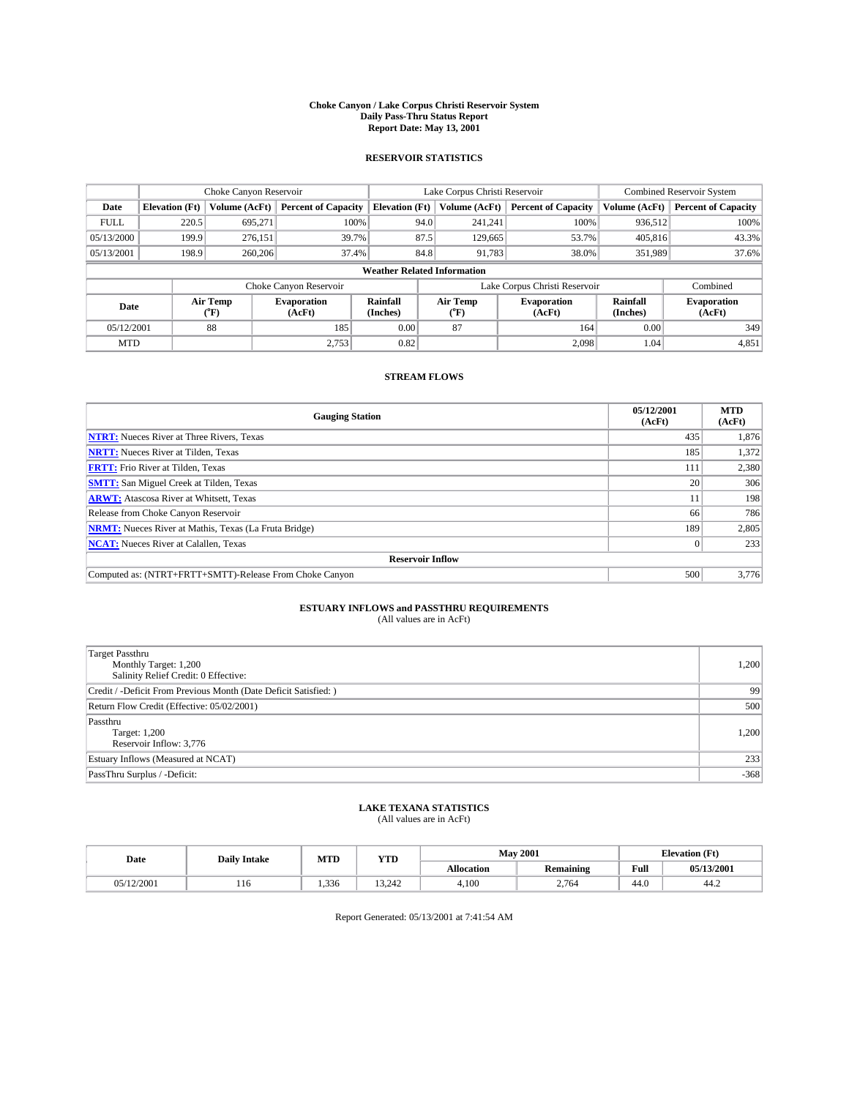#### **Choke Canyon / Lake Corpus Christi Reservoir System Daily Pass-Thru Status Report Report Date: May 13, 2001**

### **RESERVOIR STATISTICS**

|                                    | Choke Canyon Reservoir |                  |                              |                       | Lake Corpus Christi Reservoir | <b>Combined Reservoir System</b> |                      |                              |
|------------------------------------|------------------------|------------------|------------------------------|-----------------------|-------------------------------|----------------------------------|----------------------|------------------------------|
| Date                               | <b>Elevation</b> (Ft)  | Volume (AcFt)    | <b>Percent of Capacity</b>   | <b>Elevation</b> (Ft) | Volume (AcFt)                 | <b>Percent of Capacity</b>       | Volume (AcFt)        | <b>Percent of Capacity</b>   |
| <b>FULL</b>                        | 220.5                  | 695,271          | 100%                         |                       | 94.0<br>241,241               | 100%                             | 936.512              | 100%                         |
| 05/13/2000                         | 199.9                  | 276.151          | 39.7%                        |                       | 87.5<br>129,665               | 53.7%                            | 405,816              | 43.3%                        |
| 05/13/2001                         | 198.9                  | 260,206          | 37.4%                        |                       | 84.8<br>91,783                | 38.0%                            | 351,989              | 37.6%                        |
| <b>Weather Related Information</b> |                        |                  |                              |                       |                               |                                  |                      |                              |
|                                    |                        |                  | Choke Canyon Reservoir       |                       |                               | Lake Corpus Christi Reservoir    |                      | Combined                     |
| Date                               |                        | Air Temp<br>(°F) | <b>Evaporation</b><br>(AcFt) | Rainfall<br>(Inches)  | Air Temp<br>("F)              | <b>Evaporation</b><br>(AcFt)     | Rainfall<br>(Inches) | <b>Evaporation</b><br>(AcFt) |
| 05/12/2001                         |                        | 88               | 185                          | 0.00                  | 87                            | 164                              | 0.00                 | 349                          |
| <b>MTD</b>                         |                        |                  | 2.753                        | 0.82                  |                               | 2.098                            | 1.04                 | 4,851                        |

## **STREAM FLOWS**

| <b>Gauging Station</b>                                       | 05/12/2001<br>(AcFt) | <b>MTD</b><br>(AcFt) |  |  |  |  |
|--------------------------------------------------------------|----------------------|----------------------|--|--|--|--|
| <b>NTRT:</b> Nueces River at Three Rivers, Texas             | 435                  | 1,876                |  |  |  |  |
| <b>NRTT:</b> Nueces River at Tilden, Texas                   | 185                  | 1,372                |  |  |  |  |
| <b>FRTT:</b> Frio River at Tilden, Texas                     | 111                  | 2,380                |  |  |  |  |
| <b>SMTT:</b> San Miguel Creek at Tilden, Texas               | 20                   | 306                  |  |  |  |  |
| <b>ARWT:</b> Atascosa River at Whitsett, Texas               | 11                   | 198                  |  |  |  |  |
| Release from Choke Canyon Reservoir                          | 66                   | 786                  |  |  |  |  |
| <b>NRMT:</b> Nueces River at Mathis, Texas (La Fruta Bridge) | 189                  | 2,805                |  |  |  |  |
| <b>NCAT:</b> Nueces River at Calallen, Texas                 |                      | 233                  |  |  |  |  |
| <b>Reservoir Inflow</b>                                      |                      |                      |  |  |  |  |
| Computed as: (NTRT+FRTT+SMTT)-Release From Choke Canyon      | 500                  | 3.776                |  |  |  |  |

## **ESTUARY INFLOWS and PASSTHRU REQUIREMENTS**<br>(All values are in AcFt)

| Target Passthru<br>Monthly Target: 1,200<br>Salinity Relief Credit: 0 Effective: | 1,200  |
|----------------------------------------------------------------------------------|--------|
| Credit / -Deficit From Previous Month (Date Deficit Satisfied: )                 | 99     |
| Return Flow Credit (Effective: 05/02/2001)                                       | 500    |
| Passthru<br>Target: 1,200<br>Reservoir Inflow: 3,776                             | 1,200  |
| Estuary Inflows (Measured at NCAT)                                               | 233    |
| PassThru Surplus / -Deficit:                                                     | $-368$ |

# **LAKE TEXANA STATISTICS** (All values are in AcFt)

| Date       | <b>Daily Intake</b> | MTD   | VTT<br>1 I D                      |                   | <b>May 2001</b>  | <b>Elevation</b> (Ft) |            |
|------------|---------------------|-------|-----------------------------------|-------------------|------------------|-----------------------|------------|
|            |                     |       |                                   | <b>Allocation</b> | <b>Remaining</b> | Full                  | 05/13/2001 |
| 05/12/2001 | 110                 | 1.336 | $\sim$<br>$\sim$ $\sim$<br>.J.442 | 4,100             | 2,764            | 44.0                  | 44.∠       |

Report Generated: 05/13/2001 at 7:41:54 AM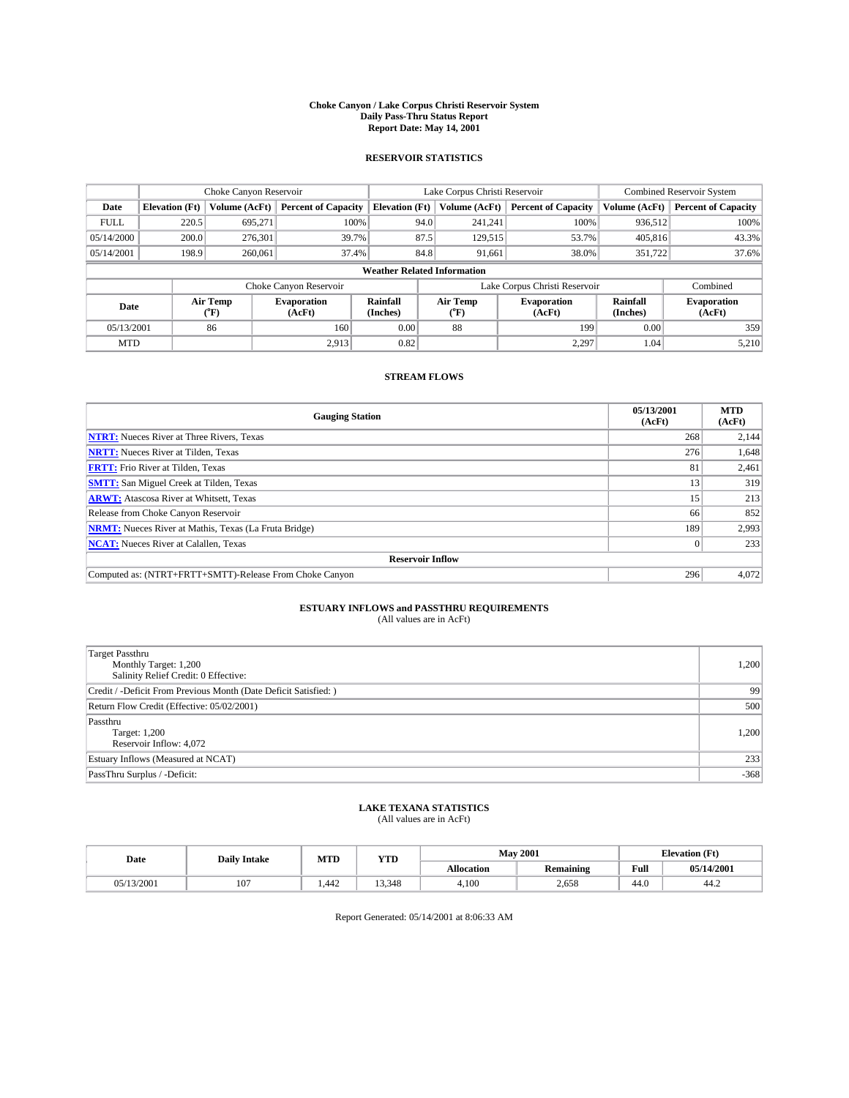#### **Choke Canyon / Lake Corpus Christi Reservoir System Daily Pass-Thru Status Report Report Date: May 14, 2001**

### **RESERVOIR STATISTICS**

|             | Choke Canyon Reservoir             |                  |                              |                             | Lake Corpus Christi Reservoir |         |                               |                      | <b>Combined Reservoir System</b> |  |
|-------------|------------------------------------|------------------|------------------------------|-----------------------------|-------------------------------|---------|-------------------------------|----------------------|----------------------------------|--|
| Date        | <b>Elevation</b> (Ft)              | Volume (AcFt)    | <b>Percent of Capacity</b>   | <b>Elevation</b> (Ft)       | Volume (AcFt)                 |         | <b>Percent of Capacity</b>    | Volume (AcFt)        | <b>Percent of Capacity</b>       |  |
| <b>FULL</b> | 220.5                              | 695,271          | 100%                         |                             | 94.0                          | 241,241 | 100%                          | 936,512              | 100%                             |  |
| 05/14/2000  | 200.0                              | 276,301          | 39.7%                        |                             | 87.5                          | 129,515 | 53.7%                         | 405,816              | 43.3%                            |  |
| 05/14/2001  | 198.9                              | 260,061          | 37.4%                        |                             | 84.8                          | 91,661  | 38.0%                         | 351,722              | 37.6%                            |  |
|             | <b>Weather Related Information</b> |                  |                              |                             |                               |         |                               |                      |                                  |  |
|             |                                    |                  | Choke Canyon Reservoir       |                             |                               |         | Lake Corpus Christi Reservoir |                      | Combined                         |  |
| Date        |                                    | Air Temp<br>(°F) | <b>Evaporation</b><br>(AcFt) | <b>Rainfall</b><br>(Inches) | Air Temp<br>("F)              |         | <b>Evaporation</b><br>(AcFt)  | Rainfall<br>(Inches) | <b>Evaporation</b><br>(AcFt)     |  |
| 05/13/2001  |                                    | 86               | 160                          | 0.00                        | 88                            |         | 199                           | 0.00                 | 359                              |  |
| <b>MTD</b>  |                                    |                  | 2.913                        | 0.82                        |                               |         | 2,297                         | 1.04                 | 5,210                            |  |

## **STREAM FLOWS**

| <b>Gauging Station</b>                                       | 05/13/2001<br>(AcFt) | <b>MTD</b><br>(AcFt) |  |  |  |  |
|--------------------------------------------------------------|----------------------|----------------------|--|--|--|--|
| <b>NTRT:</b> Nueces River at Three Rivers, Texas             | 268                  | 2,144                |  |  |  |  |
| <b>NRTT:</b> Nueces River at Tilden, Texas                   | 276                  | 1,648                |  |  |  |  |
| <b>FRTT:</b> Frio River at Tilden, Texas                     | 81                   | 2,461                |  |  |  |  |
| <b>SMTT:</b> San Miguel Creek at Tilden, Texas               | 13                   | 319                  |  |  |  |  |
| <b>ARWT:</b> Atascosa River at Whitsett, Texas               | 15                   | 213                  |  |  |  |  |
| Release from Choke Canyon Reservoir                          | 66                   | 852                  |  |  |  |  |
| <b>NRMT:</b> Nueces River at Mathis, Texas (La Fruta Bridge) | 189                  | 2,993                |  |  |  |  |
| <b>NCAT:</b> Nueces River at Calallen, Texas                 |                      | 233                  |  |  |  |  |
| <b>Reservoir Inflow</b>                                      |                      |                      |  |  |  |  |
| Computed as: (NTRT+FRTT+SMTT)-Release From Choke Canyon      | 296                  | 4,072                |  |  |  |  |

## **ESTUARY INFLOWS and PASSTHRU REQUIREMENTS**<br>(All values are in AcFt)

| <b>Target Passthru</b><br>Monthly Target: 1,200<br>Salinity Relief Credit: 0 Effective: | 1,200  |
|-----------------------------------------------------------------------------------------|--------|
| Credit / -Deficit From Previous Month (Date Deficit Satisfied: )                        | 99     |
| Return Flow Credit (Effective: 05/02/2001)                                              | 500    |
| Passthru<br>Target: 1,200<br>Reservoir Inflow: 4,072                                    | 1,200  |
| Estuary Inflows (Measured at NCAT)                                                      | 233    |
| PassThru Surplus / -Deficit:                                                            | $-368$ |

# **LAKE TEXANA STATISTICS** (All values are in AcFt)

| Date       | <b>Daily Intake</b> | MTD   | VTT<br>1 I D |                   | <b>May 2001</b>  | <b>Elevation</b> (Ft) |            |
|------------|---------------------|-------|--------------|-------------------|------------------|-----------------------|------------|
|            |                     |       |              | <b>Allocation</b> | <b>Remaining</b> | Full                  | 05/14/2001 |
| 05/13/2001 | 107                 | . 442 | 13.348       | 4,100             | 2,658            | 44.0                  | 44.∠       |

Report Generated: 05/14/2001 at 8:06:33 AM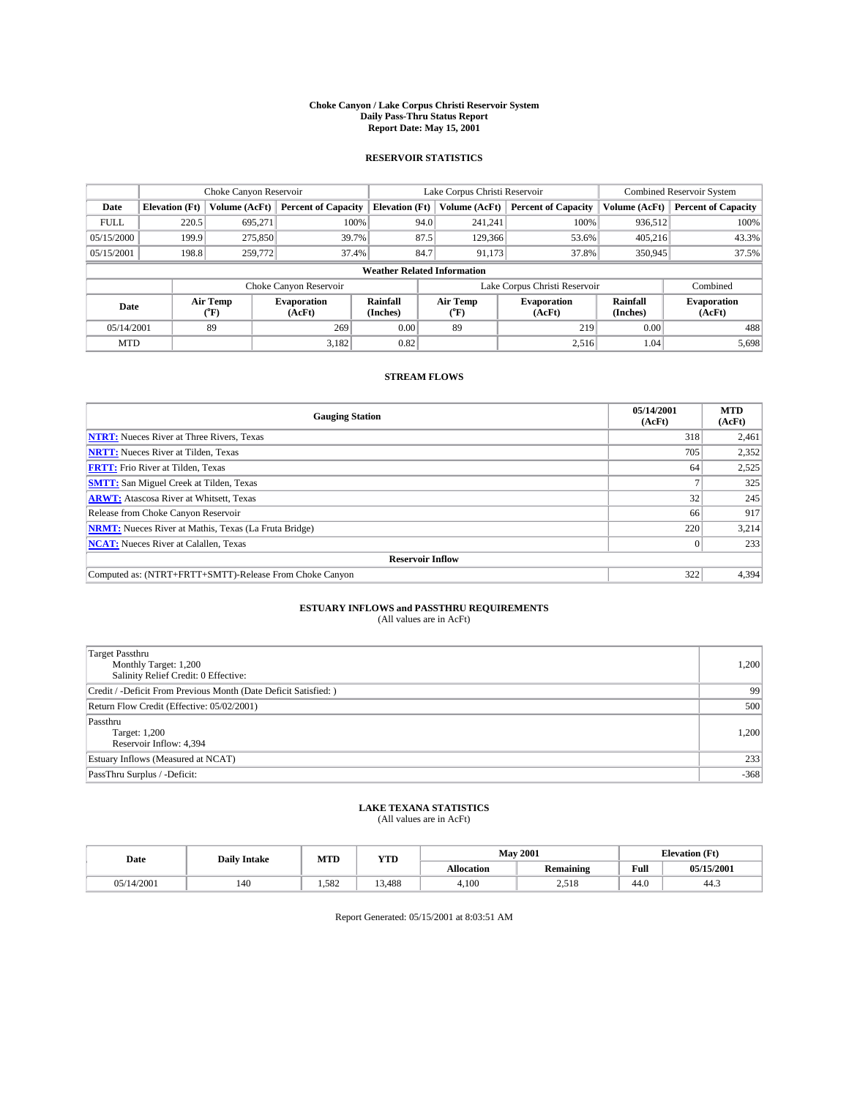#### **Choke Canyon / Lake Corpus Christi Reservoir System Daily Pass-Thru Status Report Report Date: May 15, 2001**

### **RESERVOIR STATISTICS**

|             | Choke Canyon Reservoir             |                  |                              |                             | Lake Corpus Christi Reservoir |                               | <b>Combined Reservoir System</b> |                              |  |
|-------------|------------------------------------|------------------|------------------------------|-----------------------------|-------------------------------|-------------------------------|----------------------------------|------------------------------|--|
| Date        | <b>Elevation</b> (Ft)              | Volume (AcFt)    | <b>Percent of Capacity</b>   | <b>Elevation</b> (Ft)       | Volume (AcFt)                 | <b>Percent of Capacity</b>    | Volume (AcFt)                    | <b>Percent of Capacity</b>   |  |
| <b>FULL</b> | 220.5                              | 695,271          | 100%                         |                             | 94.0<br>241,241               | 100%                          | 936.512                          | 100%                         |  |
| 05/15/2000  | 199.9                              | 275,850          | 39.7%                        |                             | 87.5<br>129,366               | 53.6%                         | 405.216                          | 43.3%                        |  |
| 05/15/2001  | 198.8                              | 259,772          | 37.4%                        |                             | 84.7<br>91,173                | 37.8%                         | 350,945                          | 37.5%                        |  |
|             | <b>Weather Related Information</b> |                  |                              |                             |                               |                               |                                  |                              |  |
|             |                                    |                  | Choke Canyon Reservoir       |                             |                               | Lake Corpus Christi Reservoir |                                  | Combined                     |  |
| Date        |                                    | Air Temp<br>(°F) | <b>Evaporation</b><br>(AcFt) | <b>Rainfall</b><br>(Inches) | Air Temp<br>("F)              | <b>Evaporation</b><br>(AcFt)  | Rainfall<br>(Inches)             | <b>Evaporation</b><br>(AcFt) |  |
| 05/14/2001  |                                    | 89               | 269                          | 0.00                        | 89                            | 219                           | 0.00                             | 488                          |  |
| <b>MTD</b>  |                                    |                  | 3,182                        | 0.82                        |                               | 2.516                         | 1.04                             | 5,698                        |  |

## **STREAM FLOWS**

| <b>Gauging Station</b>                                       | 05/14/2001<br>(AcFt) | <b>MTD</b><br>(AcFt) |  |  |  |  |
|--------------------------------------------------------------|----------------------|----------------------|--|--|--|--|
| <b>NTRT:</b> Nueces River at Three Rivers, Texas             | 318                  | 2,461                |  |  |  |  |
| <b>NRTT:</b> Nueces River at Tilden, Texas                   | 705                  | 2,352                |  |  |  |  |
| <b>FRTT:</b> Frio River at Tilden, Texas                     | 64                   | 2,525                |  |  |  |  |
| <b>SMTT:</b> San Miguel Creek at Tilden, Texas               |                      | 325                  |  |  |  |  |
| <b>ARWT:</b> Atascosa River at Whitsett, Texas               | 32                   | 245                  |  |  |  |  |
| Release from Choke Canyon Reservoir                          | 66                   | 917                  |  |  |  |  |
| <b>NRMT:</b> Nueces River at Mathis, Texas (La Fruta Bridge) | 220                  | 3,214                |  |  |  |  |
| <b>NCAT:</b> Nueces River at Calallen, Texas                 |                      | 233                  |  |  |  |  |
| <b>Reservoir Inflow</b>                                      |                      |                      |  |  |  |  |
| Computed as: (NTRT+FRTT+SMTT)-Release From Choke Canyon      | 322                  | 4,394                |  |  |  |  |

## **ESTUARY INFLOWS and PASSTHRU REQUIREMENTS**<br>(All values are in AcFt)

| Target Passthru<br>Monthly Target: 1,200<br>Salinity Relief Credit: 0 Effective: | 1,200  |
|----------------------------------------------------------------------------------|--------|
| Credit / -Deficit From Previous Month (Date Deficit Satisfied: )                 | 99     |
| Return Flow Credit (Effective: 05/02/2001)                                       | 500    |
| Passthru<br>Target: 1,200<br>Reservoir Inflow: 4,394                             | 1,200  |
| Estuary Inflows (Measured at NCAT)                                               | 233    |
| PassThru Surplus / -Deficit:                                                     | $-368$ |

# **LAKE TEXANA STATISTICS** (All values are in AcFt)

| Date       | <b>Daily Intake</b> | MTD   | <b>YTD</b> | <b>May 2001</b>   |                       | <b>Elevation</b> (Ft) |            |
|------------|---------------------|-------|------------|-------------------|-----------------------|-----------------------|------------|
|            |                     |       |            | <b>Allocation</b> | Remaining             | Full                  | 05/15/2001 |
| 05/14/2001 | 140                 | 1.582 | 13.488     | 4.100             | ---<br>ግ ድ10<br>2,310 | 44.0                  | 44.3       |

Report Generated: 05/15/2001 at 8:03:51 AM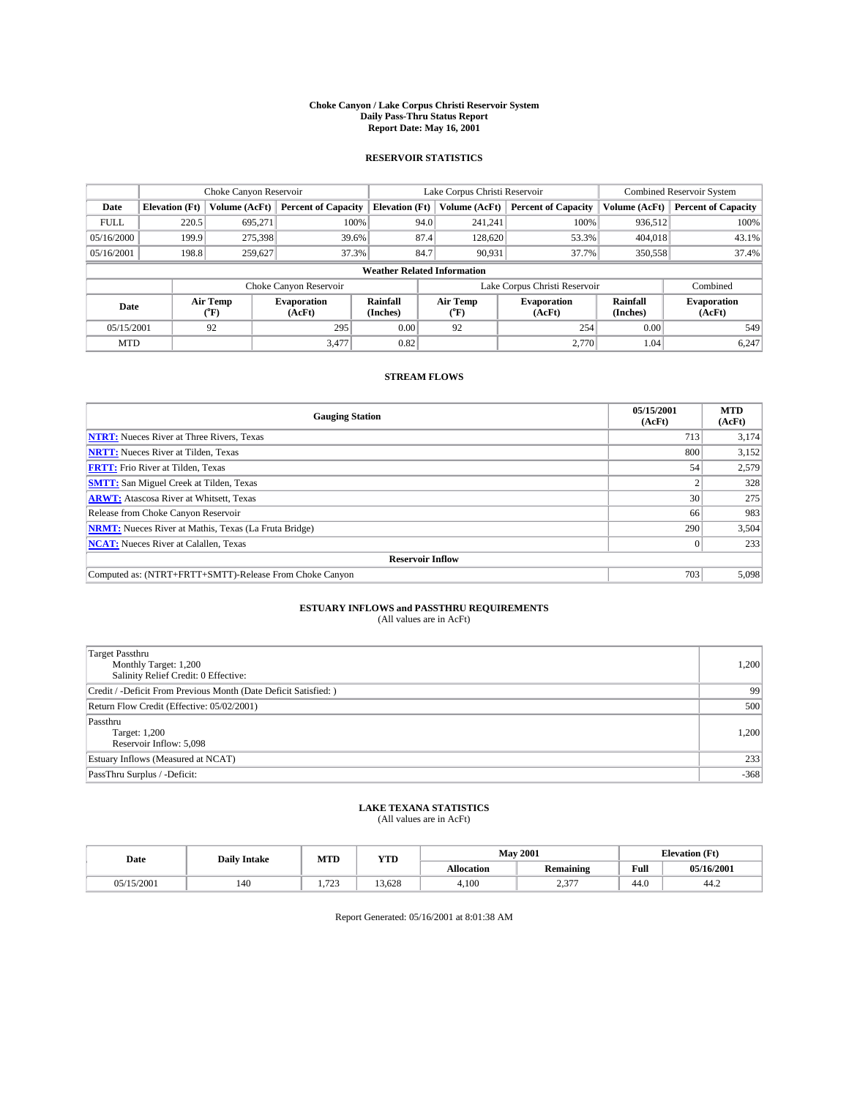#### **Choke Canyon / Lake Corpus Christi Reservoir System Daily Pass-Thru Status Report Report Date: May 16, 2001**

### **RESERVOIR STATISTICS**

|             | Choke Canyon Reservoir             |                  |                              |                       | Lake Corpus Christi Reservoir | <b>Combined Reservoir System</b> |                             |                              |  |
|-------------|------------------------------------|------------------|------------------------------|-----------------------|-------------------------------|----------------------------------|-----------------------------|------------------------------|--|
| Date        | <b>Elevation</b> (Ft)              | Volume (AcFt)    | <b>Percent of Capacity</b>   | <b>Elevation</b> (Ft) | Volume (AcFt)                 | <b>Percent of Capacity</b>       | Volume (AcFt)               | <b>Percent of Capacity</b>   |  |
| <b>FULL</b> | 220.5                              | 695,271          | 100%                         | 94.0                  | 241,241                       | 100%                             | 936,512                     | 100%                         |  |
| 05/16/2000  | 199.9                              | 275,398          | 39.6%                        | 87.4                  | 128,620                       | 53.3%                            | 404,018                     | 43.1%                        |  |
| 05/16/2001  | 198.8                              | 259,627          | 37.3%                        | 84.7                  | 90,931                        | 37.7%                            | 350,558                     | 37.4%                        |  |
|             | <b>Weather Related Information</b> |                  |                              |                       |                               |                                  |                             |                              |  |
|             |                                    |                  | Choke Canyon Reservoir       |                       |                               | Lake Corpus Christi Reservoir    |                             | Combined                     |  |
| Date        |                                    | Air Temp<br>(°F) | <b>Evaporation</b><br>(AcFt) | Rainfall<br>(Inches)  | Air Temp<br>("F)              | <b>Evaporation</b><br>(AcFt)     | <b>Rainfall</b><br>(Inches) | <b>Evaporation</b><br>(AcFt) |  |
| 05/15/2001  |                                    | 92               | 295                          | 0.00                  | 92                            | 254                              | 0.00                        | 549                          |  |
| <b>MTD</b>  |                                    |                  | 3,477                        | 0.82                  |                               | 2.770                            | 1.04                        | 6,247                        |  |

### **STREAM FLOWS**

| <b>Gauging Station</b>                                       | 05/15/2001<br>(AcFt) | <b>MTD</b><br>(AcFt) |  |  |  |  |
|--------------------------------------------------------------|----------------------|----------------------|--|--|--|--|
| <b>NTRT:</b> Nueces River at Three Rivers, Texas             | 713                  | 3,174                |  |  |  |  |
| <b>NRTT:</b> Nueces River at Tilden, Texas                   | 800                  | 3,152                |  |  |  |  |
| <b>FRTT:</b> Frio River at Tilden, Texas                     | 54                   | 2,579                |  |  |  |  |
| <b>SMTT:</b> San Miguel Creek at Tilden, Texas               |                      | 328                  |  |  |  |  |
| <b>ARWT:</b> Atascosa River at Whitsett, Texas               | 30                   | 275                  |  |  |  |  |
| Release from Choke Canyon Reservoir                          | 66                   | 983                  |  |  |  |  |
| <b>NRMT:</b> Nueces River at Mathis, Texas (La Fruta Bridge) | 290                  | 3,504                |  |  |  |  |
| <b>NCAT:</b> Nueces River at Calallen, Texas                 |                      | 233                  |  |  |  |  |
| <b>Reservoir Inflow</b>                                      |                      |                      |  |  |  |  |
| Computed as: (NTRT+FRTT+SMTT)-Release From Choke Canyon      | 703                  | 5,098                |  |  |  |  |

## **ESTUARY INFLOWS and PASSTHRU REQUIREMENTS**<br>(All values are in AcFt)

| Target Passthru<br>Monthly Target: 1,200<br>Salinity Relief Credit: 0 Effective: | 1,200  |
|----------------------------------------------------------------------------------|--------|
| Credit / -Deficit From Previous Month (Date Deficit Satisfied: )                 | 99     |
| Return Flow Credit (Effective: 05/02/2001)                                       | 500    |
| Passthru<br>Target: 1,200<br>Reservoir Inflow: 5,098                             | 1,200  |
| Estuary Inflows (Measured at NCAT)                                               | 233    |
| PassThru Surplus / -Deficit:                                                     | $-368$ |

# **LAKE TEXANA STATISTICS** (All values are in AcFt)

| Date       | <b>Daily Intake</b> | MTD           | <b>VTT</b><br>1 I D |                   | <b>May 2001</b>  | Œť<br>Elevation |            |
|------------|---------------------|---------------|---------------------|-------------------|------------------|-----------------|------------|
|            |                     |               |                     | <b>Allocation</b> | <b>Remaining</b> | Full            | 05/16/2001 |
| 05/15/2001 | 140                 | $\sim$<br>ر ب | 3.628<br>$\sim$     | 4,100             | 0.277<br>ا ہے کہ | 44.0            | 44.∠       |

Report Generated: 05/16/2001 at 8:01:38 AM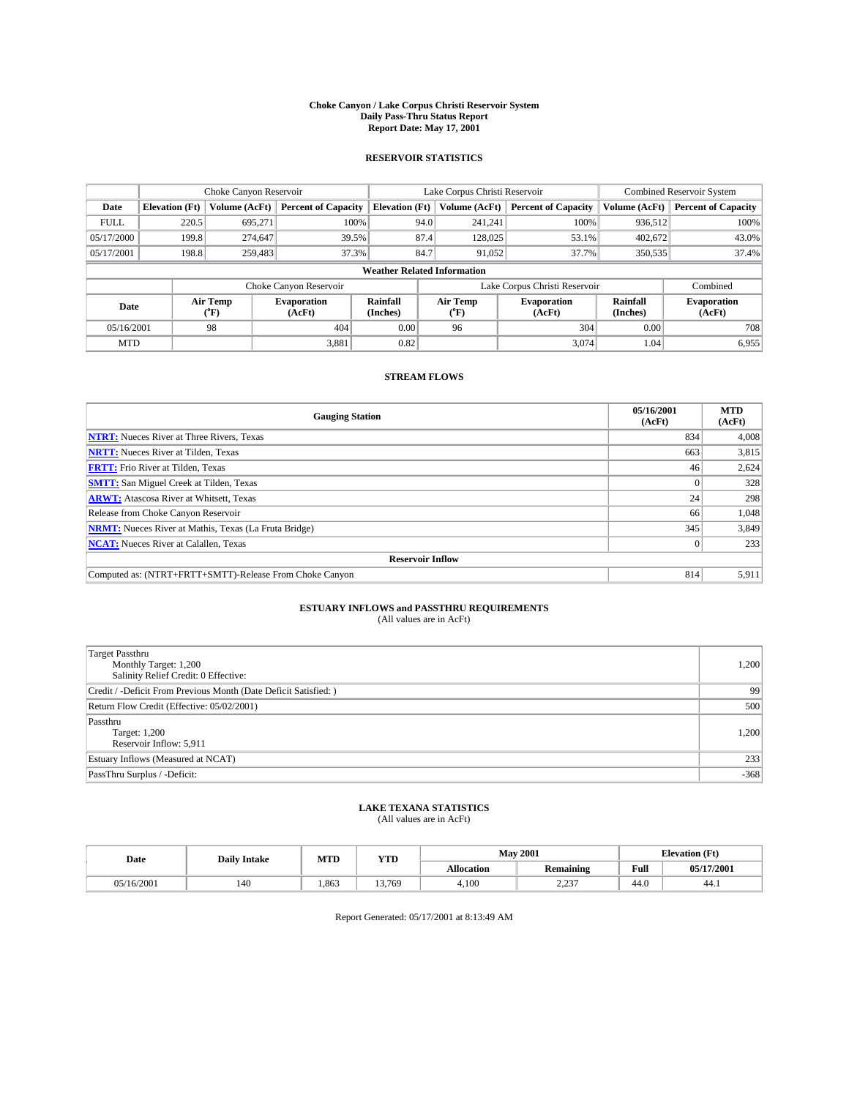#### **Choke Canyon / Lake Corpus Christi Reservoir System Daily Pass-Thru Status Report Report Date: May 17, 2001**

### **RESERVOIR STATISTICS**

|                                                                                  | Choke Canyon Reservoir             |                  |                              |                       | Lake Corpus Christi Reservoir | <b>Combined Reservoir System</b> |               |                            |  |
|----------------------------------------------------------------------------------|------------------------------------|------------------|------------------------------|-----------------------|-------------------------------|----------------------------------|---------------|----------------------------|--|
| Date                                                                             | <b>Elevation</b> (Ft)              | Volume (AcFt)    | <b>Percent of Capacity</b>   | <b>Elevation</b> (Ft) | Volume (AcFt)                 | <b>Percent of Capacity</b>       | Volume (AcFt) | <b>Percent of Capacity</b> |  |
| <b>FULL</b>                                                                      | 220.5                              | 695,271          | 100%                         | 94.0                  | 241,241                       | 100%                             | 936,512       | 100%                       |  |
| 05/17/2000                                                                       | 199.8                              | 274,647          | 39.5%                        | 87.4                  | 128,025                       | 53.1%                            | 402,672       | 43.0%                      |  |
| 05/17/2001                                                                       | 198.8                              | 259,483          | 37.3%                        | 84.7                  | 91,052                        | 37.7%                            | 350,535       | 37.4%                      |  |
|                                                                                  | <b>Weather Related Information</b> |                  |                              |                       |                               |                                  |               |                            |  |
|                                                                                  |                                    |                  | Choke Canyon Reservoir       |                       |                               | Lake Corpus Christi Reservoir    |               | Combined                   |  |
| Air Temp<br>Rainfall<br><b>Evaporation</b><br>Date<br>(Inches)<br>(AcFt)<br>(°F) |                                    | Air Temp<br>("F) | <b>Evaporation</b><br>(AcFt) | Rainfall<br>(Inches)  | <b>Evaporation</b><br>(AcFt)  |                                  |               |                            |  |
| 05/16/2001                                                                       |                                    | 98               | 404                          | 0.00                  | 96                            | 304                              | 0.00          | 708                        |  |
| <b>MTD</b>                                                                       |                                    |                  | 3.881                        | 0.82                  |                               | 3,074                            | 1.04          | 6,955                      |  |

## **STREAM FLOWS**

| <b>Gauging Station</b>                                       | 05/16/2001<br>(AcFt) | <b>MTD</b><br>(AcFt) |  |  |  |  |
|--------------------------------------------------------------|----------------------|----------------------|--|--|--|--|
| <b>NTRT:</b> Nueces River at Three Rivers, Texas             | 834                  | 4,008                |  |  |  |  |
| <b>NRTT:</b> Nueces River at Tilden, Texas                   | 663                  | 3,815                |  |  |  |  |
| <b>FRTT:</b> Frio River at Tilden, Texas                     | 46                   | 2,624                |  |  |  |  |
| <b>SMTT:</b> San Miguel Creek at Tilden, Texas               |                      | 328                  |  |  |  |  |
| <b>ARWT:</b> Atascosa River at Whitsett, Texas               | 24 <sub>1</sub>      | 298                  |  |  |  |  |
| Release from Choke Canyon Reservoir                          | 66                   | 1,048                |  |  |  |  |
| <b>NRMT:</b> Nueces River at Mathis, Texas (La Fruta Bridge) | 345                  | 3,849                |  |  |  |  |
| <b>NCAT:</b> Nueces River at Calallen, Texas                 |                      | 233                  |  |  |  |  |
| <b>Reservoir Inflow</b>                                      |                      |                      |  |  |  |  |
| Computed as: (NTRT+FRTT+SMTT)-Release From Choke Canyon      | 814                  | 5,911                |  |  |  |  |

## **ESTUARY INFLOWS and PASSTHRU REQUIREMENTS**<br>(All values are in AcFt)

| <b>Target Passthru</b><br>Monthly Target: 1,200<br>Salinity Relief Credit: 0 Effective: | 1,200  |
|-----------------------------------------------------------------------------------------|--------|
| Credit / -Deficit From Previous Month (Date Deficit Satisfied: )                        | 99     |
| Return Flow Credit (Effective: 05/02/2001)                                              | 500    |
| Passthru<br>Target: 1,200<br>Reservoir Inflow: 5,911                                    | 1,200  |
| Estuary Inflows (Measured at NCAT)                                                      | 233    |
| PassThru Surplus / -Deficit:                                                            | $-368$ |

# **LAKE TEXANA STATISTICS** (All values are in AcFt)

| Date            | <b>Daily Intake</b> | MTD   | VTT<br>1 I D |                   | <b>May 2001</b>  | <b>Elevation</b> (Ft) |            |
|-----------------|---------------------|-------|--------------|-------------------|------------------|-----------------------|------------|
|                 |                     |       |              | <b>Allocation</b> | <b>Remaining</b> | Full                  | 05/17/2001 |
| /16/2001<br>05. | 140                 | 1.863 | 13.769       | 4,100             | 227<br>. پ       | 44.0                  | 44.1       |

Report Generated: 05/17/2001 at 8:13:49 AM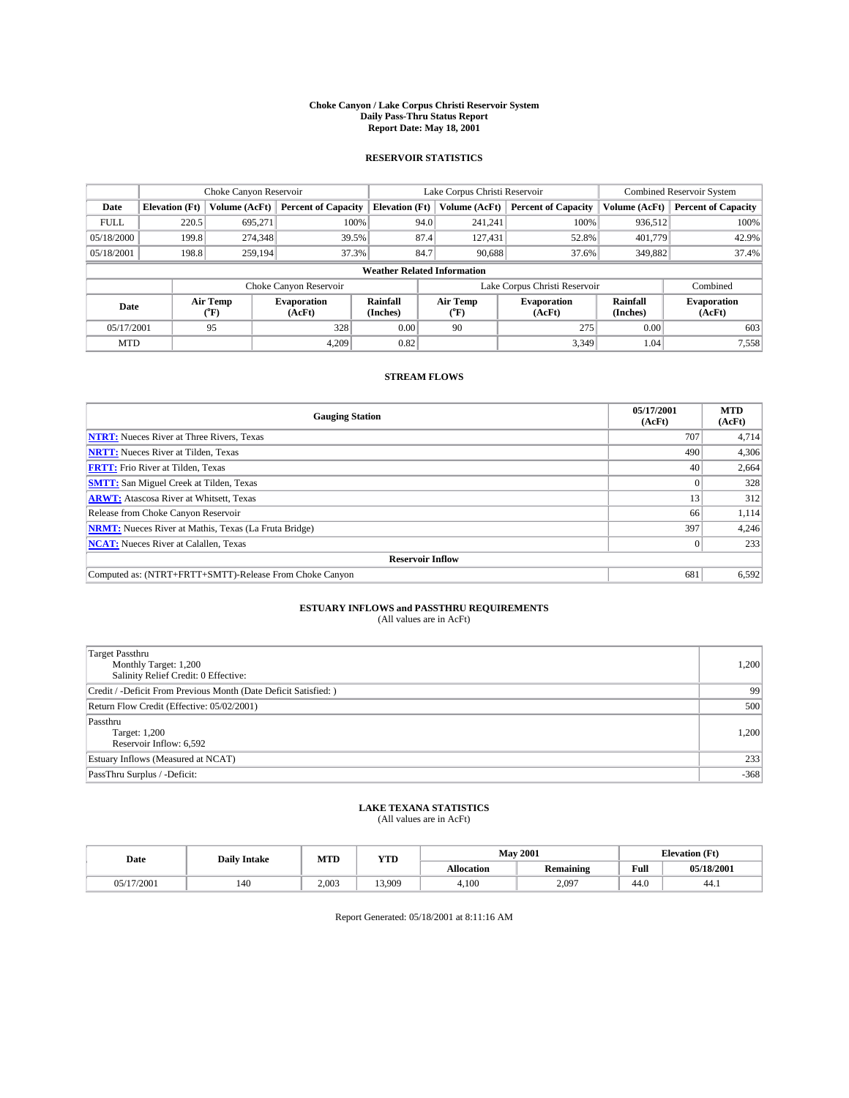#### **Choke Canyon / Lake Corpus Christi Reservoir System Daily Pass-Thru Status Report Report Date: May 18, 2001**

### **RESERVOIR STATISTICS**

|                                    | Choke Canyon Reservoir |                      |                              |                       | Lake Corpus Christi Reservoir | <b>Combined Reservoir System</b> |                      |                              |
|------------------------------------|------------------------|----------------------|------------------------------|-----------------------|-------------------------------|----------------------------------|----------------------|------------------------------|
| Date                               | <b>Elevation</b> (Ft)  | <b>Volume (AcFt)</b> | <b>Percent of Capacity</b>   | <b>Elevation</b> (Ft) | Volume (AcFt)                 | <b>Percent of Capacity</b>       | Volume (AcFt)        | <b>Percent of Capacity</b>   |
| <b>FULL</b>                        | 220.5                  | 695,271              | 100%                         |                       | 94.0<br>241,241               | 100%                             | 936.512              | 100%                         |
| 05/18/2000                         | 199.8                  | 274,348              | 39.5%                        |                       | 87.4<br>127,431               | 52.8%                            | 401.779              | 42.9%                        |
| 05/18/2001                         | 198.8                  | 259.194              | 37.3%                        | 84.7                  | 90,688                        | 37.6%                            | 349,882              | 37.4%                        |
| <b>Weather Related Information</b> |                        |                      |                              |                       |                               |                                  |                      |                              |
|                                    |                        |                      | Choke Canyon Reservoir       |                       |                               | Lake Corpus Christi Reservoir    |                      | Combined                     |
| Date                               |                        | Air Temp<br>(°F)     | <b>Evaporation</b><br>(AcFt) | Rainfall<br>(Inches)  | Air Temp<br>("F)              | <b>Evaporation</b><br>(AcFt)     | Rainfall<br>(Inches) | <b>Evaporation</b><br>(AcFt) |
| 05/17/2001                         |                        | 95                   | 328                          | 0.00                  | 90                            | 275                              | 0.00                 | 603                          |
| <b>MTD</b>                         |                        |                      | 4.209                        | 0.82                  |                               | 3.349                            | 1.04                 | 7,558                        |

## **STREAM FLOWS**

| <b>Gauging Station</b>                                       | 05/17/2001<br>(AcFt) | <b>MTD</b><br>(AcFt) |  |  |  |  |
|--------------------------------------------------------------|----------------------|----------------------|--|--|--|--|
| <b>NTRT:</b> Nueces River at Three Rivers, Texas             | 707                  | 4,714                |  |  |  |  |
| <b>NRTT:</b> Nueces River at Tilden, Texas                   | 490                  | 4,306                |  |  |  |  |
| <b>FRTT:</b> Frio River at Tilden, Texas                     | 40                   | 2,664                |  |  |  |  |
| <b>SMTT:</b> San Miguel Creek at Tilden, Texas               |                      | 328                  |  |  |  |  |
| <b>ARWT:</b> Atascosa River at Whitsett, Texas               | 13                   | 312                  |  |  |  |  |
| Release from Choke Canyon Reservoir                          | 66                   | 1,114                |  |  |  |  |
| <b>NRMT:</b> Nueces River at Mathis, Texas (La Fruta Bridge) | 397                  | 4,246                |  |  |  |  |
| <b>NCAT:</b> Nueces River at Calallen, Texas                 |                      | 233                  |  |  |  |  |
| <b>Reservoir Inflow</b>                                      |                      |                      |  |  |  |  |
| Computed as: (NTRT+FRTT+SMTT)-Release From Choke Canyon      | 681                  | 6,592                |  |  |  |  |

## **ESTUARY INFLOWS and PASSTHRU REQUIREMENTS**<br>(All values are in AcFt)

| <b>Target Passthru</b><br>Monthly Target: 1,200<br>Salinity Relief Credit: 0 Effective: | 1,200  |
|-----------------------------------------------------------------------------------------|--------|
| Credit / -Deficit From Previous Month (Date Deficit Satisfied: )                        | 99     |
| Return Flow Credit (Effective: 05/02/2001)                                              | 500    |
| Passthru<br>Target: 1,200<br>Reservoir Inflow: 6,592                                    | 1,200  |
| Estuary Inflows (Measured at NCAT)                                                      | 233    |
| PassThru Surplus / -Deficit:                                                            | $-368$ |

# **LAKE TEXANA STATISTICS** (All values are in AcFt)

| Date       | <b>Daily Intake</b> | MTD   | <b>VTT</b><br>1 I.D |                   | <b>May 2001</b>  | (Ft<br><b>TAL</b><br><b>Alevation</b> |            |
|------------|---------------------|-------|---------------------|-------------------|------------------|---------------------------------------|------------|
|            |                     |       |                     | <b>Allocation</b> | <b>Remaining</b> | Full                                  | 05/18/2001 |
| 05/17/2001 | 140                 | 2.003 | 13.909              | 4,100             | 2.097            | 44.0                                  | 44.1       |

Report Generated: 05/18/2001 at 8:11:16 AM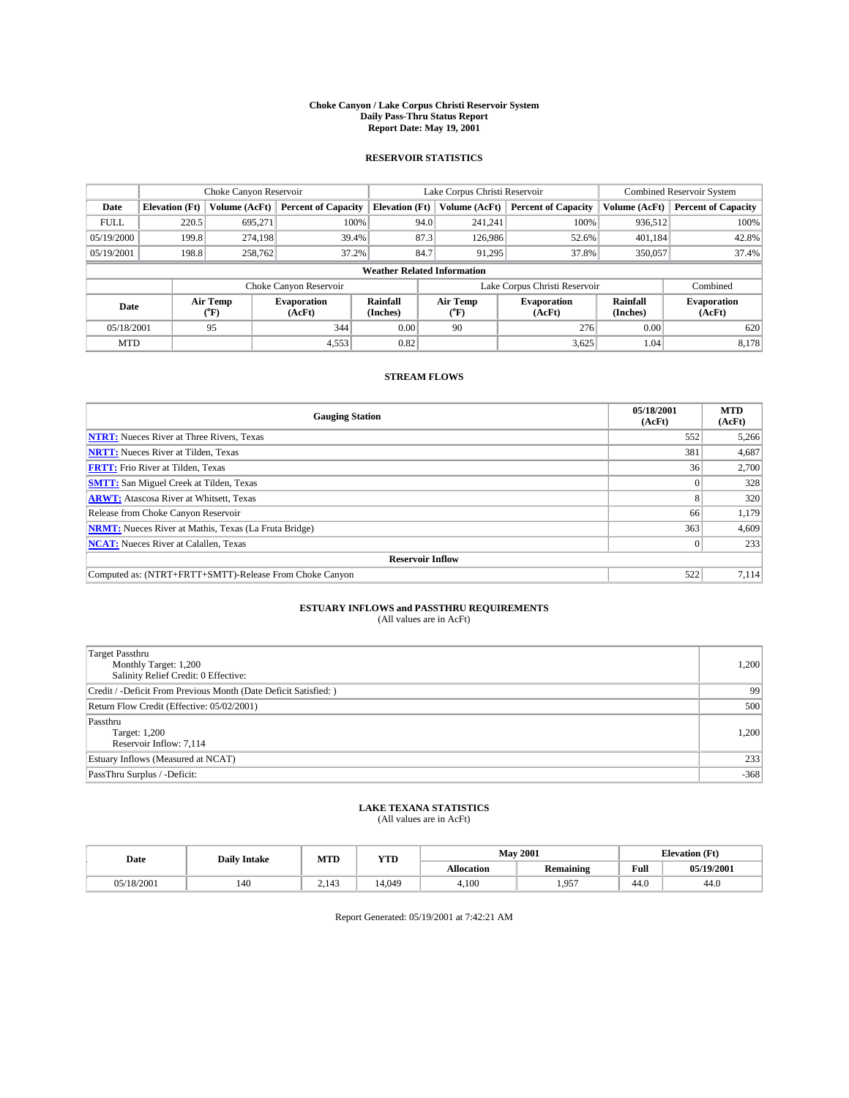#### **Choke Canyon / Lake Corpus Christi Reservoir System Daily Pass-Thru Status Report Report Date: May 19, 2001**

### **RESERVOIR STATISTICS**

|                                    | Choke Canyon Reservoir |                  |                              |                       | Lake Corpus Christi Reservoir | <b>Combined Reservoir System</b> |                             |                              |
|------------------------------------|------------------------|------------------|------------------------------|-----------------------|-------------------------------|----------------------------------|-----------------------------|------------------------------|
| Date                               | <b>Elevation</b> (Ft)  | Volume (AcFt)    | <b>Percent of Capacity</b>   | <b>Elevation</b> (Ft) | Volume (AcFt)                 | <b>Percent of Capacity</b>       | Volume (AcFt)               | <b>Percent of Capacity</b>   |
| <b>FULL</b>                        | 220.5                  | 695,271          | 100%                         |                       | 94.0<br>241,241               | 100%                             | 936.512                     | 100%                         |
| 05/19/2000                         | 199.8                  | 274.198          | 39.4%                        |                       | 87.3<br>126,986               | 52.6%                            | 401.184                     | 42.8%                        |
| 05/19/2001                         | 198.8                  | 258,762          | 37.2%                        | 84.7                  | 91.295                        | 37.8%                            | 350,057                     | 37.4%                        |
| <b>Weather Related Information</b> |                        |                  |                              |                       |                               |                                  |                             |                              |
|                                    |                        |                  | Choke Canyon Reservoir       |                       |                               | Lake Corpus Christi Reservoir    |                             | Combined                     |
| Date                               |                        | Air Temp<br>(°F) | <b>Evaporation</b><br>(AcFt) | Rainfall<br>(Inches)  | Air Temp<br>("F)              | <b>Evaporation</b><br>(AcFt)     | <b>Rainfall</b><br>(Inches) | <b>Evaporation</b><br>(AcFt) |
| 05/18/2001                         |                        | 95               | 344                          | 0.00                  | 90                            | 276                              | 0.00                        | 620                          |
| <b>MTD</b>                         |                        |                  | 4,553                        | 0.82                  |                               | 3,625                            | 1.04                        | 8,178                        |

## **STREAM FLOWS**

| <b>Gauging Station</b>                                       | 05/18/2001<br>(AcFt) | <b>MTD</b><br>(AcFt) |  |  |  |  |
|--------------------------------------------------------------|----------------------|----------------------|--|--|--|--|
| <b>NTRT:</b> Nueces River at Three Rivers, Texas             | 552                  | 5,266                |  |  |  |  |
| <b>NRTT:</b> Nueces River at Tilden, Texas                   | 381                  | 4,687                |  |  |  |  |
| <b>FRTT:</b> Frio River at Tilden, Texas                     | 36                   | 2,700                |  |  |  |  |
| <b>SMTT:</b> San Miguel Creek at Tilden, Texas               |                      | 328                  |  |  |  |  |
| <b>ARWT:</b> Atascosa River at Whitsett, Texas               | 8.                   | 320                  |  |  |  |  |
| Release from Choke Canyon Reservoir                          | 66                   | 1,179                |  |  |  |  |
| <b>NRMT:</b> Nueces River at Mathis, Texas (La Fruta Bridge) | 363                  | 4,609                |  |  |  |  |
| <b>NCAT:</b> Nueces River at Calallen, Texas                 |                      | 233                  |  |  |  |  |
| <b>Reservoir Inflow</b>                                      |                      |                      |  |  |  |  |
| Computed as: (NTRT+FRTT+SMTT)-Release From Choke Canyon      | 522                  | 7.114                |  |  |  |  |

## **ESTUARY INFLOWS and PASSTHRU REQUIREMENTS**<br>(All values are in AcFt)

| Target Passthru<br>Monthly Target: 1,200<br>Salinity Relief Credit: 0 Effective: | 1,200  |
|----------------------------------------------------------------------------------|--------|
| Credit / -Deficit From Previous Month (Date Deficit Satisfied: )                 | 99     |
| Return Flow Credit (Effective: 05/02/2001)                                       | 500    |
| Passthru<br>Target: 1,200<br>Reservoir Inflow: 7,114                             | 1,200  |
| Estuary Inflows (Measured at NCAT)                                               | 233    |
| PassThru Surplus / -Deficit:                                                     | $-368$ |

# **LAKE TEXANA STATISTICS** (All values are in AcFt)

| Date       | <b>Daily Intake</b> | MTD   | <b>VTT</b><br>1 I D | <b>May 2001</b>   |                  | <b>Elevation</b> (Ft) |            |
|------------|---------------------|-------|---------------------|-------------------|------------------|-----------------------|------------|
|            |                     |       |                     | <b>Allocation</b> | <b>Remaining</b> | Full                  | 05/19/2001 |
| 05/18/2001 | 140                 | 2.143 | 4.049               | 4,100             | 1.957            | 44.0                  | 44.0       |

Report Generated: 05/19/2001 at 7:42:21 AM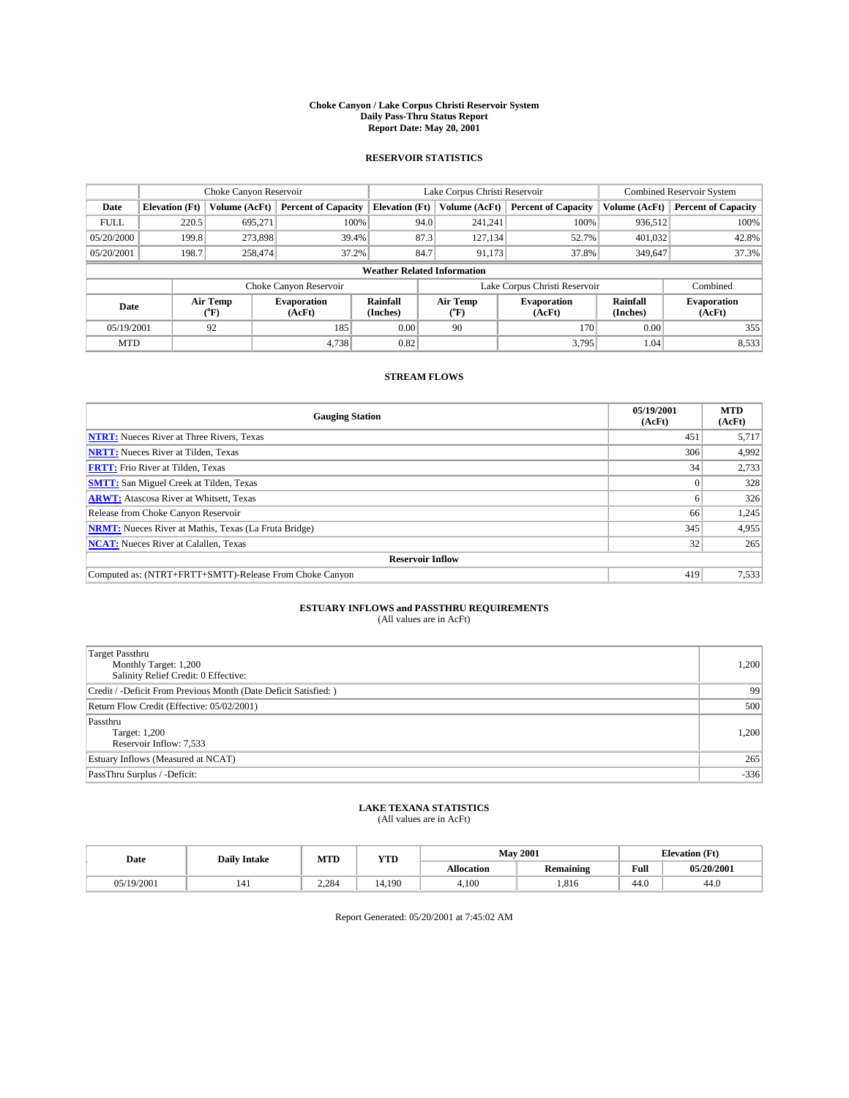#### **Choke Canyon / Lake Corpus Christi Reservoir System Daily Pass-Thru Status Report Report Date: May 20, 2001**

### **RESERVOIR STATISTICS**

|                                    | Choke Canyon Reservoir |                  |                              |                       | Lake Corpus Christi Reservoir | <b>Combined Reservoir System</b> |                             |                              |
|------------------------------------|------------------------|------------------|------------------------------|-----------------------|-------------------------------|----------------------------------|-----------------------------|------------------------------|
| Date                               | <b>Elevation</b> (Ft)  | Volume (AcFt)    | <b>Percent of Capacity</b>   | <b>Elevation</b> (Ft) | Volume (AcFt)                 | <b>Percent of Capacity</b>       | Volume (AcFt)               | <b>Percent of Capacity</b>   |
| <b>FULL</b>                        | 220.5                  | 695,271          | 100%                         |                       | 94.0<br>241,241               | 100%                             | 936.512                     | 100%                         |
| 05/20/2000                         | 199.8                  | 273,898          | 39.4%                        |                       | 87.3<br>127, 134              | 52.7%                            | 401.032                     | 42.8%                        |
| 05/20/2001                         | 198.7                  | 258,474          | 37.2%                        | 84.7                  | 91,173                        | 37.8%                            | 349,647                     | 37.3%                        |
| <b>Weather Related Information</b> |                        |                  |                              |                       |                               |                                  |                             |                              |
|                                    |                        |                  | Choke Canyon Reservoir       |                       |                               | Lake Corpus Christi Reservoir    |                             | Combined                     |
| Date                               |                        | Air Temp<br>(°F) | <b>Evaporation</b><br>(AcFt) | Rainfall<br>(Inches)  | Air Temp<br>("F)              | <b>Evaporation</b><br>(AcFt)     | <b>Rainfall</b><br>(Inches) | <b>Evaporation</b><br>(AcFt) |
| 05/19/2001                         |                        | 92               | 185                          | 0.00                  | 90                            | 170                              | 0.00                        | 355                          |
| <b>MTD</b>                         |                        |                  | 4,738                        | 0.82                  |                               | 3.795                            | 1.04                        | 8,533                        |

## **STREAM FLOWS**

| <b>Gauging Station</b>                                       | 05/19/2001<br>(AcFt) | <b>MTD</b><br>(AcFt) |  |  |  |  |
|--------------------------------------------------------------|----------------------|----------------------|--|--|--|--|
| <b>NTRT:</b> Nueces River at Three Rivers, Texas             | 451                  | 5,717                |  |  |  |  |
| <b>NRTT:</b> Nueces River at Tilden, Texas                   | 306                  | 4,992                |  |  |  |  |
| <b>FRTT:</b> Frio River at Tilden, Texas                     | 34                   | 2,733                |  |  |  |  |
| <b>SMTT:</b> San Miguel Creek at Tilden, Texas               |                      | 328                  |  |  |  |  |
| <b>ARWT:</b> Atascosa River at Whitsett, Texas               | <sub>n</sub>         | 326                  |  |  |  |  |
| Release from Choke Canyon Reservoir                          | 66                   | 1,245                |  |  |  |  |
| <b>NRMT:</b> Nueces River at Mathis, Texas (La Fruta Bridge) | 345                  | 4,955                |  |  |  |  |
| <b>NCAT:</b> Nueces River at Calallen, Texas                 | 32                   | 265                  |  |  |  |  |
| <b>Reservoir Inflow</b>                                      |                      |                      |  |  |  |  |
| Computed as: (NTRT+FRTT+SMTT)-Release From Choke Canyon      | 419                  | 7,533                |  |  |  |  |

## **ESTUARY INFLOWS and PASSTHRU REQUIREMENTS**<br>(All values are in AcFt)

| Target Passthru<br>Monthly Target: 1,200<br>Salinity Relief Credit: 0 Effective: | 1,200  |
|----------------------------------------------------------------------------------|--------|
| Credit / -Deficit From Previous Month (Date Deficit Satisfied: )                 | 99     |
| Return Flow Credit (Effective: 05/02/2001)                                       | 500    |
| Passthru<br>Target: 1,200<br>Reservoir Inflow: 7,533                             | 1,200  |
| Estuary Inflows (Measured at NCAT)                                               | 265    |
| PassThru Surplus / -Deficit:                                                     | $-336$ |

# **LAKE TEXANA STATISTICS** (All values are in AcFt)

| Date       | <b>Daily Intake</b> | MTD   | <b>VTT</b><br>1 I D |                   | <b>May 2001</b>  | <b>Elevation</b> (Ft) |            |
|------------|---------------------|-------|---------------------|-------------------|------------------|-----------------------|------------|
|            |                     |       |                     | <b>Allocation</b> | <b>Remaining</b> | Full                  | 05/20/2001 |
| 05/19/2001 | 141                 | 2.284 | 4.190               | 4,100             | .816             | 44.0                  | 44.0       |

Report Generated: 05/20/2001 at 7:45:02 AM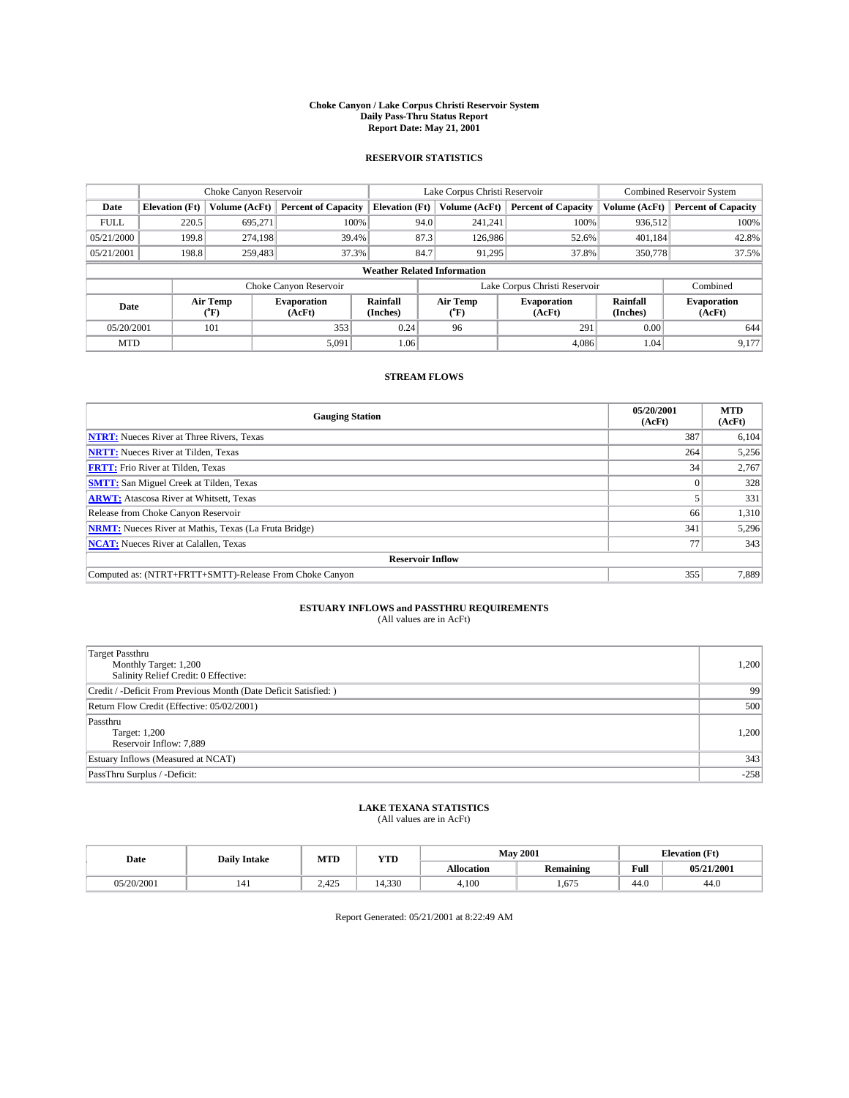#### **Choke Canyon / Lake Corpus Christi Reservoir System Daily Pass-Thru Status Report Report Date: May 21, 2001**

### **RESERVOIR STATISTICS**

|                                    | Choke Canyon Reservoir |                      |                              |                       | Lake Corpus Christi Reservoir | <b>Combined Reservoir System</b> |                      |                              |
|------------------------------------|------------------------|----------------------|------------------------------|-----------------------|-------------------------------|----------------------------------|----------------------|------------------------------|
| Date                               | <b>Elevation</b> (Ft)  | <b>Volume (AcFt)</b> | <b>Percent of Capacity</b>   | <b>Elevation</b> (Ft) | Volume (AcFt)                 | <b>Percent of Capacity</b>       | Volume (AcFt)        | <b>Percent of Capacity</b>   |
| <b>FULL</b>                        | 220.5                  | 695,271              | 100%                         | 94.0                  | 241,241                       | 100%                             | 936.512              | 100%                         |
| 05/21/2000                         | 199.8                  | 274.198              | 39.4%                        | 87.3                  | 126,986                       | 52.6%                            | 401,184              | 42.8%                        |
| 05/21/2001                         | 198.8                  | 259.483              | 37.3%                        | 84.7                  | 91.295                        | 37.8%                            | 350,778              | 37.5%                        |
| <b>Weather Related Information</b> |                        |                      |                              |                       |                               |                                  |                      |                              |
|                                    |                        |                      | Choke Canyon Reservoir       |                       |                               | Lake Corpus Christi Reservoir    |                      | Combined                     |
| Date                               |                        | Air Temp<br>(°F)     | <b>Evaporation</b><br>(AcFt) | Rainfall<br>(Inches)  | Air Temp<br>("F)              | <b>Evaporation</b><br>(AcFt)     | Rainfall<br>(Inches) | <b>Evaporation</b><br>(AcFt) |
| 05/20/2001                         |                        | 101                  | 353                          | 0.24                  | 96                            | 291                              | 0.00                 | 644                          |
| <b>MTD</b>                         |                        |                      | 5,091                        | 1.06                  |                               | 4.086                            | 1.04                 | 9.177                        |

## **STREAM FLOWS**

| <b>Gauging Station</b>                                       | 05/20/2001<br>(AcFt) | <b>MTD</b><br>(AcFt) |  |  |  |  |
|--------------------------------------------------------------|----------------------|----------------------|--|--|--|--|
| <b>NTRT:</b> Nueces River at Three Rivers, Texas             | 387                  | 6,104                |  |  |  |  |
| <b>NRTT:</b> Nueces River at Tilden, Texas                   | 264                  | 5,256                |  |  |  |  |
| <b>FRTT:</b> Frio River at Tilden, Texas                     | 34                   | 2,767                |  |  |  |  |
| <b>SMTT:</b> San Miguel Creek at Tilden, Texas               |                      | 328                  |  |  |  |  |
| <b>ARWT:</b> Atascosa River at Whitsett, Texas               |                      | 331                  |  |  |  |  |
| Release from Choke Canyon Reservoir                          | 66                   | 1,310                |  |  |  |  |
| <b>NRMT:</b> Nueces River at Mathis, Texas (La Fruta Bridge) | 341                  | 5,296                |  |  |  |  |
| <b>NCAT:</b> Nueces River at Calallen, Texas                 |                      | 343                  |  |  |  |  |
| <b>Reservoir Inflow</b>                                      |                      |                      |  |  |  |  |
| Computed as: (NTRT+FRTT+SMTT)-Release From Choke Canyon      | 355                  | 7.889                |  |  |  |  |

## **ESTUARY INFLOWS and PASSTHRU REQUIREMENTS**<br>(All values are in AcFt)

| Target Passthru<br>Monthly Target: 1,200<br>Salinity Relief Credit: 0 Effective: | 1,200  |
|----------------------------------------------------------------------------------|--------|
| Credit / -Deficit From Previous Month (Date Deficit Satisfied: )                 | 99     |
| Return Flow Credit (Effective: 05/02/2001)                                       | 500    |
| Passthru<br>Target: 1,200<br>Reservoir Inflow: 7,889                             | 1,200  |
| Estuary Inflows (Measured at NCAT)                                               | 343    |
| PassThru Surplus / -Deficit:                                                     | $-258$ |

# **LAKE TEXANA STATISTICS** (All values are in AcFt)

| Date       | <b>Daily Intake</b> | MTD                   | VTT<br>1 I D | <b>May 2001</b>   |                  | <b>Elevation</b> (Ft) |            |
|------------|---------------------|-----------------------|--------------|-------------------|------------------|-----------------------|------------|
|            |                     |                       |              | <b>Allocation</b> | <b>Remaining</b> | Full                  | 05/21/2001 |
| 05/20/2001 | 141                 | $A \Omega F$<br>2.42J | 4.330        | 4,100             | . .675           | 44.0                  | 44.0       |

Report Generated: 05/21/2001 at 8:22:49 AM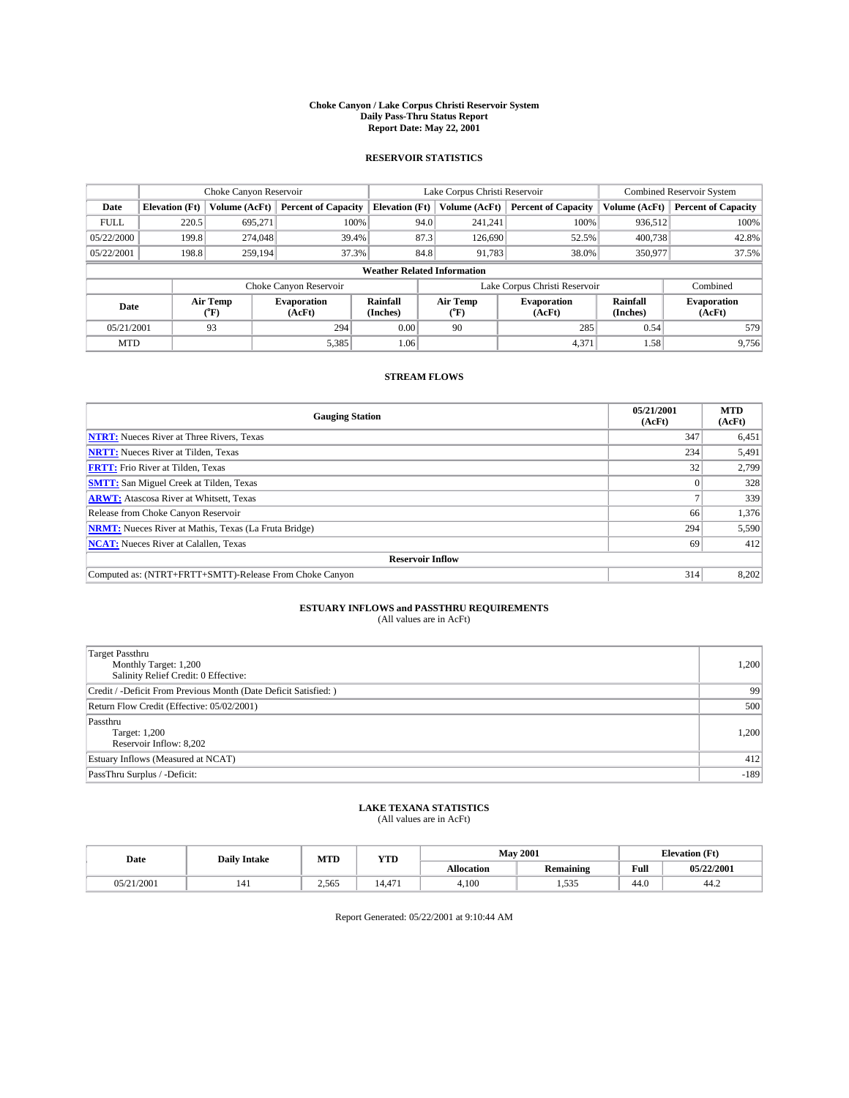#### **Choke Canyon / Lake Corpus Christi Reservoir System Daily Pass-Thru Status Report Report Date: May 22, 2001**

### **RESERVOIR STATISTICS**

|                                    | Choke Canyon Reservoir |                  |                              |                             | Lake Corpus Christi Reservoir | <b>Combined Reservoir System</b> |                             |                              |
|------------------------------------|------------------------|------------------|------------------------------|-----------------------------|-------------------------------|----------------------------------|-----------------------------|------------------------------|
| Date                               | <b>Elevation</b> (Ft)  | Volume (AcFt)    | <b>Percent of Capacity</b>   | <b>Elevation</b> (Ft)       | Volume (AcFt)                 | <b>Percent of Capacity</b>       | Volume (AcFt)               | <b>Percent of Capacity</b>   |
| <b>FULL</b>                        | 220.5                  | 695,271          | 100%                         |                             | 94.0<br>241,241               | 100%                             | 936.512                     | 100%                         |
| 05/22/2000                         | 199.8                  | 274,048          | 39.4%                        |                             | 87.3<br>126,690               | 52.5%                            | 400,738                     | 42.8%                        |
| 05/22/2001                         | 198.8                  | 259,194          | 37.3%                        |                             | 84.8<br>91,783                | 38.0%                            | 350,977                     | 37.5%                        |
| <b>Weather Related Information</b> |                        |                  |                              |                             |                               |                                  |                             |                              |
|                                    |                        |                  | Choke Canyon Reservoir       |                             |                               | Lake Corpus Christi Reservoir    |                             | Combined                     |
| Date                               |                        | Air Temp<br>(°F) | <b>Evaporation</b><br>(AcFt) | <b>Rainfall</b><br>(Inches) | Air Temp<br>("F)              | <b>Evaporation</b><br>(AcFt)     | <b>Rainfall</b><br>(Inches) | <b>Evaporation</b><br>(AcFt) |
| 05/21/2001                         |                        | 93               | 294                          | 0.00                        | 90                            | 285                              | 0.54                        | 579                          |
| <b>MTD</b>                         |                        |                  | 5,385                        | 1.06                        |                               | 4,371                            | 1.58                        | 9,756                        |

## **STREAM FLOWS**

| <b>Gauging Station</b>                                       | 05/21/2001<br>(AcFt) | <b>MTD</b><br>(AcFt) |  |  |  |  |
|--------------------------------------------------------------|----------------------|----------------------|--|--|--|--|
| <b>NTRT:</b> Nueces River at Three Rivers, Texas             | 347                  | 6,451                |  |  |  |  |
| <b>NRTT:</b> Nueces River at Tilden, Texas                   | 234                  | 5,491                |  |  |  |  |
| <b>FRTT:</b> Frio River at Tilden, Texas                     | 32                   | 2,799                |  |  |  |  |
| <b>SMTT:</b> San Miguel Creek at Tilden, Texas               |                      | 328                  |  |  |  |  |
| <b>ARWT:</b> Atascosa River at Whitsett, Texas               |                      | 339                  |  |  |  |  |
| Release from Choke Canyon Reservoir                          | 66                   | 1,376                |  |  |  |  |
| <b>NRMT:</b> Nueces River at Mathis, Texas (La Fruta Bridge) | 294                  | 5,590                |  |  |  |  |
| <b>NCAT:</b> Nueces River at Calallen, Texas                 | -69                  | 412                  |  |  |  |  |
| <b>Reservoir Inflow</b>                                      |                      |                      |  |  |  |  |
| Computed as: (NTRT+FRTT+SMTT)-Release From Choke Canyon      | 314                  | 8,202                |  |  |  |  |

## **ESTUARY INFLOWS and PASSTHRU REQUIREMENTS**<br>(All values are in AcFt)

| Target Passthru<br>Monthly Target: 1,200<br>Salinity Relief Credit: 0 Effective: | 1,200  |
|----------------------------------------------------------------------------------|--------|
| Credit / -Deficit From Previous Month (Date Deficit Satisfied: )                 | 99     |
| Return Flow Credit (Effective: 05/02/2001)                                       | 500    |
| Passthru<br>Target: 1,200<br>Reservoir Inflow: 8,202                             | 1,200  |
| Estuary Inflows (Measured at NCAT)                                               | 412    |
| PassThru Surplus / -Deficit:                                                     | $-189$ |

# **LAKE TEXANA STATISTICS** (All values are in AcFt)

| Date           | <b>Daily Intake</b> | MTD   | <b>VTT</b><br>1 I D      | <b>May 2001</b>   |                         | <b>Elevation</b> (Ft) |            |
|----------------|---------------------|-------|--------------------------|-------------------|-------------------------|-----------------------|------------|
|                |                     |       |                          | <b>Allocation</b> | <b>Remaining</b>        | Full                  | 05/22/2001 |
| /2001<br>0.5/2 | 141                 | 2.565 | $\overline{a}$<br>14.471 | 4,100             | $- - -$<br>534<br>1.JJJ | 44.0                  | 44.∠       |

Report Generated: 05/22/2001 at 9:10:44 AM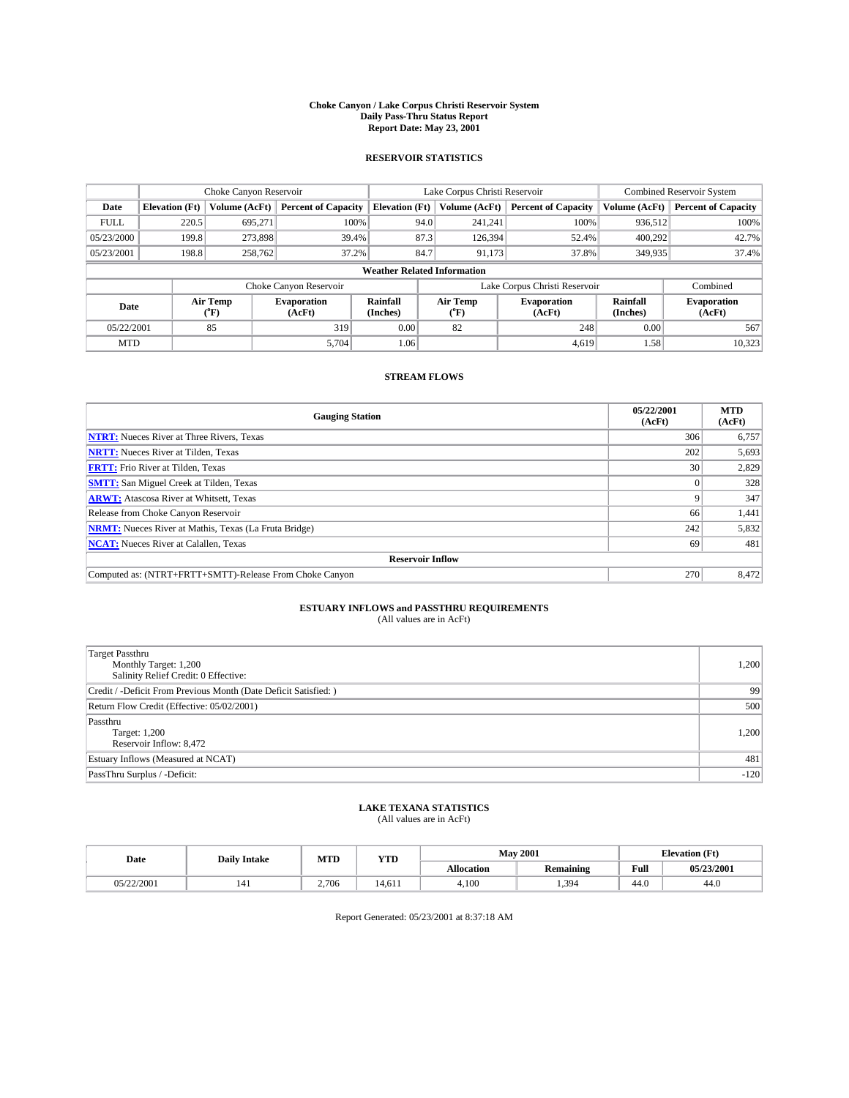#### **Choke Canyon / Lake Corpus Christi Reservoir System Daily Pass-Thru Status Report Report Date: May 23, 2001**

### **RESERVOIR STATISTICS**

|                                    | Choke Canyon Reservoir |                  |                              |                       | Lake Corpus Christi Reservoir | <b>Combined Reservoir System</b> |                             |                              |
|------------------------------------|------------------------|------------------|------------------------------|-----------------------|-------------------------------|----------------------------------|-----------------------------|------------------------------|
| Date                               | <b>Elevation</b> (Ft)  | Volume (AcFt)    | <b>Percent of Capacity</b>   | <b>Elevation</b> (Ft) | Volume (AcFt)                 | <b>Percent of Capacity</b>       | Volume (AcFt)               | <b>Percent of Capacity</b>   |
| <b>FULL</b>                        | 220.5                  | 695,271          | 100%                         | 94.0                  | 241,241                       | 100%                             | 936.512                     | 100%                         |
| 05/23/2000                         | 199.8                  | 273,898          | 39.4%                        | 87.3                  | 126,394                       | 52.4%                            | 400.292                     | 42.7%                        |
| 05/23/2001                         | 198.8                  | 258,762          | 37.2%                        | 84.7                  | 91,173                        | 37.8%                            | 349,935                     | 37.4%                        |
| <b>Weather Related Information</b> |                        |                  |                              |                       |                               |                                  |                             |                              |
|                                    |                        |                  | Choke Canyon Reservoir       |                       |                               | Lake Corpus Christi Reservoir    |                             | Combined                     |
| Date                               |                        | Air Temp<br>(°F) | <b>Evaporation</b><br>(AcFt) | Rainfall<br>(Inches)  | Air Temp<br>("F)              | <b>Evaporation</b><br>(AcFt)     | <b>Rainfall</b><br>(Inches) | <b>Evaporation</b><br>(AcFt) |
| 05/22/2001                         |                        | 85               | 319                          | 0.00                  | 82                            | 248                              | 0.00                        | 567                          |
| <b>MTD</b>                         |                        |                  | 5.704                        | 1.06                  |                               | 4.619                            | 1.58                        | 10,323                       |

## **STREAM FLOWS**

| <b>Gauging Station</b>                                       | 05/22/2001<br>(AcFt) | <b>MTD</b><br>(AcFt) |  |  |  |  |
|--------------------------------------------------------------|----------------------|----------------------|--|--|--|--|
| <b>NTRT:</b> Nueces River at Three Rivers, Texas             | 306                  | 6,757                |  |  |  |  |
| <b>NRTT:</b> Nueces River at Tilden, Texas                   | 202                  | 5,693                |  |  |  |  |
| <b>FRTT:</b> Frio River at Tilden, Texas                     | 30                   | 2,829                |  |  |  |  |
| <b>SMTT:</b> San Miguel Creek at Tilden, Texas               |                      | 328                  |  |  |  |  |
| <b>ARWT:</b> Atascosa River at Whitsett, Texas               |                      | 347                  |  |  |  |  |
| Release from Choke Canyon Reservoir                          | 66                   | 1,441                |  |  |  |  |
| <b>NRMT:</b> Nueces River at Mathis, Texas (La Fruta Bridge) | 242                  | 5,832                |  |  |  |  |
| <b>NCAT:</b> Nueces River at Calallen, Texas                 | 69                   | 481                  |  |  |  |  |
| <b>Reservoir Inflow</b>                                      |                      |                      |  |  |  |  |
| Computed as: (NTRT+FRTT+SMTT)-Release From Choke Canyon      | 270                  | 8.472                |  |  |  |  |

## **ESTUARY INFLOWS and PASSTHRU REQUIREMENTS**<br>(All values are in AcFt)

| <b>Target Passthru</b><br>Monthly Target: 1,200<br>Salinity Relief Credit: 0 Effective: | 1,200  |
|-----------------------------------------------------------------------------------------|--------|
| Credit / -Deficit From Previous Month (Date Deficit Satisfied: )                        | 99     |
| Return Flow Credit (Effective: 05/02/2001)                                              | 500    |
| Passthru<br>Target: 1,200<br>Reservoir Inflow: 8,472                                    | 1,200  |
| Estuary Inflows (Measured at NCAT)                                                      | 481    |
| PassThru Surplus / -Deficit:                                                            | $-120$ |

# **LAKE TEXANA STATISTICS** (All values are in AcFt)

| Date       | <b>Daily Intake</b> | MTD   | VTT<br>1 I D |                   | <b>May 2001</b>  | <b>Elevation</b> (Ft) |            |
|------------|---------------------|-------|--------------|-------------------|------------------|-----------------------|------------|
|            |                     |       |              | <b>Allocation</b> | <b>Remaining</b> | Full                  | 05/23/2001 |
| 05/22/2001 | 141                 | 2.706 | 4.611        | 4,100             | 1.394            | 44.0                  | 44.0       |

Report Generated: 05/23/2001 at 8:37:18 AM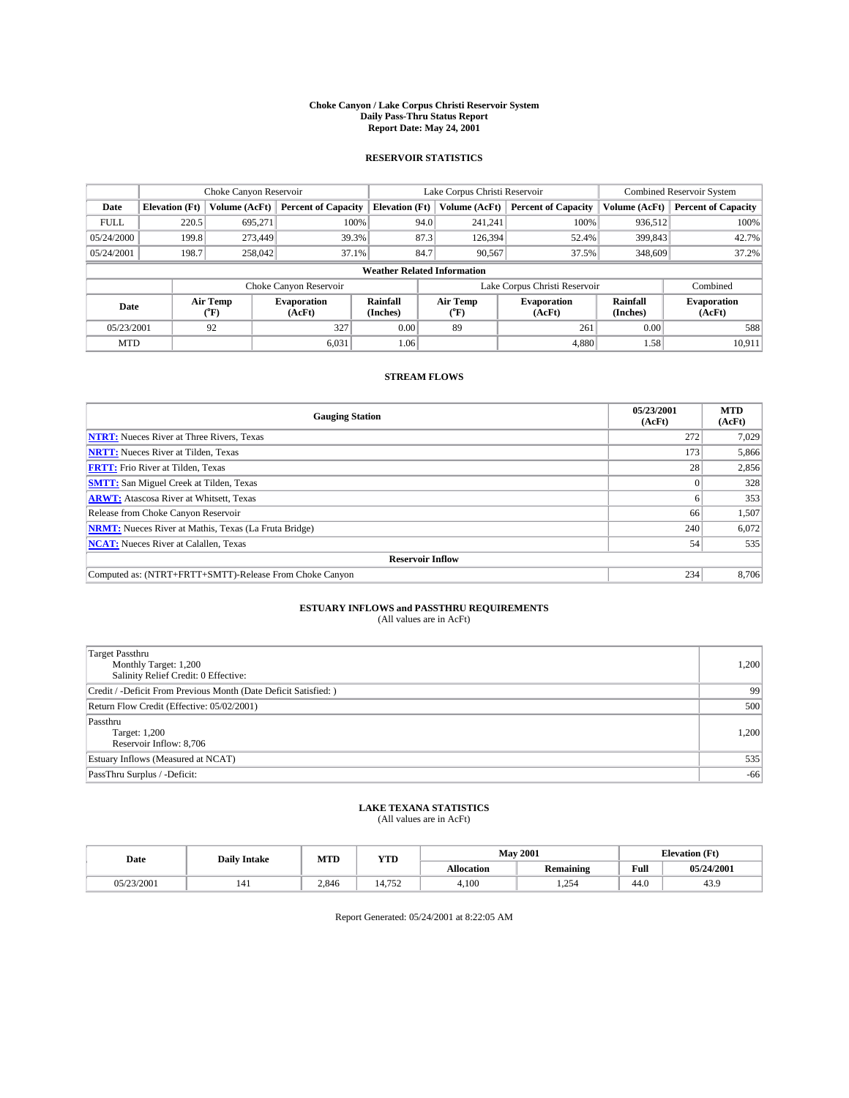#### **Choke Canyon / Lake Corpus Christi Reservoir System Daily Pass-Thru Status Report Report Date: May 24, 2001**

### **RESERVOIR STATISTICS**

|                                    | Choke Canyon Reservoir |                  |                              |                             | Lake Corpus Christi Reservoir | <b>Combined Reservoir System</b> |                             |                              |
|------------------------------------|------------------------|------------------|------------------------------|-----------------------------|-------------------------------|----------------------------------|-----------------------------|------------------------------|
| Date                               | <b>Elevation</b> (Ft)  | Volume (AcFt)    | <b>Percent of Capacity</b>   | <b>Elevation</b> (Ft)       | Volume (AcFt)                 | <b>Percent of Capacity</b>       | Volume (AcFt)               | <b>Percent of Capacity</b>   |
| <b>FULL</b>                        | 220.5                  | 695,271          | 100%                         | 94.0                        | 241,241                       | 100%                             | 936.512                     | 100%                         |
| 05/24/2000                         | 199.8                  | 273,449          | 39.3%                        | 87.3                        | 126.394                       | 52.4%                            | 399,843                     | 42.7%                        |
| 05/24/2001                         | 198.7                  | 258,042          | 37.1%                        | 84.7                        | 90,567                        | 37.5%                            | 348,609                     | 37.2%                        |
| <b>Weather Related Information</b> |                        |                  |                              |                             |                               |                                  |                             |                              |
|                                    |                        |                  | Choke Canyon Reservoir       |                             |                               | Lake Corpus Christi Reservoir    |                             | Combined                     |
| Date                               |                        | Air Temp<br>(°F) | <b>Evaporation</b><br>(AcFt) | <b>Rainfall</b><br>(Inches) | Air Temp<br>("F)              | <b>Evaporation</b><br>(AcFt)     | <b>Rainfall</b><br>(Inches) | <b>Evaporation</b><br>(AcFt) |
| 05/23/2001                         |                        | 92               | 327                          | 0.00                        | 89                            | 261                              | 0.00                        | 588                          |
| <b>MTD</b>                         |                        |                  | 6,031                        | 1.06                        |                               | 4,880                            | 1.58                        | 10,911                       |

## **STREAM FLOWS**

| <b>Gauging Station</b>                                       | 05/23/2001<br>(AcFt) | <b>MTD</b><br>(AcFt) |  |  |  |  |
|--------------------------------------------------------------|----------------------|----------------------|--|--|--|--|
| <b>NTRT:</b> Nueces River at Three Rivers, Texas             | 272                  | 7,029                |  |  |  |  |
| <b>NRTT:</b> Nueces River at Tilden, Texas                   | 173                  | 5,866                |  |  |  |  |
| <b>FRTT:</b> Frio River at Tilden, Texas                     | 28                   | 2,856                |  |  |  |  |
| <b>SMTT:</b> San Miguel Creek at Tilden, Texas               |                      | 328                  |  |  |  |  |
| <b>ARWT:</b> Atascosa River at Whitsett, Texas               | <sub>0</sub>         | 353                  |  |  |  |  |
| Release from Choke Canyon Reservoir                          | 66                   | 1,507                |  |  |  |  |
| <b>NRMT:</b> Nueces River at Mathis, Texas (La Fruta Bridge) | 240                  | 6,072                |  |  |  |  |
| <b>NCAT:</b> Nueces River at Calallen, Texas                 | 54                   | 535                  |  |  |  |  |
| <b>Reservoir Inflow</b>                                      |                      |                      |  |  |  |  |
| Computed as: (NTRT+FRTT+SMTT)-Release From Choke Canyon      | 234                  | 8.706                |  |  |  |  |

## **ESTUARY INFLOWS and PASSTHRU REQUIREMENTS**<br>(All values are in AcFt)

| Target Passthru<br>Monthly Target: 1,200<br>Salinity Relief Credit: 0 Effective: | 1,200 |
|----------------------------------------------------------------------------------|-------|
| Credit / -Deficit From Previous Month (Date Deficit Satisfied: )                 | 99    |
| Return Flow Credit (Effective: 05/02/2001)                                       | 500   |
| Passthru<br>Target: 1,200<br>Reservoir Inflow: 8,706                             | 1,200 |
| Estuary Inflows (Measured at NCAT)                                               | 535   |
| PassThru Surplus / -Deficit:                                                     | $-66$ |

# **LAKE TEXANA STATISTICS** (All values are in AcFt)

| Date       | <b>Daily Intake</b> | MTD   | <b>VTT</b><br>1 I D   | <b>May 2001</b>   |                  | <b>Elevation</b> (Ft) |            |
|------------|---------------------|-------|-----------------------|-------------------|------------------|-----------------------|------------|
|            |                     |       |                       | <b>Allocation</b> | <b>Remaining</b> | Full                  | 05/24/2001 |
| 05/23/2001 | 141                 | 2.846 | $\overline{a}$<br>ے ر | 4,100             | 25<br>2.29       | 44.0                  | 43.9       |

Report Generated: 05/24/2001 at 8:22:05 AM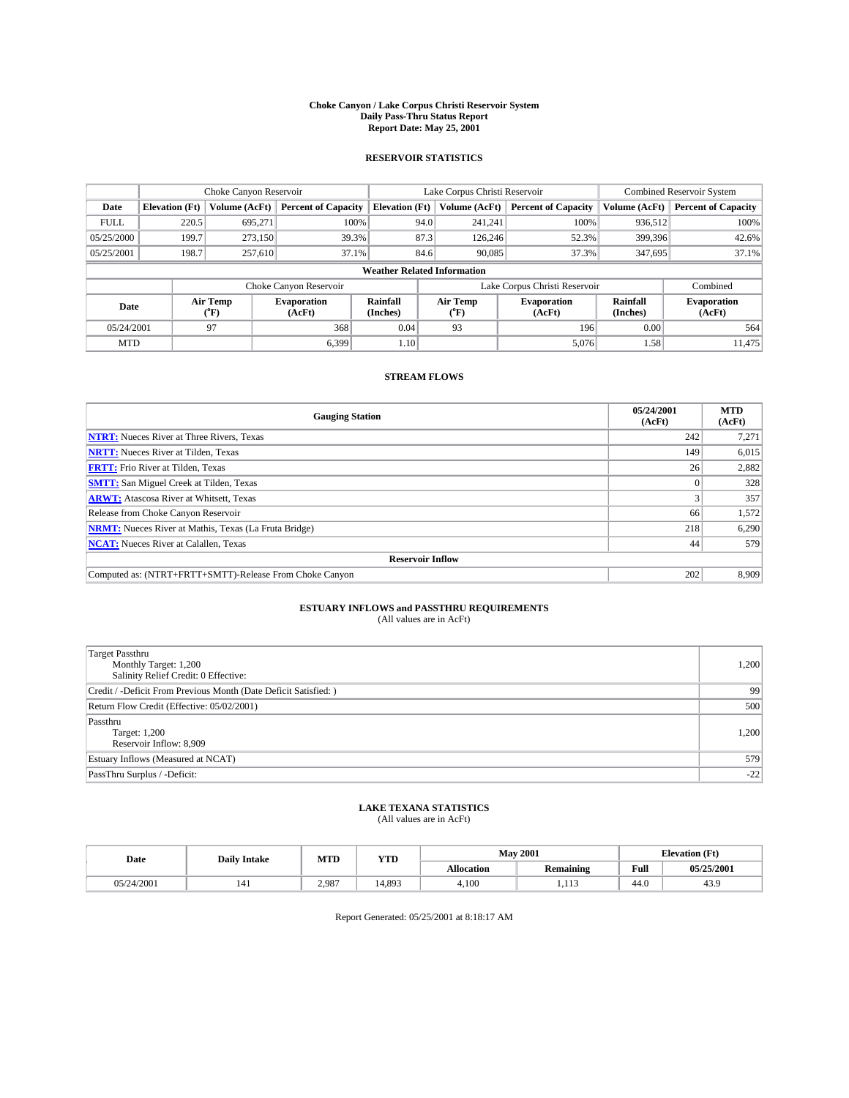#### **Choke Canyon / Lake Corpus Christi Reservoir System Daily Pass-Thru Status Report Report Date: May 25, 2001**

### **RESERVOIR STATISTICS**

|                                    |                       | Choke Canyon Reservoir |                              |                       | Lake Corpus Christi Reservoir | <b>Combined Reservoir System</b> |                             |                              |
|------------------------------------|-----------------------|------------------------|------------------------------|-----------------------|-------------------------------|----------------------------------|-----------------------------|------------------------------|
| Date                               | <b>Elevation</b> (Ft) | Volume (AcFt)          | <b>Percent of Capacity</b>   | <b>Elevation</b> (Ft) | Volume (AcFt)                 | <b>Percent of Capacity</b>       | Volume (AcFt)               | <b>Percent of Capacity</b>   |
| <b>FULL</b>                        | 220.5                 | 695,271                | 100%                         |                       | 94.0<br>241,241               | 100%                             | 936,512                     | 100%                         |
| 05/25/2000                         | 199.7                 | 273,150                | 39.3%                        |                       | 87.3<br>126,246               | 52.3%                            | 399,396                     | 42.6%                        |
| 05/25/2001                         | 198.7                 | 257,610                | 37.1%                        |                       | 84.6<br>90,085                | 37.3%                            | 347,695                     | 37.1%                        |
| <b>Weather Related Information</b> |                       |                        |                              |                       |                               |                                  |                             |                              |
|                                    |                       |                        | Choke Canyon Reservoir       |                       |                               | Lake Corpus Christi Reservoir    |                             | Combined                     |
| Date                               |                       | Air Temp<br>(°F)       | <b>Evaporation</b><br>(AcFt) | Rainfall<br>(Inches)  | Air Temp<br>("F)              | <b>Evaporation</b><br>(AcFt)     | <b>Rainfall</b><br>(Inches) | <b>Evaporation</b><br>(AcFt) |
| 05/24/2001                         |                       | 97                     | 368                          | 0.04                  | 93                            | 196                              | 0.00                        | 564                          |
| <b>MTD</b>                         |                       |                        | 6.399                        | 1.10                  |                               | 5,076                            | 1.58                        | 11.475                       |

## **STREAM FLOWS**

| <b>Gauging Station</b>                                       | 05/24/2001<br>(AcFt) | <b>MTD</b><br>(AcFt) |  |  |  |  |
|--------------------------------------------------------------|----------------------|----------------------|--|--|--|--|
| <b>NTRT:</b> Nueces River at Three Rivers, Texas             | 242                  | 7,271                |  |  |  |  |
| <b>NRTT:</b> Nueces River at Tilden, Texas                   | 149                  | 6,015                |  |  |  |  |
| <b>FRTT:</b> Frio River at Tilden, Texas                     | 26                   | 2,882                |  |  |  |  |
| <b>SMTT:</b> San Miguel Creek at Tilden, Texas               |                      | 328                  |  |  |  |  |
| <b>ARWT:</b> Atascosa River at Whitsett, Texas               |                      | 357                  |  |  |  |  |
| Release from Choke Canyon Reservoir                          | 66                   | 1,572                |  |  |  |  |
| <b>NRMT:</b> Nueces River at Mathis, Texas (La Fruta Bridge) | 218                  | 6,290                |  |  |  |  |
| <b>NCAT:</b> Nueces River at Calallen, Texas                 | 44                   | 579                  |  |  |  |  |
| <b>Reservoir Inflow</b>                                      |                      |                      |  |  |  |  |
| Computed as: (NTRT+FRTT+SMTT)-Release From Choke Canyon      | 202                  | 8.909                |  |  |  |  |

# **ESTUARY INFLOWS and PASSTHRU REQUIREMENTS**<br>(All values are in AcFt)

| Target Passthru<br>Monthly Target: 1,200<br>Salinity Relief Credit: 0 Effective: | 1,200 |
|----------------------------------------------------------------------------------|-------|
| Credit / -Deficit From Previous Month (Date Deficit Satisfied: )                 | 99    |
| Return Flow Credit (Effective: 05/02/2001)                                       | 500   |
| Passthru<br>Target: 1,200<br>Reservoir Inflow: 8,909                             | 1,200 |
| Estuary Inflows (Measured at NCAT)                                               | 579   |
| PassThru Surplus / -Deficit:                                                     | $-22$ |

# **LAKE TEXANA STATISTICS** (All values are in AcFt)

| Date       | <b>Daily Intake</b> | MTD   | <b>YTD</b> |                   | <b>May 2001</b> | <b>Elevation</b> (Ft) |            |
|------------|---------------------|-------|------------|-------------------|-----------------|-----------------------|------------|
|            |                     |       |            | <b>Allocation</b> | Remaining       | Full                  | 05/25/2001 |
| 05/24/2001 | 141                 | 2.987 | 4.893      | 4.100             | 1.17<br>        | 44.0                  | 45.9       |

Report Generated: 05/25/2001 at 8:18:17 AM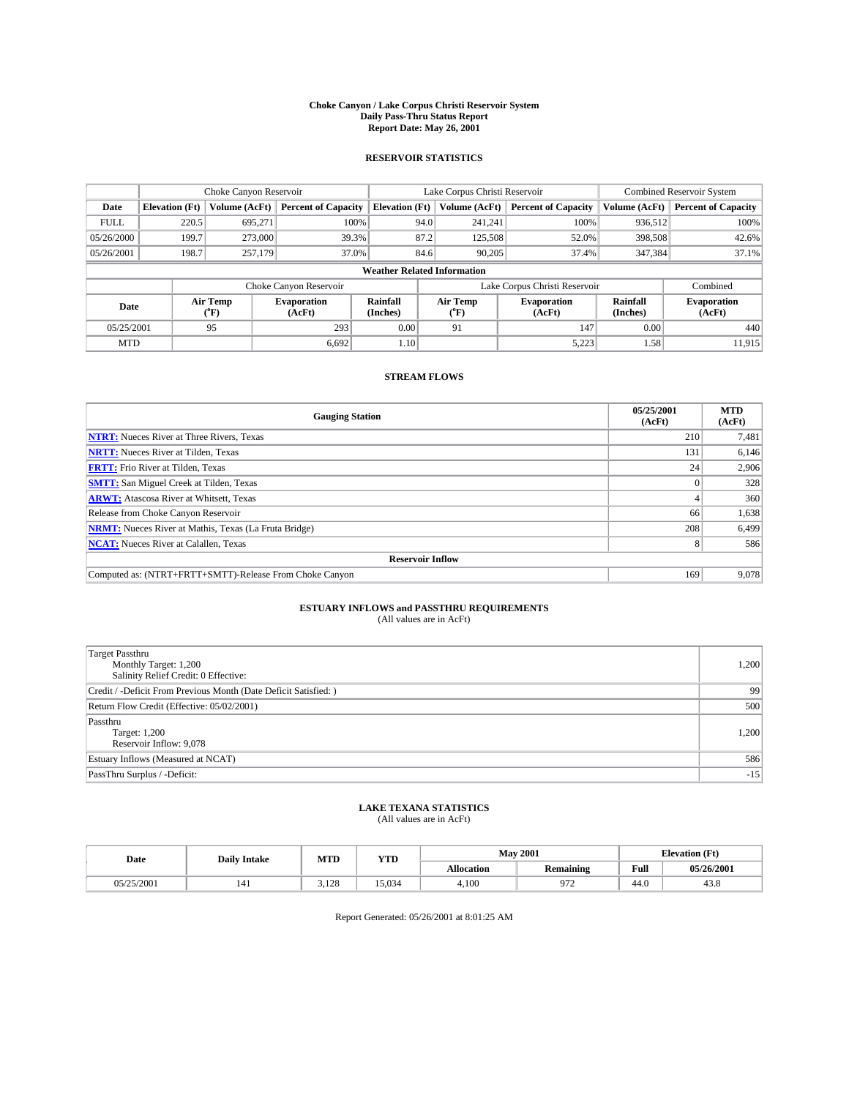#### **Choke Canyon / Lake Corpus Christi Reservoir System Daily Pass-Thru Status Report Report Date: May 26, 2001**

### **RESERVOIR STATISTICS**

|                                    |                                                                     | Choke Canyon Reservoir |                              |                       | Lake Corpus Christi Reservoir | <b>Combined Reservoir System</b> |                             |                              |  |
|------------------------------------|---------------------------------------------------------------------|------------------------|------------------------------|-----------------------|-------------------------------|----------------------------------|-----------------------------|------------------------------|--|
| Date                               | <b>Elevation</b> (Ft)                                               | Volume (AcFt)          | <b>Percent of Capacity</b>   | <b>Elevation</b> (Ft) | Volume (AcFt)                 | <b>Percent of Capacity</b>       | Volume (AcFt)               | <b>Percent of Capacity</b>   |  |
| <b>FULL</b>                        | 220.5                                                               | 695,271                | 100%                         | 94.0                  | 241,241                       | 100%                             | 936.512                     | 100%                         |  |
| 05/26/2000                         | 199.7                                                               | 273,000                | 39.3%                        | 87.2                  | 125,508                       | 52.0%                            | 398,508                     | 42.6%                        |  |
| 05/26/2001                         | 198.7                                                               | 257,179                | 37.0%                        | 84.6                  | 90.205                        | 37.4%                            | 347,384                     | 37.1%                        |  |
| <b>Weather Related Information</b> |                                                                     |                        |                              |                       |                               |                                  |                             |                              |  |
|                                    | Lake Corpus Christi Reservoir<br>Combined<br>Choke Canyon Reservoir |                        |                              |                       |                               |                                  |                             |                              |  |
| Date                               |                                                                     | Air Temp<br>(°F)       | <b>Evaporation</b><br>(AcFt) | Rainfall<br>(Inches)  | Air Temp<br>("F)              | <b>Evaporation</b><br>(AcFt)     | <b>Rainfall</b><br>(Inches) | <b>Evaporation</b><br>(AcFt) |  |
| 05/25/2001                         |                                                                     | 95                     | 293                          | 0.00                  | 91                            | 147                              | 0.00                        | 440                          |  |
| <b>MTD</b>                         |                                                                     |                        | 6.692                        | 1.10                  |                               | 5,223                            | 1.58                        | 11.915                       |  |

## **STREAM FLOWS**

| <b>Gauging Station</b>                                       | 05/25/2001<br>(AcFt) | <b>MTD</b><br>(AcFt) |  |  |  |  |
|--------------------------------------------------------------|----------------------|----------------------|--|--|--|--|
| <b>NTRT:</b> Nueces River at Three Rivers, Texas             | 210                  | 7,481                |  |  |  |  |
| <b>NRTT:</b> Nueces River at Tilden, Texas                   | 131                  | 6,146                |  |  |  |  |
| <b>FRTT:</b> Frio River at Tilden, Texas                     | 24                   | 2,906                |  |  |  |  |
| <b>SMTT:</b> San Miguel Creek at Tilden, Texas               |                      | 328                  |  |  |  |  |
| <b>ARWT:</b> Atascosa River at Whitsett, Texas               |                      | 360                  |  |  |  |  |
| Release from Choke Canyon Reservoir                          | 66                   | 1,638                |  |  |  |  |
| <b>NRMT:</b> Nueces River at Mathis, Texas (La Fruta Bridge) | 208                  | 6,499                |  |  |  |  |
| <b>NCAT:</b> Nueces River at Calallen, Texas                 |                      | 586                  |  |  |  |  |
| <b>Reservoir Inflow</b>                                      |                      |                      |  |  |  |  |
| Computed as: (NTRT+FRTT+SMTT)-Release From Choke Canyon      | 169                  | 9.078                |  |  |  |  |

## **ESTUARY INFLOWS and PASSTHRU REQUIREMENTS**<br>(All values are in AcFt)

| <b>Target Passthru</b><br>Monthly Target: 1,200<br>Salinity Relief Credit: 0 Effective: | 1,200 |
|-----------------------------------------------------------------------------------------|-------|
| Credit / -Deficit From Previous Month (Date Deficit Satisfied: )                        | 99    |
| Return Flow Credit (Effective: 05/02/2001)                                              | 500   |
| Passthru<br>Target: 1,200<br>Reservoir Inflow: 9,078                                    | 1,200 |
| Estuary Inflows (Measured at NCAT)                                                      | 586   |
| PassThru Surplus / -Deficit:                                                            | $-15$ |

# **LAKE TEXANA STATISTICS** (All values are in AcFt)

| Date       | <b>Daily Intake</b> | MTD          | <b>VTT</b><br>1 I D |                   | <b>May 2001</b>  | Œť<br>Elevation |            |
|------------|---------------------|--------------|---------------------|-------------------|------------------|-----------------|------------|
|            |                     |              |                     | <b>Allocation</b> | <b>Remaining</b> | Full            | 05/26/2001 |
| 05/25/2001 | 141                 | 12C<br>3.140 | 15.034              | 4,100             | $\sim$<br>' 1 4  | 44.0            | 45.8       |

Report Generated: 05/26/2001 at 8:01:25 AM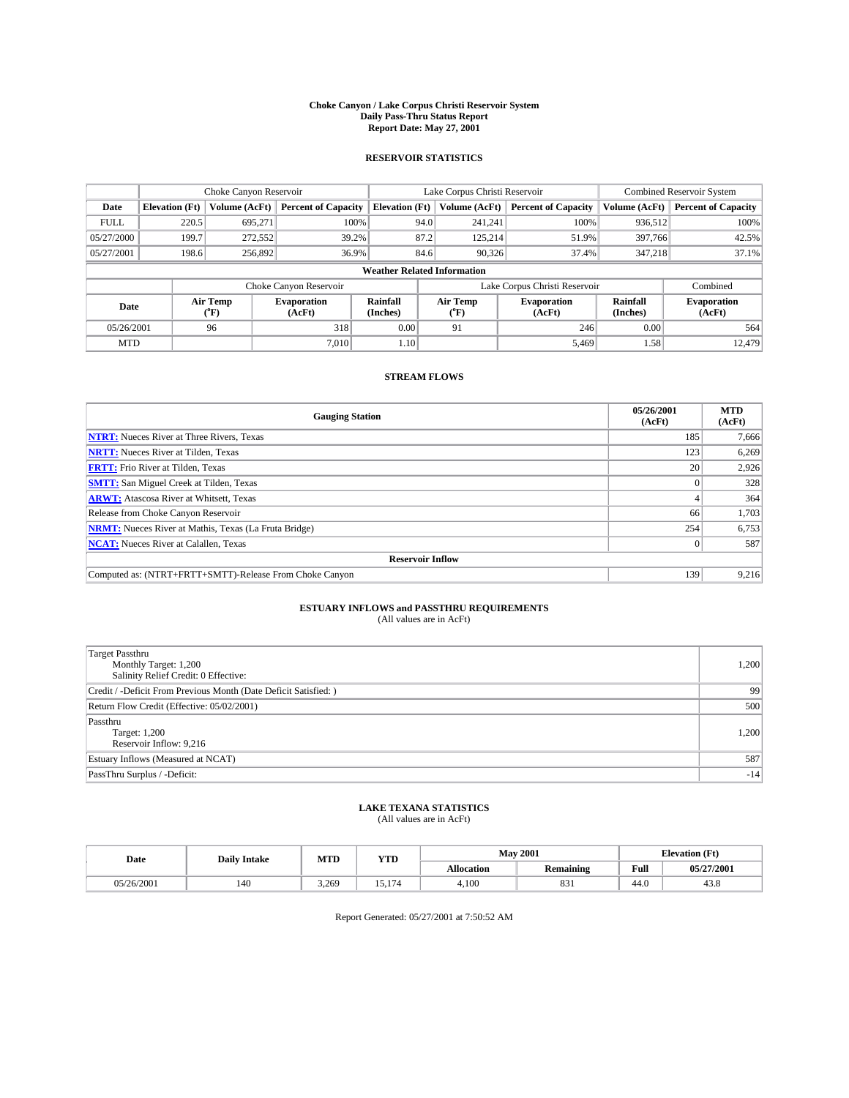#### **Choke Canyon / Lake Corpus Christi Reservoir System Daily Pass-Thru Status Report Report Date: May 27, 2001**

### **RESERVOIR STATISTICS**

|                                    |                                                                     | Choke Canyon Reservoir |                              |                       | Lake Corpus Christi Reservoir | <b>Combined Reservoir System</b> |                             |                              |  |
|------------------------------------|---------------------------------------------------------------------|------------------------|------------------------------|-----------------------|-------------------------------|----------------------------------|-----------------------------|------------------------------|--|
| Date                               | <b>Elevation</b> (Ft)                                               | Volume (AcFt)          | <b>Percent of Capacity</b>   | <b>Elevation</b> (Ft) | Volume (AcFt)                 | <b>Percent of Capacity</b>       | Volume (AcFt)               | <b>Percent of Capacity</b>   |  |
| <b>FULL</b>                        | 220.5                                                               | 695,271                | 100%                         |                       | 94.0<br>241,241               | 100%                             | 936,512                     | 100%                         |  |
| 05/27/2000                         | 199.7                                                               | 272,552                | 39.2%                        |                       | 87.2<br>125.214               | 51.9%                            | 397,766                     | 42.5%                        |  |
| 05/27/2001                         | 198.6                                                               | 256,892                | 36.9%                        |                       | 84.6<br>90.326                | 37.4%                            | 347,218                     | 37.1%                        |  |
| <b>Weather Related Information</b> |                                                                     |                        |                              |                       |                               |                                  |                             |                              |  |
|                                    | Lake Corpus Christi Reservoir<br>Choke Canyon Reservoir<br>Combined |                        |                              |                       |                               |                                  |                             |                              |  |
| Date                               |                                                                     | Air Temp<br>(°F)       | <b>Evaporation</b><br>(AcFt) | Rainfall<br>(Inches)  | Air Temp<br>("F)              | <b>Evaporation</b><br>(AcFt)     | <b>Rainfall</b><br>(Inches) | <b>Evaporation</b><br>(AcFt) |  |
| 05/26/2001                         |                                                                     | 96                     | 318                          | 0.00                  | 91                            | 246                              | 0.00                        | 564                          |  |
| <b>MTD</b>                         |                                                                     |                        | 7.010                        | 1.10                  |                               | 5,469                            | 1.58                        | 12.479                       |  |

## **STREAM FLOWS**

| <b>Gauging Station</b>                                       | 05/26/2001<br>(AcFt) | <b>MTD</b><br>(AcFt) |  |  |  |  |
|--------------------------------------------------------------|----------------------|----------------------|--|--|--|--|
| <b>NTRT:</b> Nueces River at Three Rivers, Texas             | 185                  | 7,666                |  |  |  |  |
| <b>NRTT:</b> Nueces River at Tilden, Texas                   | 123                  | 6,269                |  |  |  |  |
| <b>FRTT:</b> Frio River at Tilden, Texas                     | 20                   | 2,926                |  |  |  |  |
| <b>SMTT:</b> San Miguel Creek at Tilden, Texas               |                      | 328                  |  |  |  |  |
| <b>ARWT:</b> Atascosa River at Whitsett, Texas               |                      | 364                  |  |  |  |  |
| Release from Choke Canyon Reservoir                          | 66                   | 1,703                |  |  |  |  |
| <b>NRMT:</b> Nueces River at Mathis, Texas (La Fruta Bridge) | 254                  | 6,753                |  |  |  |  |
| <b>NCAT:</b> Nueces River at Calallen, Texas                 |                      | 587                  |  |  |  |  |
| <b>Reservoir Inflow</b>                                      |                      |                      |  |  |  |  |
| Computed as: (NTRT+FRTT+SMTT)-Release From Choke Canyon      | 139                  | 9,216                |  |  |  |  |

## **ESTUARY INFLOWS and PASSTHRU REQUIREMENTS**<br>(All values are in AcFt)

| <b>Target Passthru</b><br>Monthly Target: 1,200<br>Salinity Relief Credit: 0 Effective: | 1,200 |
|-----------------------------------------------------------------------------------------|-------|
| Credit / -Deficit From Previous Month (Date Deficit Satisfied: )                        | 99    |
| Return Flow Credit (Effective: 05/02/2001)                                              | 500   |
| Passthru<br>Target: 1,200<br>Reservoir Inflow: 9,216                                    | 1,200 |
| Estuary Inflows (Measured at NCAT)                                                      | 587   |
| PassThru Surplus / -Deficit:                                                            | $-14$ |

# **LAKE TEXANA STATISTICS** (All values are in AcFt)

| Date       | <b>Daily Intake</b> | MTD   | VTT<br>1 I D |                   | <b>May 2001</b>  | <b>Elevation</b> (Ft) |            |
|------------|---------------------|-------|--------------|-------------------|------------------|-----------------------|------------|
|            |                     |       |              | <b>Allocation</b> | <b>Remaining</b> | Full                  | 05/27/2001 |
| 05/26/2001 | 140                 | 3.269 | $\sim$ $-$   | 4,100             | 831              | 44.0                  | 45.8       |

Report Generated: 05/27/2001 at 7:50:52 AM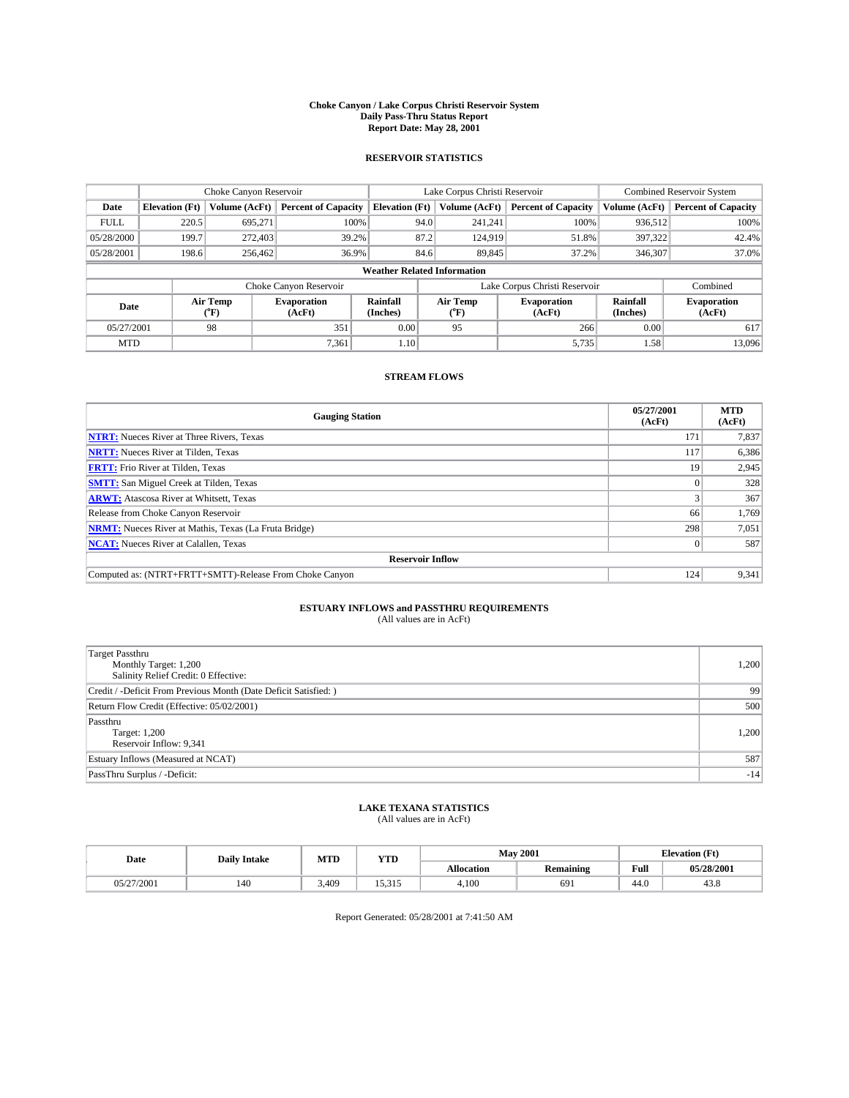#### **Choke Canyon / Lake Corpus Christi Reservoir System Daily Pass-Thru Status Report Report Date: May 28, 2001**

### **RESERVOIR STATISTICS**

|                                    |                       | Choke Canyon Reservoir |                              |                       | Lake Corpus Christi Reservoir | <b>Combined Reservoir System</b> |                             |                              |
|------------------------------------|-----------------------|------------------------|------------------------------|-----------------------|-------------------------------|----------------------------------|-----------------------------|------------------------------|
| Date                               | <b>Elevation</b> (Ft) | Volume (AcFt)          | <b>Percent of Capacity</b>   | <b>Elevation</b> (Ft) | Volume (AcFt)                 | <b>Percent of Capacity</b>       | Volume (AcFt)               | <b>Percent of Capacity</b>   |
| <b>FULL</b>                        | 220.5                 | 695,271                | 100%                         | 94.0                  | 241,241                       | 100%                             | 936,512                     | 100%                         |
| 05/28/2000                         | 199.7                 | 272,403                | 39.2%                        | 87.2                  | 124,919                       | 51.8%                            | 397,322                     | 42.4%                        |
| 05/28/2001                         | 198.6                 | 256,462                | 36.9%                        | 84.6                  | 89,845                        | 37.2%                            | 346,307                     | 37.0%                        |
| <b>Weather Related Information</b> |                       |                        |                              |                       |                               |                                  |                             |                              |
|                                    |                       |                        | Choke Canyon Reservoir       |                       |                               | Lake Corpus Christi Reservoir    |                             | Combined                     |
| Date                               |                       | Air Temp<br>(°F)       | <b>Evaporation</b><br>(AcFt) | Rainfall<br>(Inches)  | Air Temp<br>("F)              | <b>Evaporation</b><br>(AcFt)     | <b>Rainfall</b><br>(Inches) | <b>Evaporation</b><br>(AcFt) |
| 05/27/2001                         |                       | 98                     | 351                          | 0.00                  | 95                            | 266                              | 0.00                        | 617                          |
| <b>MTD</b>                         |                       |                        | 7.361                        | 1.10                  |                               | 5,735                            | 1.58                        | 13,096                       |

## **STREAM FLOWS**

| <b>Gauging Station</b>                                       | 05/27/2001<br>(AcFt) | <b>MTD</b><br>(AcFt) |  |  |  |  |
|--------------------------------------------------------------|----------------------|----------------------|--|--|--|--|
| <b>NTRT:</b> Nueces River at Three Rivers, Texas             | 171                  | 7,837                |  |  |  |  |
| <b>NRTT:</b> Nueces River at Tilden, Texas                   | 117                  | 6,386                |  |  |  |  |
| <b>FRTT:</b> Frio River at Tilden, Texas                     | 19                   | 2,945                |  |  |  |  |
| <b>SMTT:</b> San Miguel Creek at Tilden, Texas               |                      | 328                  |  |  |  |  |
| <b>ARWT:</b> Atascosa River at Whitsett, Texas               |                      | 367                  |  |  |  |  |
| Release from Choke Canyon Reservoir                          | 66                   | 1,769                |  |  |  |  |
| <b>NRMT:</b> Nueces River at Mathis, Texas (La Fruta Bridge) | 298                  | 7,051                |  |  |  |  |
| <b>NCAT:</b> Nueces River at Calallen, Texas                 |                      | 587                  |  |  |  |  |
| <b>Reservoir Inflow</b>                                      |                      |                      |  |  |  |  |
| Computed as: (NTRT+FRTT+SMTT)-Release From Choke Canyon      | 124                  | 9,341                |  |  |  |  |

## **ESTUARY INFLOWS and PASSTHRU REQUIREMENTS**<br>(All values are in AcFt)

| <b>Target Passthru</b><br>Monthly Target: 1,200<br>Salinity Relief Credit: 0 Effective: | 1,200 |
|-----------------------------------------------------------------------------------------|-------|
| Credit / -Deficit From Previous Month (Date Deficit Satisfied: )                        | 99    |
| Return Flow Credit (Effective: 05/02/2001)                                              | 500   |
| Passthru<br>Target: 1,200<br>Reservoir Inflow: 9,341                                    | 1,200 |
| Estuary Inflows (Measured at NCAT)                                                      | 587   |
| PassThru Surplus / -Deficit:                                                            | $-14$ |

# **LAKE TEXANA STATISTICS** (All values are in AcFt)

| Date           | <b>Daily Intake</b> | MTD   | <b>VTT</b><br>1 I.D    |                   | <b>May 2001</b>  | (Ft<br><b>TOP</b><br>tlevation |            |
|----------------|---------------------|-------|------------------------|-------------------|------------------|--------------------------------|------------|
|                |                     |       |                        | <b>Allocation</b> | <b>Remaining</b> | Full                           | 05/28/2001 |
| /2001<br>05/27 | 140                 | 3,409 | 5.7.7<br>1 <i>JW1J</i> | 4,100             | 691              | 44.0                           | 45.8       |

Report Generated: 05/28/2001 at 7:41:50 AM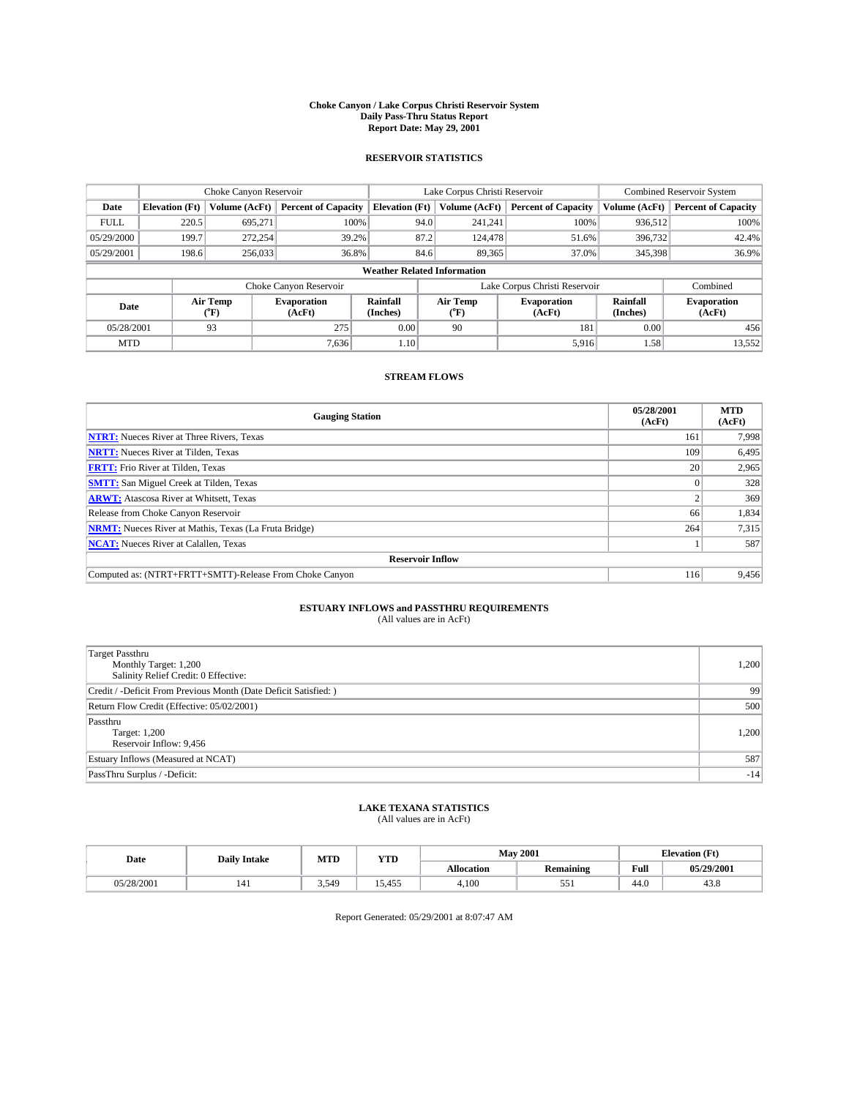#### **Choke Canyon / Lake Corpus Christi Reservoir System Daily Pass-Thru Status Report Report Date: May 29, 2001**

### **RESERVOIR STATISTICS**

|                                    | Choke Canyon Reservoir |                  |                              |                       | Lake Corpus Christi Reservoir | <b>Combined Reservoir System</b> |                             |                              |
|------------------------------------|------------------------|------------------|------------------------------|-----------------------|-------------------------------|----------------------------------|-----------------------------|------------------------------|
| Date                               | <b>Elevation</b> (Ft)  | Volume (AcFt)    | <b>Percent of Capacity</b>   | <b>Elevation</b> (Ft) | Volume (AcFt)                 | <b>Percent of Capacity</b>       | Volume (AcFt)               | <b>Percent of Capacity</b>   |
| <b>FULL</b>                        | 220.5                  | 695,271          | 100%                         | 94.0                  | 241,241                       | 100%                             | 936.512                     | 100%                         |
| 05/29/2000                         | 199.7                  | 272,254          | 39.2%                        | 87.2                  | 124,478                       | 51.6%                            | 396,732                     | 42.4%                        |
| 05/29/2001                         | 198.6                  | 256,033          | 36.8%                        | 84.6                  | 89.365                        | 37.0%                            | 345,398                     | 36.9%                        |
| <b>Weather Related Information</b> |                        |                  |                              |                       |                               |                                  |                             |                              |
|                                    |                        |                  | Choke Canyon Reservoir       |                       |                               | Lake Corpus Christi Reservoir    |                             | Combined                     |
| Date                               |                        | Air Temp<br>(°F) | <b>Evaporation</b><br>(AcFt) | Rainfall<br>(Inches)  | Air Temp<br>("F)              | <b>Evaporation</b><br>(AcFt)     | <b>Rainfall</b><br>(Inches) | <b>Evaporation</b><br>(AcFt) |
| 05/28/2001                         |                        | 93               | 275                          | 0.00                  | 90                            | 181                              | 0.00                        | 456                          |
| <b>MTD</b>                         |                        |                  | 7,636                        | 1.10                  |                               | 5,916                            | 1.58                        | 13,552                       |

## **STREAM FLOWS**

| <b>Gauging Station</b>                                       | 05/28/2001<br>(AcFt) | <b>MTD</b><br>(AcFt) |  |  |  |  |
|--------------------------------------------------------------|----------------------|----------------------|--|--|--|--|
| <b>NTRT:</b> Nueces River at Three Rivers, Texas             | 161                  | 7,998                |  |  |  |  |
| <b>NRTT:</b> Nueces River at Tilden, Texas                   | 109                  | 6,495                |  |  |  |  |
| <b>FRTT:</b> Frio River at Tilden, Texas                     | 20                   | 2,965                |  |  |  |  |
| <b>SMTT:</b> San Miguel Creek at Tilden, Texas               |                      | 328                  |  |  |  |  |
| <b>ARWT:</b> Atascosa River at Whitsett, Texas               |                      | 369                  |  |  |  |  |
| Release from Choke Canyon Reservoir                          | 66                   | 1,834                |  |  |  |  |
| <b>NRMT:</b> Nueces River at Mathis, Texas (La Fruta Bridge) | 264                  | 7,315                |  |  |  |  |
| <b>NCAT:</b> Nueces River at Calallen, Texas                 |                      | 587                  |  |  |  |  |
| <b>Reservoir Inflow</b>                                      |                      |                      |  |  |  |  |
| Computed as: (NTRT+FRTT+SMTT)-Release From Choke Canyon      | 116                  | 9.456                |  |  |  |  |

## **ESTUARY INFLOWS and PASSTHRU REQUIREMENTS**<br>(All values are in AcFt)

| Target Passthru<br>Monthly Target: 1,200<br>Salinity Relief Credit: 0 Effective: | 1,200 |
|----------------------------------------------------------------------------------|-------|
| Credit / -Deficit From Previous Month (Date Deficit Satisfied: )                 | 99    |
| Return Flow Credit (Effective: 05/02/2001)                                       | 500   |
| Passthru<br>Target: 1,200<br>Reservoir Inflow: 9,456                             | 1,200 |
| Estuary Inflows (Measured at NCAT)                                               | 587   |
| PassThru Surplus / -Deficit:                                                     | $-14$ |

# **LAKE TEXANA STATISTICS** (All values are in AcFt)

| Date       | <b>Daily Intake</b> | MTD   | <b>VTT</b><br>1 I D               | <b>May 2001</b>   |                  | (Ft<br>Elevation |            |
|------------|---------------------|-------|-----------------------------------|-------------------|------------------|------------------|------------|
|            |                     |       |                                   | <b>Allocation</b> | <b>Remaining</b> | Full             | 05/29/2001 |
| 05/28/2001 | 141                 | 3.549 | $1 - r$<br>$\epsilon$<br>.4<br>᠇ᢣ | 4,100             | e e<br>، ر.      | 44.0             | 45.8       |

Report Generated: 05/29/2001 at 8:07:47 AM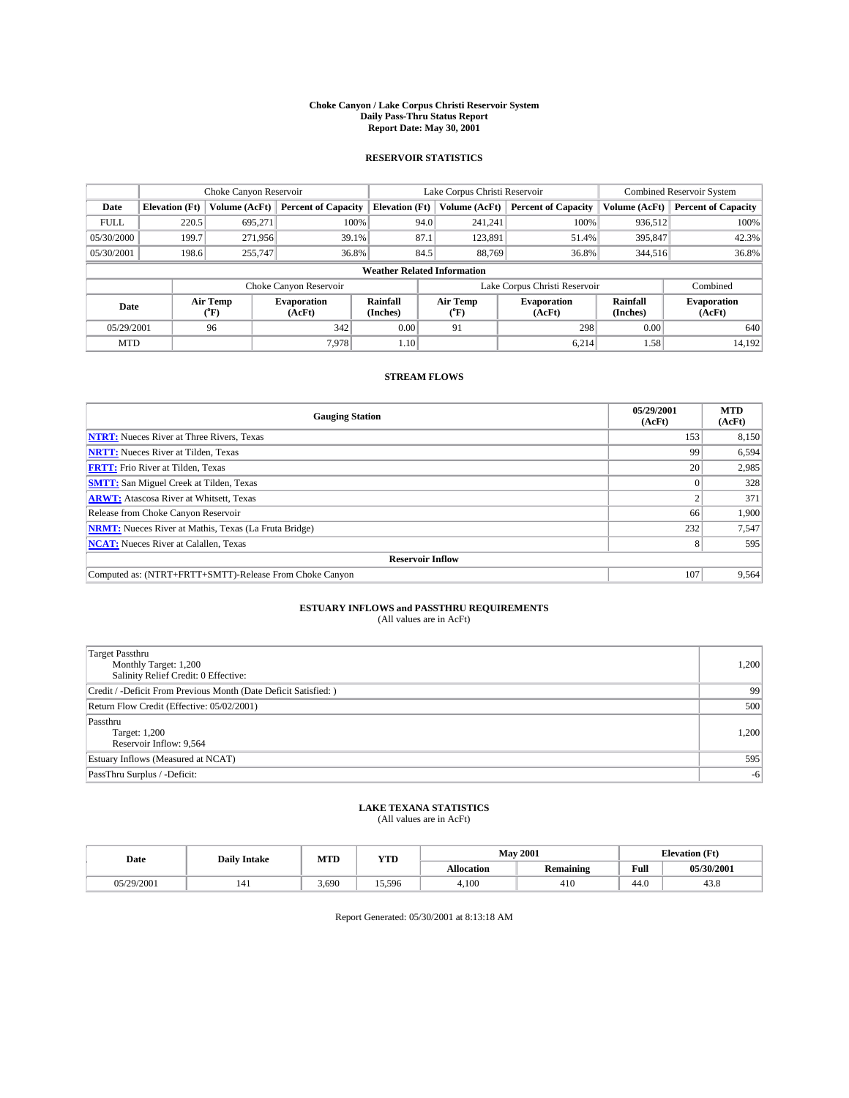#### **Choke Canyon / Lake Corpus Christi Reservoir System Daily Pass-Thru Status Report Report Date: May 30, 2001**

### **RESERVOIR STATISTICS**

|                                    | Choke Canyon Reservoir |                  |                              |                       | Lake Corpus Christi Reservoir | <b>Combined Reservoir System</b> |                             |                              |
|------------------------------------|------------------------|------------------|------------------------------|-----------------------|-------------------------------|----------------------------------|-----------------------------|------------------------------|
| Date                               | <b>Elevation</b> (Ft)  | Volume (AcFt)    | <b>Percent of Capacity</b>   | <b>Elevation</b> (Ft) | Volume (AcFt)                 | <b>Percent of Capacity</b>       | Volume (AcFt)               | <b>Percent of Capacity</b>   |
| <b>FULL</b>                        | 220.5                  | 695,271          | 100%                         | 94.0                  | 241,241                       | 100%                             | 936,512                     | 100%                         |
| 05/30/2000                         | 199.7                  | 271,956          | 39.1%                        | 87.1                  | 123,891                       | 51.4%                            | 395,847                     | 42.3%                        |
| 05/30/2001                         | 198.6                  | 255,747          | 36.8%                        | 84.5                  | 88.769                        | 36.8%                            | 344,516                     | 36.8%                        |
| <b>Weather Related Information</b> |                        |                  |                              |                       |                               |                                  |                             |                              |
|                                    |                        |                  | Choke Canyon Reservoir       |                       |                               | Lake Corpus Christi Reservoir    |                             | Combined                     |
| Date                               |                        | Air Temp<br>(°F) | <b>Evaporation</b><br>(AcFt) | Rainfall<br>(Inches)  | Air Temp<br>("F)              | <b>Evaporation</b><br>(AcFt)     | <b>Rainfall</b><br>(Inches) | <b>Evaporation</b><br>(AcFt) |
| 05/29/2001                         |                        | 96               | 342                          | 0.00                  | 91                            | 298                              | 0.00                        | 640                          |
| <b>MTD</b>                         |                        |                  | 7.978                        | 1.10                  |                               | 6.214                            | 1.58                        | 14.192                       |

### **STREAM FLOWS**

| <b>Gauging Station</b>                                       | 05/29/2001<br>(AcFt) | <b>MTD</b><br>(AcFt) |  |  |  |  |
|--------------------------------------------------------------|----------------------|----------------------|--|--|--|--|
| <b>NTRT:</b> Nueces River at Three Rivers, Texas             | 153                  | 8,150                |  |  |  |  |
| <b>NRTT:</b> Nueces River at Tilden, Texas                   | 99                   | 6,594                |  |  |  |  |
| <b>FRTT:</b> Frio River at Tilden, Texas                     | 20                   | 2,985                |  |  |  |  |
| <b>SMTT:</b> San Miguel Creek at Tilden, Texas               |                      | 328                  |  |  |  |  |
| <b>ARWT:</b> Atascosa River at Whitsett, Texas               |                      | 371                  |  |  |  |  |
| Release from Choke Canyon Reservoir                          | 66                   | 1,900                |  |  |  |  |
| <b>NRMT:</b> Nueces River at Mathis, Texas (La Fruta Bridge) | 232                  | 7,547                |  |  |  |  |
| <b>NCAT:</b> Nueces River at Calallen, Texas                 | 8                    | 595                  |  |  |  |  |
| <b>Reservoir Inflow</b>                                      |                      |                      |  |  |  |  |
| Computed as: (NTRT+FRTT+SMTT)-Release From Choke Canyon      | 107                  | 9.564                |  |  |  |  |

## **ESTUARY INFLOWS and PASSTHRU REQUIREMENTS**<br>(All values are in AcFt)

| <b>Target Passthru</b><br>Monthly Target: 1,200<br>Salinity Relief Credit: 0 Effective: | 1,200 |
|-----------------------------------------------------------------------------------------|-------|
| Credit / -Deficit From Previous Month (Date Deficit Satisfied: )                        | 99    |
| Return Flow Credit (Effective: 05/02/2001)                                              | 500   |
| Passthru<br>Target: 1,200<br>Reservoir Inflow: 9,564                                    | 1,200 |
| Estuary Inflows (Measured at NCAT)                                                      | 595   |
| PassThru Surplus / -Deficit:                                                            | $-6$  |

# **LAKE TEXANA STATISTICS** (All values are in AcFt)

| Date       | <b>Daily Intake</b> | MTD   | <b>VTT</b><br>1 I D | <b>May 2001</b>   |                  | Œť<br><b>TOP</b><br>tlevation |            |
|------------|---------------------|-------|---------------------|-------------------|------------------|-------------------------------|------------|
|            |                     |       |                     | <b>Allocation</b> | <b>Remaining</b> | Full                          | 05/30/2001 |
| 05/29/2001 | 141                 | 3.690 | 15.596              | 4,100             | 410              | 44.0                          | 45.8       |

Report Generated: 05/30/2001 at 8:13:18 AM